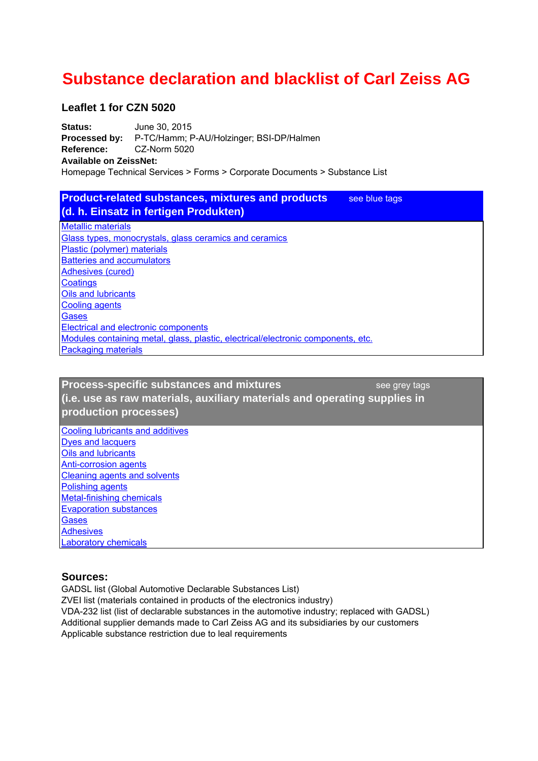# **Substance declaration and blacklist of Carl Zeiss AG**

# **Leaflet 1 for CZN 5020**

**Status:** June 30, 2015 **Processed by:** P-TC/Hamm; P-AU/Holzinger; BSI-DP/Halmen **Reference:** CZ-Norm 5020 **Available on ZeissNet:** Homepage Technical Services > Forms > Corporate Documents > Substance List

| <b>Product-related substances, mixtures and products</b><br>see blue tags<br>(d. h. Einsatz in fertigen Produkten) |
|--------------------------------------------------------------------------------------------------------------------|
| <b>Metallic materials</b>                                                                                          |
| Glass types, monocrystals, glass ceramics and ceramics                                                             |
| Plastic (polymer) materials                                                                                        |
| <b>Batteries and accumulators</b>                                                                                  |
| Adhesives (cured)                                                                                                  |
| <b>Coatings</b>                                                                                                    |
| <b>Oils and lubricants</b>                                                                                         |
| Cooling agents                                                                                                     |
| Gases                                                                                                              |
| <b>Electrical and electronic components</b>                                                                        |
| Modules containing metal, glass, plastic, electrical/electronic components, etc.                                   |
| <b>Packaging materials</b>                                                                                         |

| <b>Process-specific substances and mixtures</b><br>see grey tags<br>(i.e. use as raw materials, auxiliary materials and operating supplies in<br>production processes) |
|------------------------------------------------------------------------------------------------------------------------------------------------------------------------|
| Cooling lubricants and additives                                                                                                                                       |
| <b>Dyes and lacquers</b>                                                                                                                                               |
| <b>Oils and lubricants</b>                                                                                                                                             |
| <b>Anti-corrosion agents</b>                                                                                                                                           |
| Cleaning agents and solvents                                                                                                                                           |
| <b>Polishing agents</b>                                                                                                                                                |
| <b>Metal-finishing chemicals</b>                                                                                                                                       |
| <b>Evaporation substances</b>                                                                                                                                          |
| Gases                                                                                                                                                                  |
| <b>Adhesives</b>                                                                                                                                                       |
| <b>Laboratory chemicals</b>                                                                                                                                            |

# **Sources:**

GADSL list (Global Automotive Declarable Substances List) ZVEI list (materials contained in products of the electronics industry) VDA-232 list (list of declarable substances in the automotive industry; replaced with GADSL) Applicable substance restriction due to leal requirements Additional supplier demands made to Carl Zeiss AG and its subsidiaries by our customers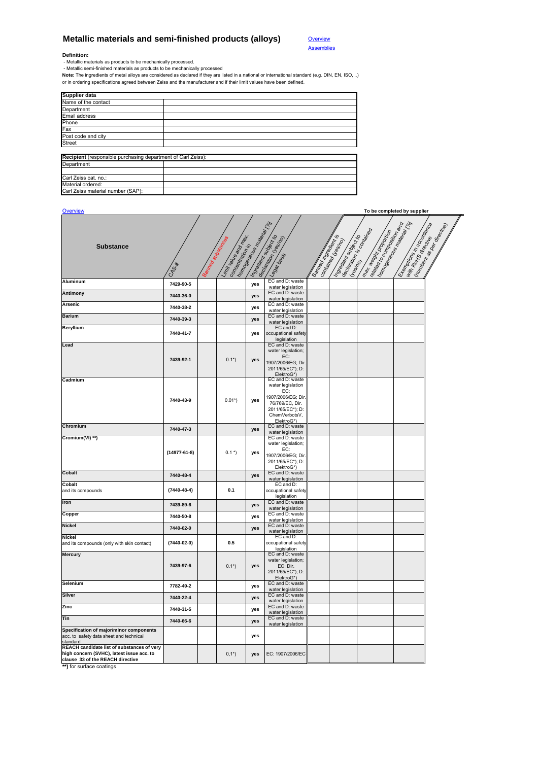## **Metallic materials and semi-finished products (alloys)**



## **Definition:**

- Metallic materials as products to be mechanically processed.<br>- Metallic semi-finished materials as products to be mechanically processed<br>Note: The ingredients of metal alloys are considered as declared if they are listed

| Supplier data                                                |  |
|--------------------------------------------------------------|--|
| Name of the contact                                          |  |
| Department                                                   |  |
| <b>Email address</b>                                         |  |
| Phone                                                        |  |
| Fax                                                          |  |
| Post code and city                                           |  |
| <b>Street</b>                                                |  |
|                                                              |  |
| Recipient (responsible purchasing department of Carl Zeiss): |  |
| Department                                                   |  |
|                                                              |  |
| Carl Zeiss cat. no.:                                         |  |
| Material ordered:                                            |  |
| Carl Zeiss material number (SAP):                            |  |

## Overview **To be completed by supplier**

| <b>Substance</b>                                                                                                            | CAS **            | Bamedos Messa | Limit value and right<br>Concentration, in | Tomoseege on a delay of the<br>Ingregient subsect of | decision design<br>1/89ay bays                        | Bantaging Manage | Ingregient expector<br>Contained U estate | reader to construct and any<br>oecoalidation is contacted<br>max Weight began | I omgeweng is manifestation<br>Esemporante de Castro de Castro | (numbers as responsible) |
|-----------------------------------------------------------------------------------------------------------------------------|-------------------|---------------|--------------------------------------------|------------------------------------------------------|-------------------------------------------------------|------------------|-------------------------------------------|-------------------------------------------------------------------------------|----------------------------------------------------------------|--------------------------|
| Aluminum                                                                                                                    |                   |               |                                            |                                                      | EC and D: waste                                       |                  |                                           |                                                                               |                                                                |                          |
|                                                                                                                             | 7429-90-5         |               |                                            | yes                                                  | water legislation                                     |                  |                                           |                                                                               |                                                                |                          |
| Antimony                                                                                                                    | 7440-36-0         |               |                                            | yes                                                  | EC and D: waste<br>water legislation                  |                  |                                           |                                                                               |                                                                |                          |
| <b>Arsenic</b>                                                                                                              | 7440-38-2         |               |                                            | yes                                                  | EC and D: waste<br>water legislation                  |                  |                                           |                                                                               |                                                                |                          |
| <b>Barium</b>                                                                                                               | 7440-39-3         |               |                                            | yes                                                  | EC and D: waste                                       |                  |                                           |                                                                               |                                                                |                          |
| <b>Beryllium</b>                                                                                                            | 7440-41-7         |               |                                            | yes                                                  | water legislation<br>EC and D:<br>occupational safety |                  |                                           |                                                                               |                                                                |                          |
| Lead                                                                                                                        |                   |               |                                            |                                                      | legislation<br>EC and D: waste                        |                  |                                           |                                                                               |                                                                |                          |
|                                                                                                                             |                   |               |                                            |                                                      | water legislation;<br>EC:                             |                  |                                           |                                                                               |                                                                |                          |
|                                                                                                                             | 7439-92-1         |               | $0.1^{*}$                                  | yes                                                  | 1907/2006/EG; Dir.<br>2011/65/EC*); D:                |                  |                                           |                                                                               |                                                                |                          |
| Cadmium                                                                                                                     |                   |               |                                            |                                                      | ElektroG*)<br>EC and D: waste                         |                  |                                           |                                                                               |                                                                |                          |
|                                                                                                                             |                   |               |                                            |                                                      | water legislation<br>EC:                              |                  |                                           |                                                                               |                                                                |                          |
|                                                                                                                             | 7440-43-9         |               | $0.01^{*}$                                 | yes                                                  | 1907/2006/EG; Dir.<br>76/769/EC, Dir.                 |                  |                                           |                                                                               |                                                                |                          |
|                                                                                                                             |                   |               |                                            |                                                      | 2011/65/EC*); D:<br>ChemVerbotsV,                     |                  |                                           |                                                                               |                                                                |                          |
| Chromium                                                                                                                    | 7440-47-3         |               |                                            | yes                                                  | ElektroG*)<br>EC and D: waste                         |                  |                                           |                                                                               |                                                                |                          |
| Cromium(VI) **)                                                                                                             |                   |               |                                            |                                                      | water legislation<br>EC and D: waste                  |                  |                                           |                                                                               |                                                                |                          |
|                                                                                                                             | $(14977-61-8)$    |               | $0.1*$                                     | yes                                                  | water legislation;<br>EC:<br>1907/2006/EG; Dir.       |                  |                                           |                                                                               |                                                                |                          |
|                                                                                                                             |                   |               |                                            |                                                      | 2011/65/EC*); D:<br>ElektroG*)                        |                  |                                           |                                                                               |                                                                |                          |
| <b>Cobalt</b>                                                                                                               | 7440-48-4         |               |                                            | yes                                                  | EC and D: waste<br>water legislation                  |                  |                                           |                                                                               |                                                                |                          |
| Cobalt<br>and its compounds                                                                                                 | $(7440 - 48 - 4)$ |               | 0.1                                        |                                                      | EC and D:<br>occupational safety<br>legislation       |                  |                                           |                                                                               |                                                                |                          |
| Iron                                                                                                                        | 7439-89-6         |               |                                            | yes                                                  | EC and D: waste                                       |                  |                                           |                                                                               |                                                                |                          |
| Copper                                                                                                                      | 7440-50-8         |               |                                            | yes                                                  | water legislation<br>EC and D: waste                  |                  |                                           |                                                                               |                                                                |                          |
| <b>Nickel</b>                                                                                                               | 7440-02-0         |               |                                            |                                                      | water legislation<br>EC and D: waste                  |                  |                                           |                                                                               |                                                                |                          |
| <b>Nickel</b>                                                                                                               |                   |               |                                            | yes                                                  | water legislation<br>EC and D:                        |                  |                                           |                                                                               |                                                                |                          |
| and its compounds (only with skin contact)                                                                                  | $(7440-02-0)$     |               | 0.5                                        |                                                      | occupational safety<br>legislation                    |                  |                                           |                                                                               |                                                                |                          |
| <b>Mercury</b>                                                                                                              |                   |               |                                            |                                                      | EC and D: waste                                       |                  |                                           |                                                                               |                                                                |                          |
|                                                                                                                             | 7439-97-6         |               | $0.1^{*}$                                  | yes                                                  | water legislation;<br>EC: Dir.                        |                  |                                           |                                                                               |                                                                |                          |
|                                                                                                                             |                   |               |                                            |                                                      | 2011/65/EC*); D:<br>ElektroG*)                        |                  |                                           |                                                                               |                                                                |                          |
| Selenium                                                                                                                    | 7782-49-2         |               |                                            | yes                                                  | EC and D: waste                                       |                  |                                           |                                                                               |                                                                |                          |
| <b>Silver</b>                                                                                                               | 7440-22-4         |               |                                            | yes                                                  | water legislation<br>EC and D: waste                  |                  |                                           |                                                                               |                                                                |                          |
| Zinc                                                                                                                        | 7440-31-5         |               |                                            | yes                                                  | water legislation<br>EC and D: waste                  |                  |                                           |                                                                               |                                                                |                          |
| Tin                                                                                                                         | 7440-66-6         |               |                                            | yes                                                  | water legislation<br>EC and D: waste                  |                  |                                           |                                                                               |                                                                |                          |
| Specification of major/minor components                                                                                     |                   |               |                                            |                                                      | water legislation                                     |                  |                                           |                                                                               |                                                                |                          |
| acc. to safety data sheet and technical<br>standard                                                                         |                   |               |                                            | yes                                                  |                                                       |                  |                                           |                                                                               |                                                                |                          |
| REACH candidate list of substances of very<br>high concern (SVHC), latest issue acc. to<br>clause 33 of the REACH directive |                   |               | $0,1^{*}$                                  | yes                                                  | EC: 1907/2006/EC                                      |                  |                                           |                                                                               |                                                                |                          |
| **) for surface coatings                                                                                                    |                   |               |                                            |                                                      |                                                       |                  |                                           |                                                                               |                                                                |                          |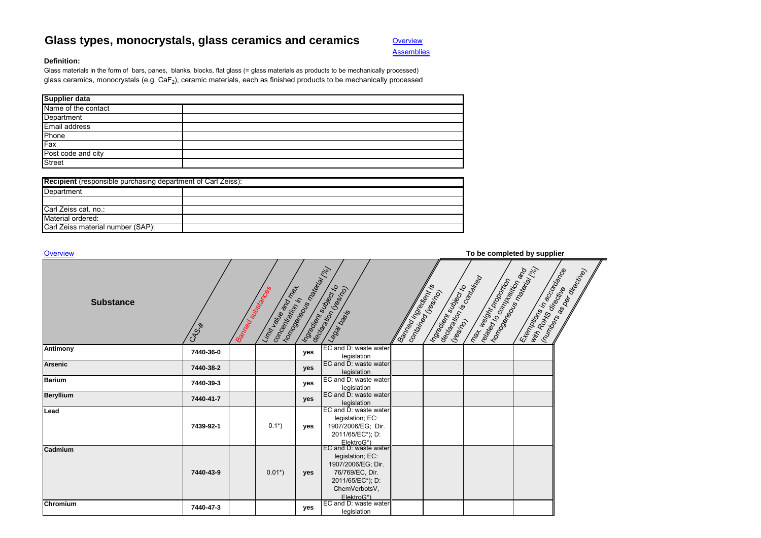# **Glass types, monocrystals, glass ceramics and ceramics**

Assemblies **Overview** 

## **Definition:**

Glass materials in the form of bars, panes, blanks, blocks, flat glass (= glass materials as products to be mechanically processed) glass ceramics, monocrystals (e.g.  $CaF<sub>2</sub>$ ), ceramic materials, each as finished products to be mechanically processed

| <b>Supplier data</b> |  |
|----------------------|--|
| Name of the contact  |  |
| Department           |  |
| Email address        |  |
| Phone                |  |
| Fax                  |  |
| Post code and city   |  |
| <b>Street</b>        |  |

| <b>Recipient</b> (responsible purchasing department of Carl Zeiss): |  |  |  |  |  |  |
|---------------------------------------------------------------------|--|--|--|--|--|--|
| Department                                                          |  |  |  |  |  |  |
|                                                                     |  |  |  |  |  |  |
| Carl Zeiss cat. no.:                                                |  |  |  |  |  |  |
| Material ordered:                                                   |  |  |  |  |  |  |
| Carl Zeiss material number (SAP):                                   |  |  |  |  |  |  |

## **Overview** To be completed by supplier<br>
To be completed by supplier<br>
So the state of the state of the state of the state of the state of the state of the state of the state of the state of the state of the state of the state of the s **Substance**A strategy of the contract of the contract of the contract of the contract of the contract of the contract of the contract of the contract of the contract of the contract of the contract of the contract of the contract of **Substance**<br> **Antimony**<br> **Antimony**<br> **Antimony**<br> **Antimony**<br> **Antimony**<br> **Paramic Prince of the Cand D: waste water**<br> **Paramic Prince of the Cand D: waste water**<br> **Paramic Prince of the Cand D: waste water**<br> **Paramic Princ Arsenicr 7440-38-2 b yes** EC and D: waste water **legislation Barium7440-39-3**<br>**7440-39-3**<br>**PEC** and D: waste water legislation **Beryllium**<br> **FREC and D: waste water** legislation<br> **Read B: waste water** legislation EC and D: waste water **Lead7439-92-1** 0.1\*) **yes** legislation; EC: 1907/2006/EG; Dir. 2011/65/EC\*); D: ElektroG\*) EC and D: waste water **Cadmium7440-43-9** 0.01\*) **yes** legislation; EC: 1907/2006/EG; Dir. 76/769/EC, Dir. 2011/65/EC\*); D: ChemVerbotsV, ElektroG\*)<br>EC and D: waste water **Chromium7440-47-3**<br>*7440-47-3 yes* EC and D: waste water legislation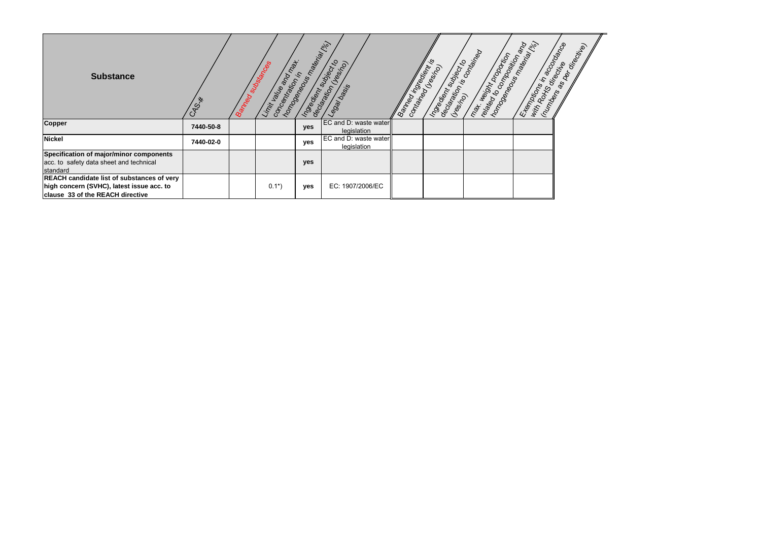| <b>Substance</b>                                                                                                            | CAS-*     | Banneo | Limit balle and the<br><b>Nudstances</b><br>Concentration in | homogeneous maister des<br>Ingegraphy subject to | decaming desired                     | Banned Indeed | Ingredient expect to<br>Contained (Egsp) | max. Weight proposition<br>esare do on desiron | Inomogene Capitalista Indiana<br>Examples of the door of day | with roys of active and developing |
|-----------------------------------------------------------------------------------------------------------------------------|-----------|--------|--------------------------------------------------------------|--------------------------------------------------|--------------------------------------|---------------|------------------------------------------|------------------------------------------------|--------------------------------------------------------------|------------------------------------|
| Copper                                                                                                                      | 7440-50-8 |        |                                                              | yes                                              | EC and D: waste water<br>legislation |               |                                          |                                                |                                                              |                                    |
| <b>Nickel</b>                                                                                                               | 7440-02-0 |        |                                                              | yes                                              | EC and D: waste water<br>legislation |               |                                          |                                                |                                                              |                                    |
| Specification of major/minor components<br>acc. to safety data sheet and technical<br>standard                              |           |        |                                                              | yes                                              |                                      |               |                                          |                                                |                                                              |                                    |
| REACH candidate list of substances of very<br>high concern (SVHC), latest issue acc. to<br>clause 33 of the REACH directive |           |        | $0.1^{*}$                                                    | <b>ves</b>                                       | EC: 1907/2006/EC                     |               |                                          |                                                |                                                              |                                    |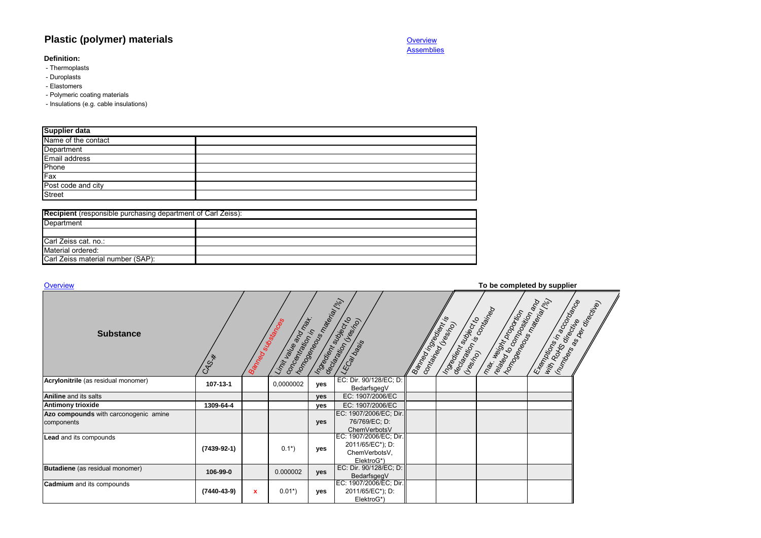# **Plastic (polymer) materials**

## **Definition:**

- Thermoplasts
- Duroplasts
- Elastomers
- Polymeric coating materials
- Insulations (e.g. cable insulations)

| <b>Supplier data</b> |  |
|----------------------|--|
| Name of the contact  |  |
| Department           |  |
| Email address        |  |
| Phone                |  |
| Fax                  |  |
| Post code and city   |  |
| <b>Street</b>        |  |

| Recipient (responsible purchasing department of Carl Zeiss): |  |  |  |  |  |  |
|--------------------------------------------------------------|--|--|--|--|--|--|
| Department                                                   |  |  |  |  |  |  |
|                                                              |  |  |  |  |  |  |
| Carl Zeiss cat. no.:                                         |  |  |  |  |  |  |
| Material ordered:                                            |  |  |  |  |  |  |
| Carl Zeiss material number (SAP):                            |  |  |  |  |  |  |

| Overview                                            | To be completed by supplier |                    |                                             |                                                    |                                                                           |                        |                                                        |                                                                                                                                                                                                                                                           |                                |  |
|-----------------------------------------------------|-----------------------------|--------------------|---------------------------------------------|----------------------------------------------------|---------------------------------------------------------------------------|------------------------|--------------------------------------------------------|-----------------------------------------------------------------------------------------------------------------------------------------------------------------------------------------------------------------------------------------------------------|--------------------------------|--|
| <b>Substance</b>                                    | CAS *                       | Bamed subsequences | Limit value and drawing<br>Concentration in | homogeneous Reteiring (e)<br>Ingegraphy subject to | laeolainn (Issan)<br>LECALGASS                                            | Bamed right of Maritim | Ingreview where the contained<br>lon <sub>taring</sub> | reaked to discontinue of the control of the discontinue of the discontinue of the control of the control of the control of the control of the control of the control of the control of the control of the control of the contr<br>max. Height proposition | Examples of a according to the |  |
| Acrylonitrile (as residual monomer)                 | 107-13-1                    |                    | 0,0000002                                   | yes                                                | EC: Dir. 90/128/EC; D:<br>BedarfsgegV                                     |                        |                                                        |                                                                                                                                                                                                                                                           |                                |  |
| <b>Aniline</b> and its salts                        |                             |                    |                                             | <b>ves</b>                                         | EC: 1907/2006/EC                                                          |                        |                                                        |                                                                                                                                                                                                                                                           |                                |  |
| <b>Antimony trioxide</b>                            | 1309-64-4                   |                    |                                             | <b>ves</b>                                         | EC: 1907/2006/EC                                                          |                        |                                                        |                                                                                                                                                                                                                                                           |                                |  |
| Azo compounds with carconogenic amine<br>components |                             |                    |                                             | yes                                                | EC: 1907/2006/EC; Dir.<br>76/769/EC; D:<br>ChemVerbotsV                   |                        |                                                        |                                                                                                                                                                                                                                                           |                                |  |
| <b>Lead and its compounds</b>                       | $(7439-92-1)$               |                    | $0.1^{*}$                                   | <b>ves</b>                                         | EC: 1907/2006/EC; Dir.<br>2011/65/EC*); D:<br>ChemVerbotsV,<br>ElektroG*) |                        |                                                        |                                                                                                                                                                                                                                                           |                                |  |
| Butadiene (as residual monomer)                     | 106-99-0                    |                    | 0.000002                                    | yes                                                | EC: Dir. 90/128/EC; D:<br>BedarfsgegV                                     |                        |                                                        |                                                                                                                                                                                                                                                           |                                |  |
| <b>Cadmium</b> and its compounds                    | $(7440 - 43 - 9)$           | $\mathbf x$        | $0.01^{*}$                                  | yes                                                | EC: 1907/2006/EC; Dir.<br>2011/65/EC*); D:<br>ElektroG*)                  |                        |                                                        |                                                                                                                                                                                                                                                           |                                |  |

Assemblies **Overview**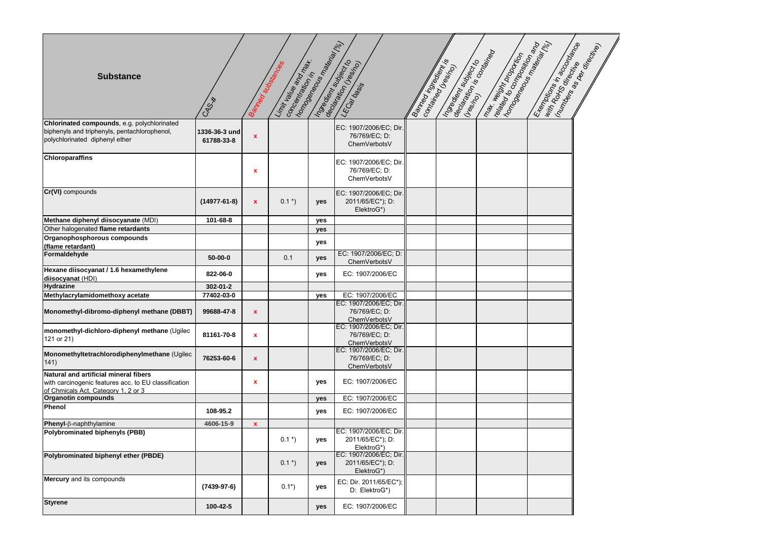| <b>Substance</b>                                                                                                                     | CAS-*                      | Bamed sure des des        | Concentration in Manuscript<br>Limit alle empty |     | Ingegraphy superior of<br>LECal basis                     | <b>Isameoripalista (Marchines)</b> | Ingream March 1976<br>Constance (Legation) | max. Weight book on the control of the data of the data of the data of the data of the data of the data of the data of the data of the data of the data of the data of the data of the data of the data of the data of the dat | Etemporas in according to |  |
|--------------------------------------------------------------------------------------------------------------------------------------|----------------------------|---------------------------|-------------------------------------------------|-----|-----------------------------------------------------------|------------------------------------|--------------------------------------------|--------------------------------------------------------------------------------------------------------------------------------------------------------------------------------------------------------------------------------|---------------------------|--|
| Chlorinated compounds, e.g. polychlorinated<br>biphenyls and triphenyls, pentachlorophenol,<br>polychlorinated diphenyl ether        | 336-36-3 und<br>61788-33-8 | $\boldsymbol{\mathsf{x}}$ |                                                 |     | EC: 1907/2006/EC; Dir.<br>76/769/EC; D:<br>ChemVerbotsV   |                                    |                                            |                                                                                                                                                                                                                                |                           |  |
| <b>Chloroparaffins</b>                                                                                                               |                            | $\boldsymbol{\mathsf{x}}$ |                                                 |     | EC: 1907/2006/EC; Dir.<br>76/769/EC; D:<br>ChemVerbotsV   |                                    |                                            |                                                                                                                                                                                                                                |                           |  |
| Cr(VI) compounds                                                                                                                     | $(14977-61-8)$             | $\boldsymbol{\mathsf{X}}$ | $0.1*$                                          | yes | EC: 1907/2006/EC; Dir.<br>2011/65/EC*); D:<br>ElektroG*)  |                                    |                                            |                                                                                                                                                                                                                                |                           |  |
| Methane diphenyl diisocyanate (MDI)                                                                                                  | 101-68-8                   |                           |                                                 | yes |                                                           |                                    |                                            |                                                                                                                                                                                                                                |                           |  |
| Other halogenated flame retardants                                                                                                   |                            |                           |                                                 | yes |                                                           |                                    |                                            |                                                                                                                                                                                                                                |                           |  |
| Organophosphorous compounds<br>(flame retardant)                                                                                     |                            |                           |                                                 | yes |                                                           |                                    |                                            |                                                                                                                                                                                                                                |                           |  |
| Formaldehyde                                                                                                                         | 50-00-0                    |                           | 0.1                                             | yes | EC: 1907/2006/EC; D:<br>ChemVerbotsV                      |                                    |                                            |                                                                                                                                                                                                                                |                           |  |
| Hexane diisocyanat / 1.6 hexamethylene<br>diisocyanat (HDI)                                                                          | 822-06-0                   |                           |                                                 | yes | EC: 1907/2006/EC                                          |                                    |                                            |                                                                                                                                                                                                                                |                           |  |
| <b>Hydrazine</b>                                                                                                                     | 302-01-2                   |                           |                                                 |     |                                                           |                                    |                                            |                                                                                                                                                                                                                                |                           |  |
| Methylacrylamidomethoxy acetate                                                                                                      | 77402-03-0                 |                           |                                                 | yes | EC: 1907/2006/EC                                          |                                    |                                            |                                                                                                                                                                                                                                |                           |  |
| Monomethyl-dibromo-diphenyl methane (DBBT)                                                                                           | 99688-47-8                 | $\boldsymbol{\mathsf{X}}$ |                                                 |     | EC: 1907/2006/EC; Dir.<br>76/769/EC; D:<br>ChemVerbotsV   |                                    |                                            |                                                                                                                                                                                                                                |                           |  |
| monomethyl-dichloro-diphenyl methane (Ugilec<br>121 or 21)                                                                           | 81161-70-8                 | $\mathbf x$               |                                                 |     | EC: 1907/2006/EC; Dir.<br>76/769/EC; D:<br>ChemVerbotsV   |                                    |                                            |                                                                                                                                                                                                                                |                           |  |
| Monomethyltetrachlorodiphenylmethane (Ugilec<br>141)                                                                                 | 76253-60-6                 | $\mathbf{x}$              |                                                 |     | EC: 1907/2006/EC; Dir.<br>76/769/EC; D:<br>ChemVerbotsV   |                                    |                                            |                                                                                                                                                                                                                                |                           |  |
| Natural and artificial mineral fibers<br>with carcinogenic features acc. to EU classification<br>of Chmicals Act, Category 1, 2 or 3 |                            | $\mathbf x$               |                                                 | yes | EC: 1907/2006/EC                                          |                                    |                                            |                                                                                                                                                                                                                                |                           |  |
| Organotin compounds                                                                                                                  |                            |                           |                                                 | yes | EC: 1907/2006/EC                                          |                                    |                                            |                                                                                                                                                                                                                                |                           |  |
| Phenol                                                                                                                               | 108-95.2                   |                           |                                                 | yes | EC: 1907/2006/EC                                          |                                    |                                            |                                                                                                                                                                                                                                |                           |  |
| Phenyl-ß-naphthylamine                                                                                                               | 4606-15-9                  | $\boldsymbol{\mathsf{X}}$ |                                                 |     |                                                           |                                    |                                            |                                                                                                                                                                                                                                |                           |  |
| Polybrominated biphenyls (PBB)                                                                                                       |                            |                           | $0.1*$                                          | yes | EC: 1907/2006/EC; Dir.<br>$2011/65/EC$ ; D:<br>ElektroG*) |                                    |                                            |                                                                                                                                                                                                                                |                           |  |
| Polybrominated biphenyl ether (PBDE)                                                                                                 |                            |                           | $0.1*$                                          | yes | EC: 1907/2006/EC; Dir.<br>2011/65/EC*); D:<br>ElektroG*)  |                                    |                                            |                                                                                                                                                                                                                                |                           |  |
| Mercury and its compounds                                                                                                            | $(7439-97-6)$              |                           | $0.1^*$                                         | yes | EC: Dir. 2011/65/EC*);<br>D: ElektroG*)                   |                                    |                                            |                                                                                                                                                                                                                                |                           |  |
| <b>Styrene</b>                                                                                                                       | 100-42-5                   |                           |                                                 | yes | EC: 1907/2006/EC                                          |                                    |                                            |                                                                                                                                                                                                                                |                           |  |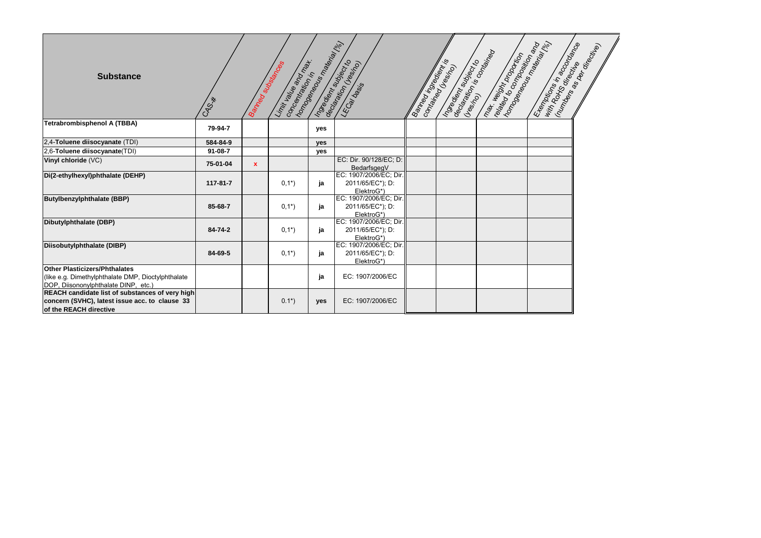| <b>Substance</b>                                                                                                                   | CAS-*         | Bamed subsequences | Limit alle early max<br>Concentration in | homogeneous Retail Island | Ingegraphy superinte<br>LECardags                        | Bamed in Breading | Ingerign adject to<br>Contained (Legation) | max. Weight before the control of the data of the data of the data of the data of the data of the data of the data of the data of the data of the data of the data of the data of the data of the data of the data of the data | Etampologia in according data |  |
|------------------------------------------------------------------------------------------------------------------------------------|---------------|--------------------|------------------------------------------|---------------------------|----------------------------------------------------------|-------------------|--------------------------------------------|--------------------------------------------------------------------------------------------------------------------------------------------------------------------------------------------------------------------------------|-------------------------------|--|
| <b>Tetrabrombisphenol A (TBBA)</b>                                                                                                 | 79-94-7       |                    |                                          | yes                       |                                                          |                   |                                            |                                                                                                                                                                                                                                |                               |  |
| 2,4-Toluene diisocyanate (TDI)                                                                                                     | 584-84-9      |                    |                                          | <b>ves</b>                |                                                          |                   |                                            |                                                                                                                                                                                                                                |                               |  |
| 2,6-Toluene diisocyanate(TDI)                                                                                                      | $91 - 08 - 7$ |                    |                                          | yes                       |                                                          |                   |                                            |                                                                                                                                                                                                                                |                               |  |
| Vinyl chloride (VC)                                                                                                                | 75-01-04      | $\mathbf{x}$       |                                          |                           | EC: Dir. 90/128/EC; D:<br>BedarfsgegV                    |                   |                                            |                                                                                                                                                                                                                                |                               |  |
| Di(2-ethylhexyl)phthalate (DEHP)                                                                                                   | 117-81-7      |                    | $0,1^*$                                  | ja                        | EC: 1907/2006/EC; Dir.<br>2011/65/EC*); D:<br>ElektroG*) |                   |                                            |                                                                                                                                                                                                                                |                               |  |
| <b>Butylbenzylphthalate (BBP)</b>                                                                                                  | 85-68-7       |                    | $0,1^{*}$                                | ja                        | EC: 1907/2006/EC; Dir.<br>2011/65/EC*); D:<br>ElektroG*) |                   |                                            |                                                                                                                                                                                                                                |                               |  |
| Dibutylphthalate (DBP)                                                                                                             | $84 - 74 - 2$ |                    | $0,1^{*}$                                | ja                        | EC: 1907/2006/EC; Dir.<br>2011/65/EC*); D:<br>ElektroG*) |                   |                                            |                                                                                                                                                                                                                                |                               |  |
| Diisobutylphthalate (DIBP)                                                                                                         | 84-69-5       |                    | $0,1^{*}$                                | ja                        | EC: 1907/2006/EC; Dir.<br>2011/65/EC*); D:<br>ElektroG*) |                   |                                            |                                                                                                                                                                                                                                |                               |  |
| <b>Other Plasticizers/Phthalates</b><br>(like e.g. Dimethylphthalate DMP, Dioctylphthalate<br>DOP, Diisononylphthalate DINP, etc.) |               |                    |                                          | ja                        | EC: 1907/2006/EC                                         |                   |                                            |                                                                                                                                                                                                                                |                               |  |
| REACH candidate list of substances of very high<br>concern (SVHC), latest issue acc. to clause 33<br>of the REACH directive        |               |                    | $0.1^{*}$                                | yes                       | EC: 1907/2006/EC                                         |                   |                                            |                                                                                                                                                                                                                                |                               |  |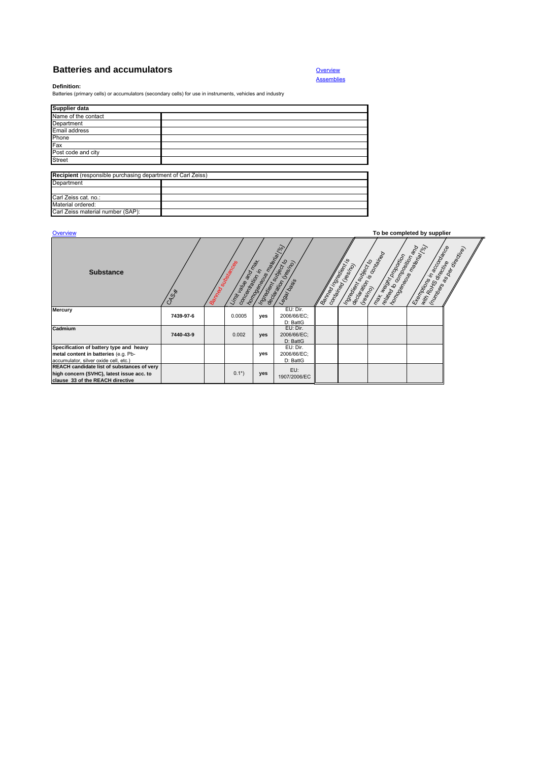## **Batteries and accumulators**

## **Assemblies Overview**

**Definition:** Batteries (primary cells) or accumulators (secondary cells) for use in instruments, vehicles and industry

| <b>Supplier data</b>                                        |  |  |  |  |  |  |  |
|-------------------------------------------------------------|--|--|--|--|--|--|--|
| Name of the contact                                         |  |  |  |  |  |  |  |
| Department                                                  |  |  |  |  |  |  |  |
| Email address                                               |  |  |  |  |  |  |  |
| Phone                                                       |  |  |  |  |  |  |  |
| Fax                                                         |  |  |  |  |  |  |  |
| Post code and city                                          |  |  |  |  |  |  |  |
| <b>Street</b>                                               |  |  |  |  |  |  |  |
|                                                             |  |  |  |  |  |  |  |
| Recipient (responsible purchasing department of Carl Zeiss) |  |  |  |  |  |  |  |
| Department                                                  |  |  |  |  |  |  |  |
|                                                             |  |  |  |  |  |  |  |
| Carl Zeiss cat. no.:                                        |  |  |  |  |  |  |  |
| Material ordered:                                           |  |  |  |  |  |  |  |
| Carl Zeiss material number (SAP):                           |  |  |  |  |  |  |  |

| Overview                                                                                                                    |           |                     |                                                 |                        |                                     |                    |                       |                                                                                            | To be completed by supplier                                                                                                                                                                                                                                |                                                               |
|-----------------------------------------------------------------------------------------------------------------------------|-----------|---------------------|-------------------------------------------------|------------------------|-------------------------------------|--------------------|-----------------------|--------------------------------------------------------------------------------------------|------------------------------------------------------------------------------------------------------------------------------------------------------------------------------------------------------------------------------------------------------------|---------------------------------------------------------------|
| <b>Substance</b>                                                                                                            | CAS-*     | Banned subsidingles | Limit balle and Manufacture<br>concentration in | formed ends many after | Ingerience de Capital               | Banned in Breadway | lon <sub>taried</sub> | Ingreening superior Contractor<br>max. Height proposition<br>reader to compromise the form | <b>I one of the department of the Contract of Contract of Contract of Contract of Contract of Contract of Contract of Contract of Contract of Contract of Contract of Contract of Contract of Contract of Contract of Contract o</b><br>Espringer Readance | <b>Intrades as permitted as a contract of the development</b> |
| <b>Mercury</b>                                                                                                              | 7439-97-6 |                     | 0.0005                                          | yes                    | EU: Dir.<br>2006/66/EC;<br>D: BattG |                    |                       |                                                                                            |                                                                                                                                                                                                                                                            |                                                               |
| Cadmium                                                                                                                     | 7440-43-9 |                     | 0.002                                           | yes                    | EU: Dir.<br>2006/66/EC;<br>D: BattG |                    |                       |                                                                                            |                                                                                                                                                                                                                                                            |                                                               |
| Specification of battery type and heavy<br>metal content in batteries (e.g. Pb-<br>accumulator, silver oxide cell, etc.)    |           |                     |                                                 | yes                    | EU: Dir.<br>2006/66/EC;<br>D: BattG |                    |                       |                                                                                            |                                                                                                                                                                                                                                                            |                                                               |
| REACH candidate list of substances of very<br>high concern (SVHC), latest issue acc. to<br>clause 33 of the REACH directive |           |                     | $0.1^*$                                         | yes                    | EU:<br>1907/2006/EC                 |                    |                       |                                                                                            |                                                                                                                                                                                                                                                            |                                                               |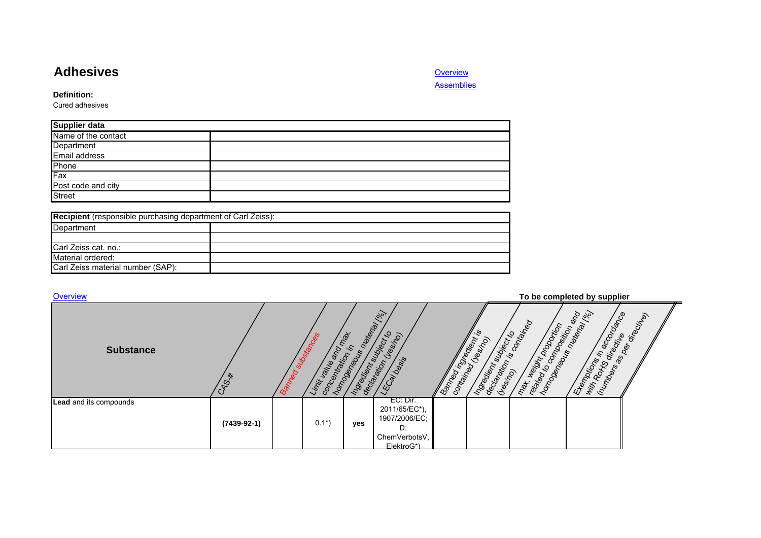# **Adhesives**

Overview

Assemblies

**Definition:**

Cured adhesives

| <b>Supplier data</b> |  |
|----------------------|--|
| Name of the contact  |  |
| Department           |  |
| Email address        |  |
| Phone                |  |
| Fax                  |  |
| Post code and city   |  |
| <b>Street</b>        |  |

| Recipient (responsible purchasing department of Carl Zeiss): |  |  |  |  |  |  |
|--------------------------------------------------------------|--|--|--|--|--|--|
| Department                                                   |  |  |  |  |  |  |
|                                                              |  |  |  |  |  |  |
| Carl Zeiss cat. no.:                                         |  |  |  |  |  |  |
| Material ordered:                                            |  |  |  |  |  |  |
| Carl Zeiss material number (SAP):                            |  |  |  |  |  |  |

| Overview               |               |        |                                                     |                          |                                                                                |                                       |                                     |                           | To be completed by supplier                |  |
|------------------------|---------------|--------|-----------------------------------------------------|--------------------------|--------------------------------------------------------------------------------|---------------------------------------|-------------------------------------|---------------------------|--------------------------------------------|--|
| <b>Substance</b>       | CAS.          | Banned | SUDSTATIONS<br>concentration in<br>Limit balles and | homogeneous material (b) | Ingregient subject to<br>ECal basis                                            | Ramed its collection<br><b>Banned</b> | Indeeping Section of the Contractor | max. Height expression of | <b>97000</b><br>Exemption of Recognization |  |
| Lead and its compounds | $(7439-92-1)$ |        | $0.1*)$                                             | yes                      | EC: Dir.<br>2011/65/EC*)<br>1907/2006/EC;<br>D:<br>ChemVerbotsV,<br>ElektroG*) |                                       |                                     |                           |                                            |  |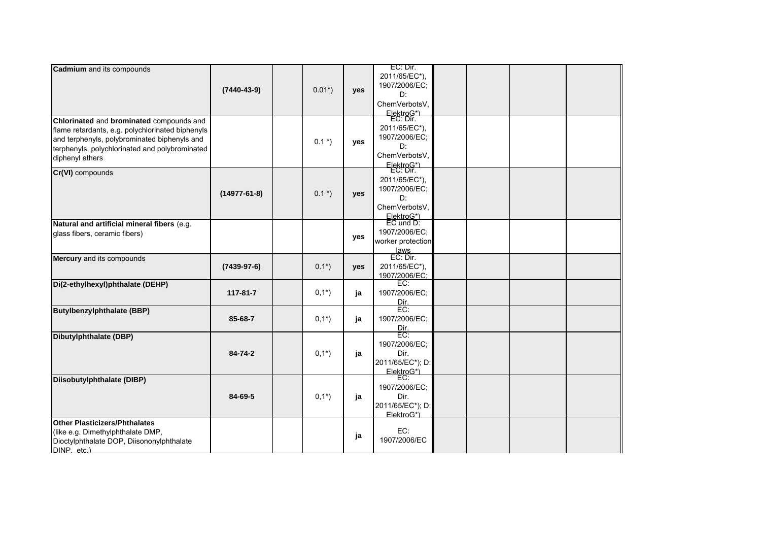|                                                                                                                                                                                                                   |                   |            |     | EC: Dir.                                                                                       |  |  |
|-------------------------------------------------------------------------------------------------------------------------------------------------------------------------------------------------------------------|-------------------|------------|-----|------------------------------------------------------------------------------------------------|--|--|
| <b>Cadmium</b> and its compounds                                                                                                                                                                                  | $(7440 - 43 - 9)$ | $0.01^{*}$ | yes | 2011/65/EC*),<br>1907/2006/EC;<br>D:<br>ChemVerbotsV,<br>ElektroG*)                            |  |  |
| Chlorinated and brominated compounds and<br>flame retardants, e.g. polychlorinated biphenyls<br>and terphenyls, polybrominated biphenyls and<br>terphenyls, polychlorinated and polybrominated<br>diphenyl ethers |                   | $0.1*$     | yes | 2011/65/EC*),<br>1907/2006/EC;<br>D:<br>ChemVerbotsV.                                          |  |  |
| Cr(VI) compounds                                                                                                                                                                                                  | $(14977-61-8)$    | $0.1*$     | yes | ElektroG*)<br>2011/65/EC*),<br>1907/2006/EC;<br>D:<br>ChemVerbotsV,<br>ElektroG*)<br>EC und D: |  |  |
| Natural and artificial mineral fibers (e.g.<br>glass fibers, ceramic fibers)                                                                                                                                      |                   |            | yes | 1907/2006/EC;<br>worker protection<br>laws                                                     |  |  |
| Mercury and its compounds                                                                                                                                                                                         | $(7439 - 97 - 6)$ | $0.1^{*}$  | yes | EC: Dir.<br>2011/65/EC*),<br>1907/2006/EC;                                                     |  |  |
| Di(2-ethylhexyl)phthalate (DEHP)                                                                                                                                                                                  | 117-81-7          | $0,1^{*}$  | ja  | EC:<br>1907/2006/EC:<br>Dir.                                                                   |  |  |
| <b>Butylbenzylphthalate (BBP)</b>                                                                                                                                                                                 | 85-68-7           | $0,1^{*}$  | ja  | EC:<br>1907/2006/EC;<br>$\frac{Dir}{EC}$                                                       |  |  |
| Dibutylphthalate (DBP)                                                                                                                                                                                            | 84-74-2           | $0,1^*$    | ja  | 1907/2006/EC;<br>Dir.<br>2011/65/EC*); D:<br>ElektroG*)                                        |  |  |
| Diisobutylphthalate (DIBP)                                                                                                                                                                                        | 84-69-5           | $0,1^*$    | ja  | EC:<br>1907/2006/EC;<br>Dir.<br>2011/65/EC*); D:<br>ElektroG*)                                 |  |  |
| <b>Other Plasticizers/Phthalates</b><br>(like e.g. Dimethylphthalate DMP,<br>Dioctylphthalate DOP, Diisononylphthalate<br>DINP etc.)                                                                              |                   |            | ја  | EC:<br>1907/2006/EC                                                                            |  |  |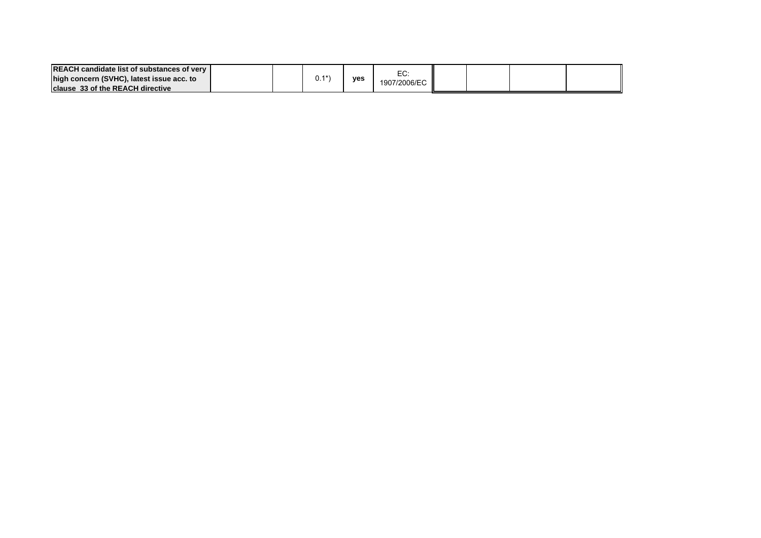| <b>REACH candidate list of substances of very</b> |       |     | $-\sim$            |  |  |
|---------------------------------------------------|-------|-----|--------------------|--|--|
| high concern (SVHC), latest issue acc. to         | \ 4 * | ves | ∟∪<br>1907/2006/EC |  |  |
| <b>Iclause 33 of the REACH directive</b>          |       |     |                    |  |  |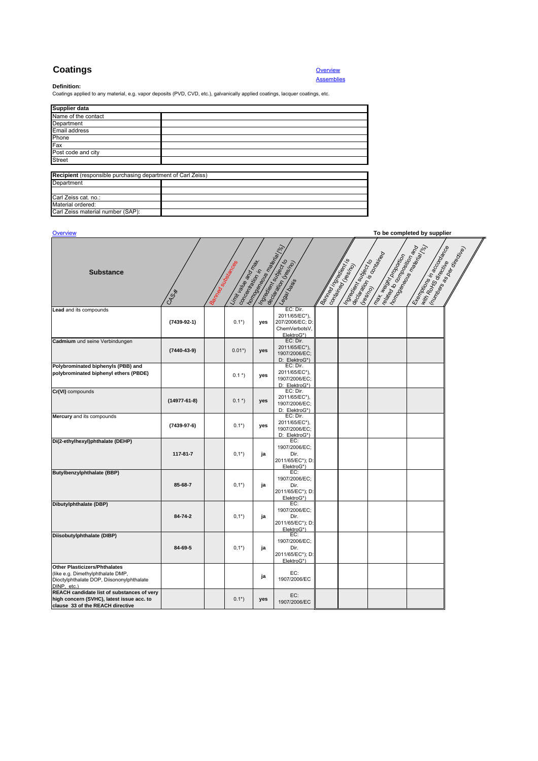# **Coatings**

## **Assemblies Overview**

**Definition:**<br>Coatings applied to any material, e.g. vapor deposits (PVD, CVD, etc.), galvanically applied coatings, lacquer coatings, etc.

| <b>Supplier data</b>                                        |  |
|-------------------------------------------------------------|--|
| Name of the contact                                         |  |
| Department                                                  |  |
| Email address                                               |  |
| Phone                                                       |  |
| Fax                                                         |  |
| Post code and city                                          |  |
| <b>Street</b>                                               |  |
|                                                             |  |
| Recipient (responsible purchasing department of Carl Zeiss) |  |
| Department                                                  |  |
|                                                             |  |
| Carl Zeiss cat. no.:                                        |  |
| Material ordered:                                           |  |
| Carl Zeiss material number (SAP):                           |  |

| Overview                                                                                                                              |                   |                          |                                          |                            |                                                                            |                                |                                         |                                                                                     | To be completed by supplier                                                                                                                                                                                                    |  |
|---------------------------------------------------------------------------------------------------------------------------------------|-------------------|--------------------------|------------------------------------------|----------------------------|----------------------------------------------------------------------------|--------------------------------|-----------------------------------------|-------------------------------------------------------------------------------------|--------------------------------------------------------------------------------------------------------------------------------------------------------------------------------------------------------------------------------|--|
| <b>Substance</b>                                                                                                                      | CAST              | Bamego superior designed | Limit alle and rate.<br>concentration in | Intrigonous oracle all (8) | Ingleasing Support<br>Legal basis                                          | <b>Isameorial Registration</b> | Ingeland expert<br>contented (resimply) | Reserve Company (Maria de la Casa)<br>asa align and a content<br>nax Weight Depoted | Every miles of a decision of a distribution of a distribution of a distribution of a distribution of a distribution of a distribution of a distribution of a distribution of a distribution of a distribution of a distributio |  |
| Lead and its compounds                                                                                                                | $(7439-92-1)$     |                          | $0.1^*$                                  | yes                        | EC: Dir.<br>2011/65/EC*),<br>207/2006/EC; D<br>ChemVerbotsV,<br>ElektroG*) |                                |                                         |                                                                                     |                                                                                                                                                                                                                                |  |
| Cadmium und seine Verbindungen                                                                                                        | $(7440 - 43 - 9)$ |                          | $0.01^{*}$ )                             | yes                        | EC: Dir.<br>2011/65/EC*),<br>1907/2006/EC:<br>D: ElektroG*)                |                                |                                         |                                                                                     |                                                                                                                                                                                                                                |  |
| Polybrominated biphenyls (PBB) and<br>polybrominated biphenyl ethers (PBDE)                                                           |                   |                          | $0.1*$                                   | yes                        | EC: Dir.<br>2011/65/EC*),<br>1907/2006/EC;<br>D: ElektroG*)                |                                |                                         |                                                                                     |                                                                                                                                                                                                                                |  |
| Cr(VI) compounds                                                                                                                      | $(14977-61-8)$    |                          | $0.1*$                                   | yes                        | EC: Dir.<br>2011/65/EC*),<br>1907/2006/EC;<br>D: ElektroG*)                |                                |                                         |                                                                                     |                                                                                                                                                                                                                                |  |
| Mercury and its compounds                                                                                                             | $(7439-97-6)$     |                          | $0.1^*$                                  | yes                        | EC: Dir.<br>2011/65/EC*),<br>1907/2006/EC;<br>D: ElektroG*)                |                                |                                         |                                                                                     |                                                                                                                                                                                                                                |  |
| Di(2-ethylhexyl)phthalate (DEHP)                                                                                                      | 117-81-7          |                          | $0,1^{*}$                                | ja                         | EC:<br>1907/2006/EC;<br>Dir.<br>2011/65/EC*); D:<br>ElektroG*)             |                                |                                         |                                                                                     |                                                                                                                                                                                                                                |  |
| <b>Butylbenzylphthalate (BBP)</b>                                                                                                     | 85-68-7           |                          | $0,1^*$                                  | ja                         | EC:<br>1907/2006/EC;<br>Dir.<br>2011/65/EC*); D:<br>ElektroG*)             |                                |                                         |                                                                                     |                                                                                                                                                                                                                                |  |
| Dibutylphthalate (DBP)                                                                                                                | 84-74-2           |                          | $0,1^*$                                  | ja                         | EC:<br>1907/2006/EC;<br>Dir.<br>2011/65/EC*); D:<br>ElektroG*)             |                                |                                         |                                                                                     |                                                                                                                                                                                                                                |  |
| Diisobutylphthalate (DIBP)                                                                                                            | 84-69-5           |                          | $0,1^*$                                  | ja                         | EC:<br>1907/2006/EC;<br>Dir.<br>2011/65/EC*); D:<br>ElektroG*)             |                                |                                         |                                                                                     |                                                                                                                                                                                                                                |  |
| <b>Other Plasticizers/Phthalates</b><br>(like e.g. Dimethylphthalate DMP,<br>Dioctylphthalate DOP, Diisononylphthalate<br>DINP. etc.) |                   |                          |                                          | ja                         | EC:<br>1907/2006/EC                                                        |                                |                                         |                                                                                     |                                                                                                                                                                                                                                |  |
| REACH candidate list of substances of very<br>high concern (SVHC), latest issue acc. to<br>clause 33 of the REACH directive           |                   |                          | $0.1*)$                                  | yes                        | EC:<br>1907/2006/EC                                                        |                                |                                         |                                                                                     |                                                                                                                                                                                                                                |  |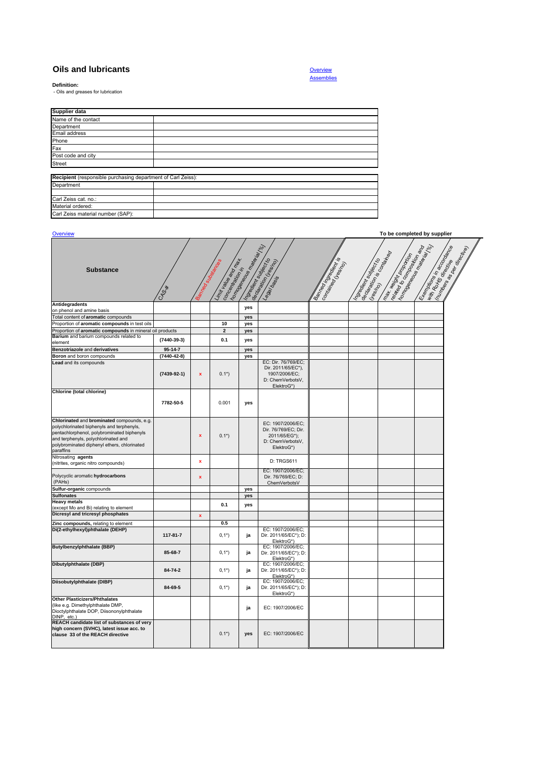## **Oils and lubricants**

**Definition:** - Oils and greases for lubrication

| Supplier data                                                |  |
|--------------------------------------------------------------|--|
| Name of the contact                                          |  |
| Department                                                   |  |
| Email address                                                |  |
| Phone                                                        |  |
| Fax                                                          |  |
| Post code and city                                           |  |
| <b>Street</b>                                                |  |
|                                                              |  |
| Recipient (responsible purchasing department of Carl Zeiss): |  |
| Department                                                   |  |
|                                                              |  |
| Carl Zeiss cat. no.:                                         |  |
| Material ordered:                                            |  |
| Carl Zeiss material number (SAP):                            |  |

| Overview                                                                                                                                                                                                                                 |                   |                   |                                           |                                                       |                                                                                              |                                           |                                             |                                             | To be completed by supplier |
|------------------------------------------------------------------------------------------------------------------------------------------------------------------------------------------------------------------------------------------|-------------------|-------------------|-------------------------------------------|-------------------------------------------------------|----------------------------------------------------------------------------------------------|-------------------------------------------|---------------------------------------------|---------------------------------------------|-----------------------------|
| <b>Substance</b>                                                                                                                                                                                                                         | CAS **            | Banned substances | Limit sales and rated<br>Concentration in | Introduction of the Hall (2)<br>1978 (Sepandary 1979) | asora di Casaro<br>Legay<br>Bay<br>Basis                                                     | Barned in Greenier<br>Conserved (Lessing) | lecasement and area and<br>I do ogen erdeor | (asaro compression)<br>nax weight broadcast | Esprences Indian Reserved - |
| <b>Antidegradents</b><br>on phenol and amine basis                                                                                                                                                                                       |                   |                   |                                           | yes                                                   |                                                                                              |                                           |                                             |                                             |                             |
| Total content of aromatic compounds                                                                                                                                                                                                      |                   |                   |                                           | yes                                                   |                                                                                              |                                           |                                             |                                             |                             |
| Proportion of aromatic compounds in test oils                                                                                                                                                                                            |                   |                   | 10                                        | yes                                                   |                                                                                              |                                           |                                             |                                             |                             |
| Proportion of aromatic compounds in mineral oil products                                                                                                                                                                                 |                   |                   | $\mathbf 2$                               | yes                                                   |                                                                                              |                                           |                                             |                                             |                             |
| Barium and barium compounds related to<br>element                                                                                                                                                                                        | $(7440 - 39 - 3)$ |                   | 0.1                                       | yes                                                   |                                                                                              |                                           |                                             |                                             |                             |
| Benzotriazole and derivatives                                                                                                                                                                                                            | $95 - 14 - 7$     |                   |                                           | yes                                                   |                                                                                              |                                           |                                             |                                             |                             |
| Boron and boron compounds                                                                                                                                                                                                                | $(7440 - 42 - 8)$ |                   |                                           | yes                                                   |                                                                                              |                                           |                                             |                                             |                             |
| Lead and its compounds                                                                                                                                                                                                                   | $(7439 - 92 - 1)$ | $\mathbf x$       | $0.1^{*}$                                 |                                                       | EC: Dir. 76/769/EC;<br>Dir. 2011/65/EC*),<br>1907/2006/EC;<br>D: ChemVerbotsV,<br>ElektroG*) |                                           |                                             |                                             |                             |
| Chlorine (total chlorine)                                                                                                                                                                                                                | 7782-50-5         |                   | 0.001                                     | yes                                                   |                                                                                              |                                           |                                             |                                             |                             |
| Chlorinated and brominated compounds, e.g.<br>polychlorinated biphenyls and terphenyls,<br>pentachlorphenol, polybrominated biphenyls<br>and terphenyls, polychlorinated and<br>polybrominated diphenyl ethers, chlorinated<br>paraffins |                   | $\mathbf x$       | $0.1^{*}$                                 |                                                       | EC: 1907/2006/EC;<br>Dir. 76/769/EC; Dir.<br>2011/65/EG*);<br>D: ChemVerbotsV,<br>ElektroG*) |                                           |                                             |                                             |                             |
| Nitrosating agents<br>(nitrites, organic nitro compounds)                                                                                                                                                                                |                   | x                 |                                           |                                                       | D: TRGS611                                                                                   |                                           |                                             |                                             |                             |
| Polycyclic aromatic hydrocarbons<br>(PAHs)                                                                                                                                                                                               |                   | $\mathbf{x}$      |                                           |                                                       | EC: 1907/2006/EC;<br>Dir. 76/769/EC; D:<br>ChemVerbotsV                                      |                                           |                                             |                                             |                             |
| Sulfur-organic compounds                                                                                                                                                                                                                 |                   |                   |                                           | yes                                                   |                                                                                              |                                           |                                             |                                             |                             |
| <b>Sulfonates</b>                                                                                                                                                                                                                        |                   |                   |                                           | yes                                                   |                                                                                              |                                           |                                             |                                             |                             |
| <b>Heavy metals</b>                                                                                                                                                                                                                      |                   |                   | 0.1                                       | yes                                                   |                                                                                              |                                           |                                             |                                             |                             |
| (except Mo and Bi) relating to element                                                                                                                                                                                                   |                   |                   |                                           |                                                       |                                                                                              |                                           |                                             |                                             |                             |
| Dicresyl and tricresyl phosphates                                                                                                                                                                                                        |                   | $\mathbf{x}$      |                                           |                                                       |                                                                                              |                                           |                                             |                                             |                             |
| Zinc compounds, relating to element<br>Di(2-ethylhexyl)phthalate (DEHP)                                                                                                                                                                  | 117-81-7          |                   | 0.5<br>$0,1^{*}$                          | ja                                                    | EC: 1907/2006/EC;<br>Dir. 2011/65/EC*); D:<br>ElektroG*)                                     |                                           |                                             |                                             |                             |
| <b>Butylbenzylphthalate (BBP)</b>                                                                                                                                                                                                        | 85-68-7           |                   | $0,1^{*}$                                 | ja                                                    | EC: 1907/2006/EC;<br>Dir. 2011/65/EC*); D:<br>ElektroG*)                                     |                                           |                                             |                                             |                             |
| Dibutylphthalate (DBP)                                                                                                                                                                                                                   | 84-74-2           |                   | $0,1^{*}$                                 | ja                                                    | EC: 1907/2006/EC;<br>Dir. 2011/65/EC*); D:<br>ElektroG*)                                     |                                           |                                             |                                             |                             |
| Diisobutylphthalate (DIBP)                                                                                                                                                                                                               | 84-69-5           |                   | $0,1^{*}$                                 | ja                                                    | EC: 1907/2006/EC;<br>Dir. 2011/65/EC*); D:<br>ElektroG*)                                     |                                           |                                             |                                             |                             |
| <b>Other Plasticizers/Phthalates</b><br>(like e.g. Dimethylphthalate DMP,<br>Dioctylphthalate DOP, Diisononylphthalate<br>DINP. etc.)                                                                                                    |                   |                   |                                           | ja                                                    | EC: 1907/2006/EC                                                                             |                                           |                                             |                                             |                             |
| REACH candidate list of substances of very<br>high concern (SVHC), latest issue acc. to<br>clause 33 of the REACH directive                                                                                                              |                   |                   | $0.1^{*}$                                 | yes                                                   | EC: 1907/2006/EC                                                                             |                                           |                                             |                                             |                             |

**Assemblies Overview**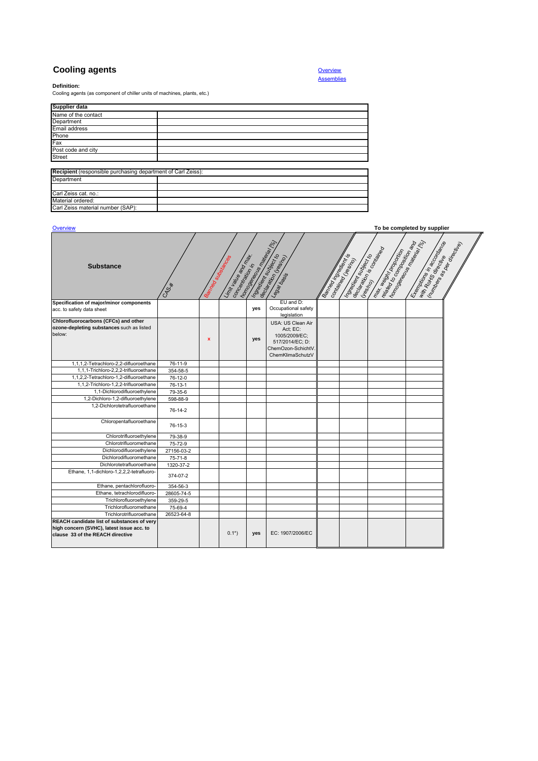# **Cooling agents**

## **Definition:**

Cooling agents (as component of chiller units of machines, plants, etc.)

| Supplier data                                                |  |
|--------------------------------------------------------------|--|
| Name of the contact                                          |  |
| Department                                                   |  |
| <b>Email address</b>                                         |  |
| Phone                                                        |  |
| Fax                                                          |  |
| Post code and city                                           |  |
| <b>Street</b>                                                |  |
|                                                              |  |
| Recipient (responsible purchasing department of Carl Zeiss): |  |
| Department                                                   |  |
|                                                              |  |
| Carl Zeiss cat. no.:                                         |  |
| Material ordered:                                            |  |
| Carl Zeiss material number (SAP):                            |  |

| <b>Overview</b>                                                                             |               |                 |                                        |                                                |                                                                                                             |                      |                                      |                                                                                                         | To be completed by supplier                                                                                                                                                                                                                                                     |                            |
|---------------------------------------------------------------------------------------------|---------------|-----------------|----------------------------------------|------------------------------------------------|-------------------------------------------------------------------------------------------------------------|----------------------|--------------------------------------|---------------------------------------------------------------------------------------------------------|---------------------------------------------------------------------------------------------------------------------------------------------------------------------------------------------------------------------------------------------------------------------------------|----------------------------|
| <b>Substance</b>                                                                            | CAS*          | Bamed subseques | Limit Bile Brotten<br>concentration in | Inmagement making in the<br>Interestion Review | deciation (resident<br>Legal bags                                                                           | Banney in Great Isla | Indiana Readan<br>consined (resident | <b>Reader of Companying Reader</b><br>acea <sub>dation is constructed</sub><br>max. Wellington promises | <b>I Proposition Control Capital Capital Capital Capital Capital Capital Capital Capital Capital Capital Capital Capital Capital Capital Capital Capital Capital Capital Capital Capital Capital Capital Capital Capital Capital</b><br>Esemployer Reader<br>With Role of River | (numbers as per directive) |
| Specification of major/minor components                                                     |               |                 |                                        |                                                | EU and D:                                                                                                   |                      |                                      |                                                                                                         |                                                                                                                                                                                                                                                                                 |                            |
| acc. to safety data sheet                                                                   |               |                 |                                        | yes                                            | Occupational safety<br>legislation                                                                          |                      |                                      |                                                                                                         |                                                                                                                                                                                                                                                                                 |                            |
| Chlorofluorocarbons (CFCs) and other<br>ozone-depleting substances such as listed<br>below: |               | x               |                                        | yes                                            | USA: US Clean Air<br>Act: EC:<br>1005/2009/EC;<br>517/2014/EC; D:<br>ChemOzon-SchichtV.<br>ChemKlimaSchutzV |                      |                                      |                                                                                                         |                                                                                                                                                                                                                                                                                 |                            |
| 1,1,1,2-Tetrachloro-2,2-difluoroethane                                                      | 76-11-9       |                 |                                        |                                                |                                                                                                             |                      |                                      |                                                                                                         |                                                                                                                                                                                                                                                                                 |                            |
| 1,1,1-Trichloro-2,2,2-trifluoroethane                                                       | 354-58-5      |                 |                                        |                                                |                                                                                                             |                      |                                      |                                                                                                         |                                                                                                                                                                                                                                                                                 |                            |
| 1,1,2,2-Tetrachloro-1,2-difluoroethane                                                      | 76-12-0       |                 |                                        |                                                |                                                                                                             |                      |                                      |                                                                                                         |                                                                                                                                                                                                                                                                                 |                            |
| 1,1,2-Trichloro-1,2,2-trifluoroethane                                                       | $76 - 13 - 1$ |                 |                                        |                                                |                                                                                                             |                      |                                      |                                                                                                         |                                                                                                                                                                                                                                                                                 |                            |
| 1,1-Dichlorodifluoroethylene                                                                | 79-35-6       |                 |                                        |                                                |                                                                                                             |                      |                                      |                                                                                                         |                                                                                                                                                                                                                                                                                 |                            |
| 1,2-Dichloro-1,2-difluoroethylene                                                           | 598-88-9      |                 |                                        |                                                |                                                                                                             |                      |                                      |                                                                                                         |                                                                                                                                                                                                                                                                                 |                            |
| 1.2-Dichlorotetrafluoroethane                                                               | 76-14-2       |                 |                                        |                                                |                                                                                                             |                      |                                      |                                                                                                         |                                                                                                                                                                                                                                                                                 |                            |
| Chloropentafluoroethane                                                                     | 76-15-3       |                 |                                        |                                                |                                                                                                             |                      |                                      |                                                                                                         |                                                                                                                                                                                                                                                                                 |                            |
| Chlorotrifluoroethylene                                                                     | 79-38-9       |                 |                                        |                                                |                                                                                                             |                      |                                      |                                                                                                         |                                                                                                                                                                                                                                                                                 |                            |
| Chlorotrifluoromethane                                                                      | 75-72-9       |                 |                                        |                                                |                                                                                                             |                      |                                      |                                                                                                         |                                                                                                                                                                                                                                                                                 |                            |
| Dichlorodifluoroethylene                                                                    | 27156-03-2    |                 |                                        |                                                |                                                                                                             |                      |                                      |                                                                                                         |                                                                                                                                                                                                                                                                                 |                            |
| Dichlorodifluoromethane                                                                     | $75 - 71 - 8$ |                 |                                        |                                                |                                                                                                             |                      |                                      |                                                                                                         |                                                                                                                                                                                                                                                                                 |                            |
| Dichlorotetrafluoroethane                                                                   | 1320-37-2     |                 |                                        |                                                |                                                                                                             |                      |                                      |                                                                                                         |                                                                                                                                                                                                                                                                                 |                            |
| Ethane, 1,1-dichloro-1,2,2,2-tetrafluoro-                                                   | 374-07-2      |                 |                                        |                                                |                                                                                                             |                      |                                      |                                                                                                         |                                                                                                                                                                                                                                                                                 |                            |
| Ethane, pentachlorofluoro-                                                                  | 354-56-3      |                 |                                        |                                                |                                                                                                             |                      |                                      |                                                                                                         |                                                                                                                                                                                                                                                                                 |                            |
| Ethane, tetrachlorodifluoro-                                                                | 28605-74-5    |                 |                                        |                                                |                                                                                                             |                      |                                      |                                                                                                         |                                                                                                                                                                                                                                                                                 |                            |
| Trichlorofluoroethylene                                                                     | 359-29-5      |                 |                                        |                                                |                                                                                                             |                      |                                      |                                                                                                         |                                                                                                                                                                                                                                                                                 |                            |
| Trichlorofluoromethane                                                                      | 75-69-4       |                 |                                        |                                                |                                                                                                             |                      |                                      |                                                                                                         |                                                                                                                                                                                                                                                                                 |                            |
| Trichlorotrifluoroethane                                                                    | 26523-64-8    |                 |                                        |                                                |                                                                                                             |                      |                                      |                                                                                                         |                                                                                                                                                                                                                                                                                 |                            |
| REACH candidate list of substances of very                                                  |               |                 |                                        |                                                |                                                                                                             |                      |                                      |                                                                                                         |                                                                                                                                                                                                                                                                                 |                            |
| high concern (SVHC), latest issue acc. to<br>clause 33 of the REACH directive               |               |                 | $0.1^{*}$                              | yes                                            | EC: 1907/2006/EC                                                                                            |                      |                                      |                                                                                                         |                                                                                                                                                                                                                                                                                 |                            |

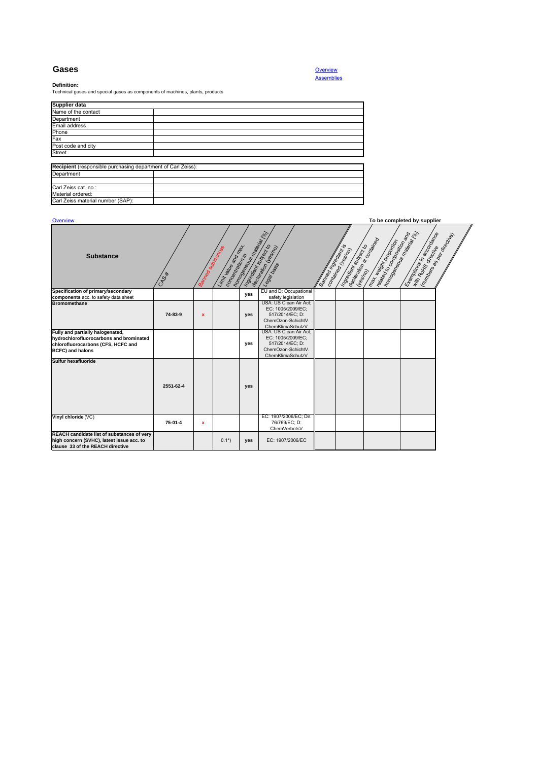# **Gases**

**Definition:** Technical gases and special gases as components of machines, plants, products

| Supplier data                                                |  |  |  |  |  |  |  |  |  |
|--------------------------------------------------------------|--|--|--|--|--|--|--|--|--|
| Name of the contact                                          |  |  |  |  |  |  |  |  |  |
| Department                                                   |  |  |  |  |  |  |  |  |  |
| Email address                                                |  |  |  |  |  |  |  |  |  |
| Phone                                                        |  |  |  |  |  |  |  |  |  |
| Fax                                                          |  |  |  |  |  |  |  |  |  |
| Post code and city                                           |  |  |  |  |  |  |  |  |  |
| <b>Street</b>                                                |  |  |  |  |  |  |  |  |  |
|                                                              |  |  |  |  |  |  |  |  |  |
| Recipient (responsible purchasing department of Carl Zeiss): |  |  |  |  |  |  |  |  |  |
| Department                                                   |  |  |  |  |  |  |  |  |  |
|                                                              |  |  |  |  |  |  |  |  |  |
| Carl Zeiss cat. no.:                                         |  |  |  |  |  |  |  |  |  |
| Material ordered:                                            |  |  |  |  |  |  |  |  |  |
| Carl Zeiss material number (SAP):                            |  |  |  |  |  |  |  |  |  |

| Overview                                                                                                                                     |           |                  |                                          |                                                  |                                                                                                                                |                 |                                             |                                                                                                      | To be completed by supplier                                                                                   |  |
|----------------------------------------------------------------------------------------------------------------------------------------------|-----------|------------------|------------------------------------------|--------------------------------------------------|--------------------------------------------------------------------------------------------------------------------------------|-----------------|---------------------------------------------|------------------------------------------------------------------------------------------------------|---------------------------------------------------------------------------------------------------------------|--|
| <b>Substance</b>                                                                                                                             | CASX      | Bamed & Motorces | Limit rate and ready<br>concentration in | Iomaeneous materiales (h.<br>Insegance Residence | declaration (restriction)<br>Legal design                                                                                      | Bameering Manus | I TOROKAN SUBSICI ID<br>contained (Lessier) | restar o communicação de la capital<br>eco <sub>ration is constructed</sub><br>max. Weight beginning | Espression and description of the contract of the contract of the contract of the contract of the contract of |  |
| Specification of primary/secondary                                                                                                           |           |                  |                                          | yes                                              | EU and D: Occupational                                                                                                         |                 |                                             |                                                                                                      |                                                                                                               |  |
| components acc. to safety data sheet<br><b>Bromomethane</b>                                                                                  | 74-83-9   | $\mathbf{x}$     |                                          | yes                                              | safety legislation<br>USA: US Clean Air Act;<br>EC: 1005/2009/EC;<br>517/2014/EC; D:<br>ChemOzon-SchichtV.<br>ChemKlimaSchutzV |                 |                                             |                                                                                                      |                                                                                                               |  |
| Fully and partially halogenated,<br>hydrochlorofluorocarbons and brominated<br>chlorofluorocarbons (CFS, HCFC and<br><b>BCFC)</b> and halons |           |                  |                                          | yes                                              | USA: US Clean Air Act;<br>EC: 1005/2009/EC;<br>517/2014/EC: D:<br>ChemOzon-SchichtV.<br>ChemKlimaSchutzV                       |                 |                                             |                                                                                                      |                                                                                                               |  |
| Sulfur hexafluoride                                                                                                                          | 2551-62-4 |                  |                                          | yes                                              |                                                                                                                                |                 |                                             |                                                                                                      |                                                                                                               |  |
| Vinyl chloride (VC)                                                                                                                          | $75-01-4$ | x                |                                          |                                                  | EC: 1907/2006/EC; Dir.<br>76/769/EC; D:<br>ChemVerbotsV                                                                        |                 |                                             |                                                                                                      |                                                                                                               |  |
| REACH candidate list of substances of very<br>high concern (SVHC), latest issue acc. to<br>clause 33 of the REACH directive                  |           |                  | $0.1^{*}$                                | yes                                              | EC: 1907/2006/EC                                                                                                               |                 |                                             |                                                                                                      |                                                                                                               |  |

**Assemblies**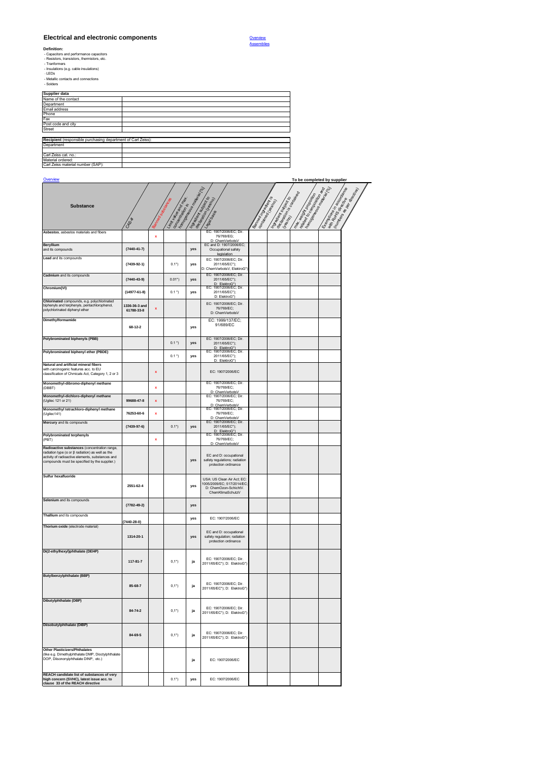## **Electrical and electronic components**

**Definition:** - Capacitors and performance capacitors - Resistors, transistors, thermistors, etc. - Tranformers - Insulations (e.g. cable insulations) - LEDs - Metallic contacts and connections

 - Solders Name of the contact Department mail address Phone ax t code and city treet epartment arl Zeiss cat. no. aterial ordered: Carl Zeiss material number (SAP): **Recipient** (responsible purchasing department of Carl Zeiss): **Supplier data**

Overview **To be completed by supplier Substance CASH Banded Substances**<br>Limit value and material for the substances<br>Limit of the substances of the substances of the substances of the substances of the substances of the substan<br>Limit of the substances of the substances of th Ingredient subject to the first subject to Banned in India<br>Contained in India<br>Contained in India Ingredient subject to the declaration is a subject to the declaration of the contained subject to the contained subject to the contained subject to the contained subject to the contained subject to the contained subject to max. weight proportion and the composition of the composition and and composition and and composition and compo<br>relation from the composition and composition and composition and composition and composition and composition<br> Exemption Conductive Conductive Conduction Conductive Conductive Conductive Conductive Conductive Conductive C<br>Exemption Conductive Conductive Conductive Conductive Conductive Conductive Conductive Conductive Conductive<br>Co **Astos**, asbestos materials and fil **x** EC: 1907/2006/EC; Dir. 76/769/EG; D: ChemVerbotsV EC and D: 1907/2006/EC; **Beryllium**  and its compounds **(7440-41-7) yes** Occupational safety legislation **Lead** and its compounds **(7439-92-1)** 0.1\*) **yes** EC: 1907/2006/EC; Dir. 2011/65/EC\*); D: ChemVerbotsV, ElektroG\*) **Cadmium** and its compounds **(7440-43-9)** 0.01\*) **yes** EC: 1907/2006/EC; Dir. 2011/65/EC\*); D: ElektroG\*) EC: 1907/2006/EC; Dir. 2011/65/EC\*); **Chromium(VI) (14977-61-8)** 0.1 \*) **yes** ElektroG<sup>\*</sup> **Chlorinated** compounds, e.g. polychlorinated biphenyls and terphenyls, pentachlorophenol, polychlorinated diphenyl ether **1336-36-3 and 61788-33-8 <sup>x</sup>** EC: 1907/2006/EC; Dir. 76/769/EC; D: ChemVerbotsV **Dimethylformamide 68-12-2 yes** EC: 1999/137/EC; 91/689/EC **Polybrominated biphenyls (PBB)** 0.1 \*) **yes** EC: 1907/2006/EC; Dir. 2011/65/EC\*); D: ElektroG\*) EC: 1907/2006/EC; Dir. **Polybrominated biphenyl ether (PBDE)** 0.1 \*) **yes** 2011/65/EC\*); D: ElektroG\*) **Natural and artificial mineral fibers**<br>with carcinogenic features acc. to EU<br>classification of Chmicals Act, Category 1, 2 or 3 **x** X **x EC: 1907/2006/EC Monomethyl-dibromo-diphenyl methane** (DBBT) **x** EC: 1907/2006/EC; Dir. 76/769/EC; D: ChemVerbotsV EC: 1907/2006/EC; Dir. 76/769/EC; **Monomethyl-dichloro-diphenyl methane** (Ugilec 121 or 21) **99688-47-8 x** D: ChemVerbotsV EC: 1907/2006/EC; Dir. **Monomethyl tetrachloro-diphenyl methane** (Ugilec141) **76253-60-6 x** 76/769/EC; D: ChemVerbotsV EC: 1907/2006/EC; Dir. **Mercury** and its compounds **(7439-97-6)** 0.1\*) **yes** 2011/65/EC\*); D: ElektroG\*) EC: 1907/2006/EC; Dir. 76/769/EC; **Polybrominated terphenyls** (PBT) **x** D: ChemVerbotsV **Radioactive substances** (concentration range, radiation type (α or β radiation) as well as the activity of radioactive elements, substances and compounds must be specified by the supplier.) **yes** EC and D: occup safety regulations; radiation protection ordinance **ur hexafl 2551-62-4 yes** USA: US Clean Air Act; EC: 1005/2009/EC; 517/2014/EC; D: ChemOzon-SchichtV. ChemKlimaSchutzV **Selenium** and its compounds **(7782-49-2) yes Thallium** and its compounds **(7440-28-0) yes** EC: 1907/2006/EC **Thorium oxide** (electrode material) **1314-20-1 yes** EC and D: occupational safety regulation; radiation protection ordinance **Di(2-ethylhexyl)phthalate (DEHP) 117-81-7** 0,1\*) **ja** EC: 1907/2006/EC; Dir. 2011/65/EC\*); D: ElektroG\*) **Butylbenzylphthalate (BBP) 85-68-7** 0,1\*) **ja** EC: 1907/2006/EC; Dir. 2011/65/EC\*); D: ElektroG\*) **Dibutylphthalate (DBP) 84-74-2** 0,1\*) **ja** EC: 1907/2006/EC; Dir. 2011/65/EC\*); D: ElektroG\*) **Diisobutylphthalate (DIBP) 84-69-5** 0,1\*) **ja** EC: 1907/2006/EC; Dir. 2011/65/EC\*); D: ElektroG\*) **Other Plasticizers/Phthalates**<br>(like e.g. Dimethylphthalate DMP, Dioctylphthalate **Discoversity of the Discoversity of Discoversity of the Discoversity of Discoversity of Discoversity of Discoversity of Discoversity of Di REACH candidate list of substances of very high concern (SVHC), latest issue acc. to clause 130 Substant**<br> **clause 33 of the REACH directive** 0.1\*) **yes** EC: 1907/2006/EC

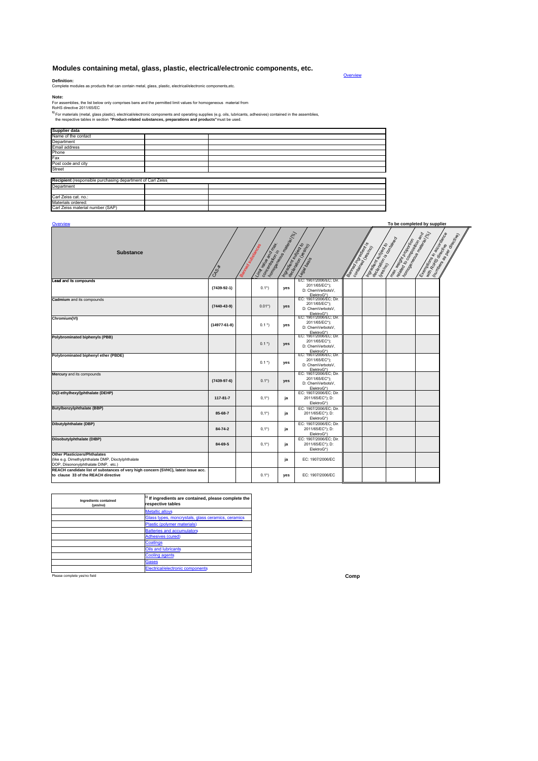## **Modules containing metal, glass, plastic, electrical/electronic components, etc.**

**Definition:** Complete modules as products that can contain metal, glass, plastic, electrical/electronic components,etc.

**Note:**<br>For assemblies, the list below only comprises bans and the permitted limit values for homogeneous material from<br><sup>1)</sup> For materials (metal, glass plastic), electrical/electronic components and operating supplies (e.

| Supplier data                                               |  |  |  |  |  |  |  |  |  |  |  |
|-------------------------------------------------------------|--|--|--|--|--|--|--|--|--|--|--|
| Name of the contact                                         |  |  |  |  |  |  |  |  |  |  |  |
| Department                                                  |  |  |  |  |  |  |  |  |  |  |  |
| Email address                                               |  |  |  |  |  |  |  |  |  |  |  |
| Phone                                                       |  |  |  |  |  |  |  |  |  |  |  |
| Fax                                                         |  |  |  |  |  |  |  |  |  |  |  |
| Post code and city                                          |  |  |  |  |  |  |  |  |  |  |  |
| <b>Street</b>                                               |  |  |  |  |  |  |  |  |  |  |  |
|                                                             |  |  |  |  |  |  |  |  |  |  |  |
| Recipient (responsible purchasing department of Carl Zeiss) |  |  |  |  |  |  |  |  |  |  |  |
| Department                                                  |  |  |  |  |  |  |  |  |  |  |  |
|                                                             |  |  |  |  |  |  |  |  |  |  |  |
| Carl Zeiss cat. no.:                                        |  |  |  |  |  |  |  |  |  |  |  |
| Materials ordered:                                          |  |  |  |  |  |  |  |  |  |  |  |
| Carl Zeiss material number (SAP)                            |  |  |  |  |  |  |  |  |  |  |  |

| Overview                                                                                                                           |                   |                  |                                                                                                                                                                                                                                      |     |                                                                           |                  |                                                                              | To be completed by supplier                                                                                    |                        |                                  |
|------------------------------------------------------------------------------------------------------------------------------------|-------------------|------------------|--------------------------------------------------------------------------------------------------------------------------------------------------------------------------------------------------------------------------------------|-----|---------------------------------------------------------------------------|------------------|------------------------------------------------------------------------------|----------------------------------------------------------------------------------------------------------------|------------------------|----------------------------------|
| <b>Substance</b>                                                                                                                   | CASX              | Bameg substances | <b>Immunes and Reading Contract of the Contract of Contract of Contract of Contract of Contract of Contract of Contract of Contract of Contract of Contract of Contract of Contract of Contract of Contract of Contract of Contr</b> |     | Imperience of the Second<br>Legal desire                                  | Bamaging Sealing | asawan is a management<br><b>Interference Address</b><br>Contained (Hespital | Teach de light and a strait of the data of the contract of the contract of the contract of the contract of the | España a desarrollação | (numbers as reserved the content |
| Lead and its compounds                                                                                                             | $(7439 - 92 - 1)$ |                  | $0.1^*$                                                                                                                                                                                                                              | yes | EC: 1907/2006/EC: Dir.<br>2011/65/EC*);<br>D: ChemVerbotsV.<br>ElektroG*) |                  |                                                                              |                                                                                                                |                        |                                  |
| Cadmium and its compounds                                                                                                          | $(7440 - 43 - 9)$ |                  | $0.01^*$                                                                                                                                                                                                                             | yes | EC: 1907/2006/EC; Dir.<br>2011/65/EC*);<br>D: ChemVerbotsV.<br>ElektroG*) |                  |                                                                              |                                                                                                                |                        |                                  |
| Chromium(VI)                                                                                                                       | $(14977-61-8)$    |                  | $0.1$ <sup>*</sup> )                                                                                                                                                                                                                 | yes | EC: 1907/2006/EC; Dir.<br>2011/65/EC*);<br>D: ChemVerbotsV.<br>ElektroG*) |                  |                                                                              |                                                                                                                |                        |                                  |
| Polybrominated biphenyls (PBB)                                                                                                     |                   |                  | $0.1*$                                                                                                                                                                                                                               | yes | EC: 1907/2006/EC; Dir.<br>2011/65/EC*);<br>D: ChemVerbotsV.<br>ElektroG*) |                  |                                                                              |                                                                                                                |                        |                                  |
| Polybrominated biphenyl ether (PBDE)                                                                                               |                   |                  | $0.1$ <sup>*</sup> )                                                                                                                                                                                                                 | yes | EC: 1907/2006/EC; Dir.<br>2011/65/EC*);<br>D: ChemVerbotsV,<br>ElektroG*) |                  |                                                                              |                                                                                                                |                        |                                  |
| Mercury and its compounds                                                                                                          | $(7439-97-6)$     |                  | $0.1^*$                                                                                                                                                                                                                              | yes | EC: 1907/2006/EC: Dir.<br>2011/65/EC*):<br>D: ChemVerbotsV,<br>FlektroG*) |                  |                                                                              |                                                                                                                |                        |                                  |
| Di(2-ethylhexyl)phthalate (DEHP)                                                                                                   | 117-81-7          |                  | $0,1^*$                                                                                                                                                                                                                              | ja  | EC: 1907/2006/EC: Dir.<br>2011/65/EC*); D:<br>ElektroG*)                  |                  |                                                                              |                                                                                                                |                        |                                  |
| <b>Butylbenzylphthalate (BBP)</b>                                                                                                  | 85-68-7           |                  | $0,1^*$                                                                                                                                                                                                                              | ja  | EC: 1907/2006/EC: Dir.<br>2011/65/EC*); D:<br>ElektroG*)                  |                  |                                                                              |                                                                                                                |                        |                                  |
| Dibutylphthalate (DBP)                                                                                                             | 84-74-2           |                  | $0,1^*$                                                                                                                                                                                                                              | ja  | EC: 1907/2006/EC; Dir.<br>2011/65/EC*); D:<br>ElektroG*)                  |                  |                                                                              |                                                                                                                |                        |                                  |
| Diisobutylphthalate (DIBP)                                                                                                         | 84-69-5           |                  | $0,1^*$                                                                                                                                                                                                                              | ja  | EC: 1907/2006/EC; Dir.<br>2011/65/EC*); D:<br>ElektroG*)                  |                  |                                                                              |                                                                                                                |                        |                                  |
| <b>Other Plasticizers/Phthalates</b><br>(like e.g. Dimethylphthalate DMP, Dioctylphthalate<br>DOP, Diisononylphthalate DINP, etc.) |                   |                  |                                                                                                                                                                                                                                      | ja  | EC: 1907/2006/EC                                                          |                  |                                                                              |                                                                                                                |                        |                                  |
| REACH candidate list of substances of very high concern (SVHC), latest issue acc.<br>to clause 33 of the REACH directive           |                   |                  | $0.1^*$                                                                                                                                                                                                                              | yes | EC: 1907/2006/EC                                                          |                  |                                                                              |                                                                                                                |                        |                                  |

| <b>Ingredients contained</b><br>(yes/no) | <sup>1)</sup> If ingredients are contained, please complete the<br>respective tables |
|------------------------------------------|--------------------------------------------------------------------------------------|
|                                          | <b>Metallic alloys</b>                                                               |
|                                          | Glass types, moncrystals, glass ceramics, ceramics                                   |
|                                          | Plastic (polymer materials)                                                          |
|                                          | <b>Batteries and accumulators</b>                                                    |
|                                          | <b>Adhesives (cured)</b>                                                             |
|                                          | Coatings                                                                             |
|                                          | <b>Oils and lubricants</b>                                                           |
|                                          | <b>Cooling agents</b>                                                                |
|                                          | Gases                                                                                |
|                                          | Electrical/electronic components                                                     |

Please complete yes/no field **Comp**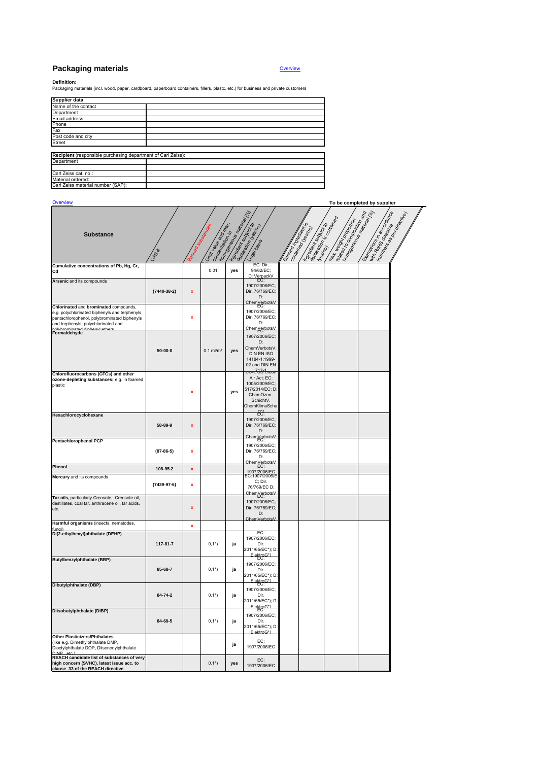## **Packaging materials**

## **Overview**

**Definition:**<br>Packaging materials (incl. wood, paper, cardboard, paperboard containers, fillers, plastc, etc.) for business and private customers

| Supplier data                                                |  |
|--------------------------------------------------------------|--|
| Name of the contact                                          |  |
| Department                                                   |  |
| Email address                                                |  |
| Phone                                                        |  |
| Fax                                                          |  |
| Post code and city                                           |  |
| <b>Street</b>                                                |  |
|                                                              |  |
| Recipient (responsible purchasing department of Carl Zeiss): |  |
| Department                                                   |  |
|                                                              |  |
| Carl Zeiss cat. no.:                                         |  |
| Material ordered:                                            |  |
| Carl Zeiss material number (SAP):                            |  |

| Overview                                                                                                                                                                                       |                   |                           |                                         |                                           |                                                                                                                                  |                                                                                                                                                                                                                                      |                                                                  |                                                                                                                                                                                                                                      | To be completed by supplier                                                                                                                                                                                                          |  |
|------------------------------------------------------------------------------------------------------------------------------------------------------------------------------------------------|-------------------|---------------------------|-----------------------------------------|-------------------------------------------|----------------------------------------------------------------------------------------------------------------------------------|--------------------------------------------------------------------------------------------------------------------------------------------------------------------------------------------------------------------------------------|------------------------------------------------------------------|--------------------------------------------------------------------------------------------------------------------------------------------------------------------------------------------------------------------------------------|--------------------------------------------------------------------------------------------------------------------------------------------------------------------------------------------------------------------------------------|--|
| Substance                                                                                                                                                                                      |                   |                           | Limit value and day<br>Gonceptiation in | Ion de Bosses<br>Serbour de Peas de Paris | s (Receiptive Receiptive Second)                                                                                                 | <b>Bantagripo Care de Care de Care de Care de Care de Care de Care de Care de Care de Care de Care de Care de Care de Care de Care de Care de Care de Care de Care de Care de Care de Care de Care de Care de Care de Care de Ca</b> | International Contractor of Contractor of<br>Gondance (Heaville) | <b>Tax. He strand to the community of the community of the community of the community of the community of the community of the community of the community of the community of the community of the community of the community of</b> | <b>Employed Registration Control Control Control Control Control Control Control Control Control Control Control Control Control Control Control Control Control Control Control Control Control Control Control Control Control</b> |  |
|                                                                                                                                                                                                | CAS **            |                           |                                         |                                           |                                                                                                                                  |                                                                                                                                                                                                                                      |                                                                  |                                                                                                                                                                                                                                      |                                                                                                                                                                                                                                      |  |
| Cumulative concentrations of Pb, Hg, Cr,<br>Cd                                                                                                                                                 |                   |                           | 0.01                                    | yes                                       | EC: Dir.<br>94/62/EC;                                                                                                            |                                                                                                                                                                                                                                      |                                                                  |                                                                                                                                                                                                                                      |                                                                                                                                                                                                                                      |  |
| Arsenic and its compounds                                                                                                                                                                      | $(7440 - 38 - 2)$ | $\bar{\mathbf{x}}$        |                                         |                                           | D: VerpackV<br>1907/2006/EC;<br>Dir. 76/769/EC;<br>D:                                                                            |                                                                                                                                                                                                                                      |                                                                  |                                                                                                                                                                                                                                      |                                                                                                                                                                                                                                      |  |
| Chlorinated and brominated compounds,<br>e.g. polychlorinated biphenyls and terphenyls,<br>pentachlorophenol, polybrominated biphenyls<br>and terphenyls, polychlorinated and<br>ظعم ابرومطونا |                   | $\mathbf x$               |                                         |                                           | ChemVerbotsV<br>1907/2006/EC;<br>Dir. 76/769/EC;<br>D:<br>ChemVerbotsV                                                           |                                                                                                                                                                                                                                      |                                                                  |                                                                                                                                                                                                                                      |                                                                                                                                                                                                                                      |  |
| Formaldehyde                                                                                                                                                                                   | $50 - 00 - 0$     |                           | $0.1$ ml/m <sup>3</sup>                 | yes                                       | 1907/2006/EC;<br>D:<br>ChemVerbotsV;<br>DIN EN ISO<br>14184-1:1999-<br>02 and DIN EN                                             |                                                                                                                                                                                                                                      |                                                                  |                                                                                                                                                                                                                                      |                                                                                                                                                                                                                                      |  |
| Chlorofluorocarbons (CFCs) and other<br>ozone-depleting substances; e.g. in foamed<br>plastic                                                                                                  |                   | $\boldsymbol{\mathsf{x}}$ |                                         | yes                                       | <del>os∧.<sup>7</sup>85 bear</del><br>Air Act; EC:<br>1005/2009/EC;<br>517/2014/EC; D<br>ChemOzon-<br>SchichtV.<br>ChemKlimaSchu |                                                                                                                                                                                                                                      |                                                                  |                                                                                                                                                                                                                                      |                                                                                                                                                                                                                                      |  |
| Hexachlorocyclohexane                                                                                                                                                                          | 58-89-9           | $\mathbf x$               |                                         |                                           | ŧ₩<br>1907/2006/EC;<br>Dir. 76/769/EC;<br>D:                                                                                     |                                                                                                                                                                                                                                      |                                                                  |                                                                                                                                                                                                                                      |                                                                                                                                                                                                                                      |  |
| Pentachlorophenol PCP                                                                                                                                                                          | $(87 - 86 - 5)$   | x                         |                                         |                                           | ChemVerbotsV<br>1907/2006/EC;<br>Dir. 76/769/EC;<br>D:                                                                           |                                                                                                                                                                                                                                      |                                                                  |                                                                                                                                                                                                                                      |                                                                                                                                                                                                                                      |  |
| Phenol                                                                                                                                                                                         | 108-95.2          | $\bar{\mathbf{x}}$        |                                         |                                           | m⊻erbots)<br>EC:<br>1907/2006/EC                                                                                                 |                                                                                                                                                                                                                                      |                                                                  |                                                                                                                                                                                                                                      |                                                                                                                                                                                                                                      |  |
| Mercury and its compounds                                                                                                                                                                      | $(7439-97-6)$     | x                         |                                         |                                           | EC:1907/2006/E<br>C; Dir.<br>76/769/EC D:<br>ChemVerbotsV                                                                        |                                                                                                                                                                                                                                      |                                                                  |                                                                                                                                                                                                                                      |                                                                                                                                                                                                                                      |  |
| Tar oils, particularly Creosote, Creosote oil,<br>destillates, coal tar, anthracene oil, tar acids,<br>etc.                                                                                    |                   | $\mathbf{x}$              |                                         |                                           | 1907/2006/EC;<br>Dir. 76/769/EC;<br>D:<br>ChemVerhots\                                                                           |                                                                                                                                                                                                                                      |                                                                  |                                                                                                                                                                                                                                      |                                                                                                                                                                                                                                      |  |
| Harmful organisms (insects, nematodes,<br>funai                                                                                                                                                |                   | $\overline{\mathbf{x}}$   |                                         |                                           |                                                                                                                                  |                                                                                                                                                                                                                                      |                                                                  |                                                                                                                                                                                                                                      |                                                                                                                                                                                                                                      |  |
| Di(2-ethylhexyl)phthalate (DEHP)                                                                                                                                                               | 117-81-7          |                           | $0,1^{*}$                               | ja                                        | EC.<br>1907/2006/EC;<br>Dir.<br>2011/65/EC*); D:                                                                                 |                                                                                                                                                                                                                                      |                                                                  |                                                                                                                                                                                                                                      |                                                                                                                                                                                                                                      |  |
| <b>Butylbenzylphthalate (BBP)</b>                                                                                                                                                              | 85-68-7           |                           | $0,1^{*}$                               | ja                                        | ElektroG*)<br>1907/2006/EC;<br>Dir.<br>2011/65/EC*); D:                                                                          |                                                                                                                                                                                                                                      |                                                                  |                                                                                                                                                                                                                                      |                                                                                                                                                                                                                                      |  |
| Dibutylphthalate (DBP)                                                                                                                                                                         | 84-74-2           |                           | $0,1^{*}$                               | ja                                        | ElektroG*)<br>1907/2006/EC;<br>Dir.<br>2011/65/EC*); D:<br>FlektroG*)                                                            |                                                                                                                                                                                                                                      |                                                                  |                                                                                                                                                                                                                                      |                                                                                                                                                                                                                                      |  |
| Diisobutylphthalate (DIBP)                                                                                                                                                                     | 84-69-5           |                           | $0,1^{*}$                               | ja                                        | 1907/2006/EC;<br>Dir.<br>2011/65/EC*); D:<br>FlektroG*                                                                           |                                                                                                                                                                                                                                      |                                                                  |                                                                                                                                                                                                                                      |                                                                                                                                                                                                                                      |  |
| <b>Other Plasticizers/Phthalates</b><br>(like e.g. Dimethylphthalate DMP,<br>Dioctylphthalate DOP, Diisononylphthalate<br><b>DINP</b>                                                          |                   |                           |                                         | ja                                        | EC:<br>1907/2006/EC                                                                                                              |                                                                                                                                                                                                                                      |                                                                  |                                                                                                                                                                                                                                      |                                                                                                                                                                                                                                      |  |
| REACH candidate list of substances of very<br>high concern (SVHC), latest issue acc. to<br>clause 33 of the REACH directive                                                                    |                   |                           | $0.1^{*}$ )                             | yes                                       | EC:<br>1907/2006/EC                                                                                                              |                                                                                                                                                                                                                                      |                                                                  |                                                                                                                                                                                                                                      |                                                                                                                                                                                                                                      |  |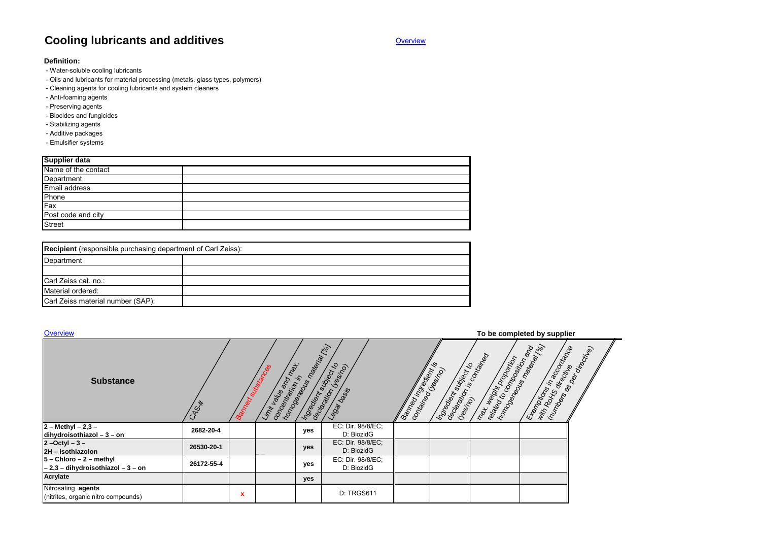# **Cooling lubricants and additives**

## **Definition:**

- Water-soluble cooling lubricants
- Oils and lubricants for material processing (metals, glass types, polymers)
- Cleaning agents for cooling lubricants and system cleaners
- Anti-foaming agents
- Preserving agents
- Biocides and fungicides
- Stabilizing agents
- Additive packages
- Emulsifier systems

| <b>Supplier data</b> |  |  |  |  |  |  |  |
|----------------------|--|--|--|--|--|--|--|
| Name of the contact  |  |  |  |  |  |  |  |
| Department           |  |  |  |  |  |  |  |
| Email address        |  |  |  |  |  |  |  |
| Phone                |  |  |  |  |  |  |  |
| Fax                  |  |  |  |  |  |  |  |
| Post code and city   |  |  |  |  |  |  |  |
| <b>Street</b>        |  |  |  |  |  |  |  |

| <b>Recipient</b> (responsible purchasing department of Carl Zeiss): |  |  |  |  |  |  |  |
|---------------------------------------------------------------------|--|--|--|--|--|--|--|
| Department                                                          |  |  |  |  |  |  |  |
|                                                                     |  |  |  |  |  |  |  |
| Carl Zeiss cat. no.:                                                |  |  |  |  |  |  |  |
| Material ordered:                                                   |  |  |  |  |  |  |  |
| Carl Zeiss material number (SAP):                                   |  |  |  |  |  |  |  |

| Overview                                                       |             |                   |                                         |                                           |                                 |                  |                       |                                           | To be completed by supplier |  |
|----------------------------------------------------------------|-------------|-------------------|-----------------------------------------|-------------------------------------------|---------------------------------|------------------|-----------------------|-------------------------------------------|-----------------------------|--|
| <b>Substance</b>                                               | <b>RSIX</b> | Bamed sure dances | Limit Pale and Mind<br>Concentration in | Interpretation of the Maritim (the Indian | Imperient subscription          | Bamed in page of | Ingregient subject to | max. treight properties of all all region |                             |  |
| $2 - \text{Methyl} - 2,3 -$<br>dihydroisothiazol - 3 - on      | 2682-20-4   |                   |                                         | yes                                       | EC: Dir. 98/8/EC;<br>D: BiozidG |                  |                       |                                           |                             |  |
| $2 - Octyl - 3 -$<br>2H - isothiazolon                         | 26530-20-1  |                   |                                         | yes                                       | EC: Dir. 98/8/EC;<br>D: BiozidG |                  |                       |                                           |                             |  |
| 5 - Chloro - 2 - methyl<br>$-2,3$ - dihydroisothiazol - 3 - on | 26172-55-4  |                   |                                         | <b>ves</b>                                | EC: Dir. 98/8/EC;<br>D: BiozidG |                  |                       |                                           |                             |  |
| <b>Acrylate</b>                                                |             |                   |                                         | yes                                       |                                 |                  |                       |                                           |                             |  |
| Nitrosating agents<br>(nitrites, organic nitro compounds)      |             | x                 |                                         |                                           | D: TRGS611                      |                  |                       |                                           |                             |  |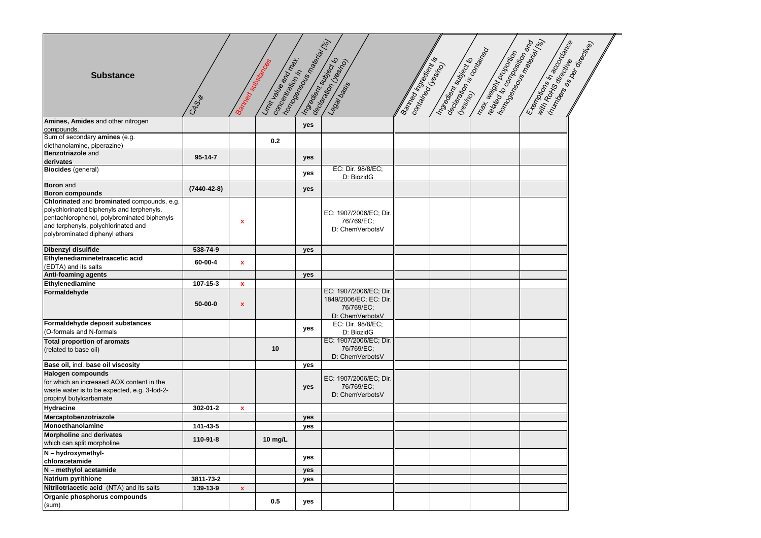| <b>Substance</b>                                                                                                                                                                                                |                   |                    | homogeneous material (18)<br>Ingression, superior de<br>Limit alle and range<br>Bamed substances<br>concentration in |     |                                                         |  | relation for the community of the community of the community of the community of the community of the community of<br>Exemption of the didney<br>With Royce Concern Concern Concern Concern Concern Concern Concern Concern Concern Concern Concern Concern Concern Concern Concern Concern Concern Concern Concern Concern Concern Concern Concern Concern Concern Concern Con<br>a eolarico de Carriage<br>max. Height population<br>Independent and desire<br><b>Isamedy Hoepen Riverside Redesigned Strategy Processor</b><br>Contented Lessier |  |  |  |
|-----------------------------------------------------------------------------------------------------------------------------------------------------------------------------------------------------------------|-------------------|--------------------|----------------------------------------------------------------------------------------------------------------------|-----|---------------------------------------------------------|--|-----------------------------------------------------------------------------------------------------------------------------------------------------------------------------------------------------------------------------------------------------------------------------------------------------------------------------------------------------------------------------------------------------------------------------------------------------------------------------------------------------------------------------------------------------|--|--|--|
|                                                                                                                                                                                                                 | CAS-*             |                    |                                                                                                                      |     | Legal basis                                             |  |                                                                                                                                                                                                                                                                                                                                                                                                                                                                                                                                                     |  |  |  |
| Amines, Amides and other nitrogen<br>compounds.                                                                                                                                                                 |                   |                    |                                                                                                                      | yes |                                                         |  |                                                                                                                                                                                                                                                                                                                                                                                                                                                                                                                                                     |  |  |  |
| Sum of secondary amines (e.g.<br>diethanolamine, piperazine)                                                                                                                                                    |                   |                    | 0.2                                                                                                                  |     |                                                         |  |                                                                                                                                                                                                                                                                                                                                                                                                                                                                                                                                                     |  |  |  |
| <b>Benzotriazole and</b><br>derivates                                                                                                                                                                           | $95 - 14 - 7$     |                    |                                                                                                                      | yes |                                                         |  |                                                                                                                                                                                                                                                                                                                                                                                                                                                                                                                                                     |  |  |  |
| <b>Biocides</b> (general)                                                                                                                                                                                       |                   |                    |                                                                                                                      | yes | EC: Dir. 98/8/EC;<br>D: BiozidG                         |  |                                                                                                                                                                                                                                                                                                                                                                                                                                                                                                                                                     |  |  |  |
| <b>Boron</b> and<br><b>Boron compounds</b>                                                                                                                                                                      | $(7440 - 42 - 8)$ |                    |                                                                                                                      | yes |                                                         |  |                                                                                                                                                                                                                                                                                                                                                                                                                                                                                                                                                     |  |  |  |
| Chlorinated and brominated compounds, e.g.<br>polychlorinated biphenyls and terphenyls,<br>pentachlorophenol, polybrominated biphenyls<br>and terphenyls, polychlorinated and<br>polybrominated diphenyl ethers |                   | $\mathbf x$        |                                                                                                                      |     | EC: 1907/2006/EC; Dir.<br>76/769/EC;<br>D: ChemVerbotsV |  |                                                                                                                                                                                                                                                                                                                                                                                                                                                                                                                                                     |  |  |  |
| Dibenzyl disulfide                                                                                                                                                                                              | 538-74-9          |                    |                                                                                                                      | yes |                                                         |  |                                                                                                                                                                                                                                                                                                                                                                                                                                                                                                                                                     |  |  |  |
| Ethylenediaminetetraacetic acid<br>(EDTA) and its salts                                                                                                                                                         | 60-00-4           | $\pmb{\mathsf{x}}$ |                                                                                                                      |     |                                                         |  |                                                                                                                                                                                                                                                                                                                                                                                                                                                                                                                                                     |  |  |  |
| <b>Anti-foaming agents</b>                                                                                                                                                                                      |                   |                    |                                                                                                                      | yes |                                                         |  |                                                                                                                                                                                                                                                                                                                                                                                                                                                                                                                                                     |  |  |  |
| Ethylenediamine                                                                                                                                                                                                 | 107-15-3          | $\mathbf x$        |                                                                                                                      |     |                                                         |  |                                                                                                                                                                                                                                                                                                                                                                                                                                                                                                                                                     |  |  |  |
| Formaldehyde                                                                                                                                                                                                    |                   |                    |                                                                                                                      |     | EC: 1907/2006/EC; Dir.                                  |  |                                                                                                                                                                                                                                                                                                                                                                                                                                                                                                                                                     |  |  |  |
|                                                                                                                                                                                                                 | $50-00-0$         | $\mathbf{x}$       |                                                                                                                      |     | 1849/2006/EC; EC: Dir.<br>76/769/EC;<br>D: ChemVerbotsV |  |                                                                                                                                                                                                                                                                                                                                                                                                                                                                                                                                                     |  |  |  |
| Formaldehyde deposit substances<br>(O-formals and N-formals                                                                                                                                                     |                   |                    |                                                                                                                      | yes | EC: Dir. 98/8/EC;<br>D: BiozidG                         |  |                                                                                                                                                                                                                                                                                                                                                                                                                                                                                                                                                     |  |  |  |
| <b>Total proportion of aromats</b><br>(related to base oil)                                                                                                                                                     |                   |                    | 10                                                                                                                   |     | EC: 1907/2006/EC; Dir.<br>76/769/EC;<br>D: ChemVerbotsV |  |                                                                                                                                                                                                                                                                                                                                                                                                                                                                                                                                                     |  |  |  |
| Base oil, incl. base oil viscosity                                                                                                                                                                              |                   |                    |                                                                                                                      | yes |                                                         |  |                                                                                                                                                                                                                                                                                                                                                                                                                                                                                                                                                     |  |  |  |
| <b>Halogen compounds</b><br>for which an increased AOX content in the<br>waste water is to be expected, e.g. 3-lod-2-<br>propinyl butylcarbamate                                                                |                   |                    |                                                                                                                      | yes | EC: 1907/2006/EC; Dir.<br>76/769/EC:<br>D: ChemVerbotsV |  |                                                                                                                                                                                                                                                                                                                                                                                                                                                                                                                                                     |  |  |  |
| <b>Hydracine</b>                                                                                                                                                                                                | 302-01-2          | $\mathbf x$        |                                                                                                                      |     |                                                         |  |                                                                                                                                                                                                                                                                                                                                                                                                                                                                                                                                                     |  |  |  |
| Mercaptobenzotriazole                                                                                                                                                                                           |                   |                    |                                                                                                                      | yes |                                                         |  |                                                                                                                                                                                                                                                                                                                                                                                                                                                                                                                                                     |  |  |  |
| Monoethanolamine                                                                                                                                                                                                | 141-43-5          |                    |                                                                                                                      | yes |                                                         |  |                                                                                                                                                                                                                                                                                                                                                                                                                                                                                                                                                     |  |  |  |
| <b>Morpholine and derivates</b><br>which can split morpholine                                                                                                                                                   | 110-91-8          |                    | 10 mg/L                                                                                                              |     |                                                         |  |                                                                                                                                                                                                                                                                                                                                                                                                                                                                                                                                                     |  |  |  |
| N - hydroxymethyl-                                                                                                                                                                                              |                   |                    |                                                                                                                      |     |                                                         |  |                                                                                                                                                                                                                                                                                                                                                                                                                                                                                                                                                     |  |  |  |
| chloracetamide                                                                                                                                                                                                  |                   |                    |                                                                                                                      | yes |                                                         |  |                                                                                                                                                                                                                                                                                                                                                                                                                                                                                                                                                     |  |  |  |
| N - methylol acetamide                                                                                                                                                                                          |                   |                    |                                                                                                                      | yes |                                                         |  |                                                                                                                                                                                                                                                                                                                                                                                                                                                                                                                                                     |  |  |  |
| Natrium pyrithione                                                                                                                                                                                              | 3811-73-2         |                    |                                                                                                                      | yes |                                                         |  |                                                                                                                                                                                                                                                                                                                                                                                                                                                                                                                                                     |  |  |  |
| Nitrilotriacetic acid (NTA) and its salts                                                                                                                                                                       | 139-13-9          | $\mathbf{x}$       |                                                                                                                      |     |                                                         |  |                                                                                                                                                                                                                                                                                                                                                                                                                                                                                                                                                     |  |  |  |
| Organic phosphorus compounds<br>(sum)                                                                                                                                                                           |                   |                    | $0.5\,$                                                                                                              | yes |                                                         |  |                                                                                                                                                                                                                                                                                                                                                                                                                                                                                                                                                     |  |  |  |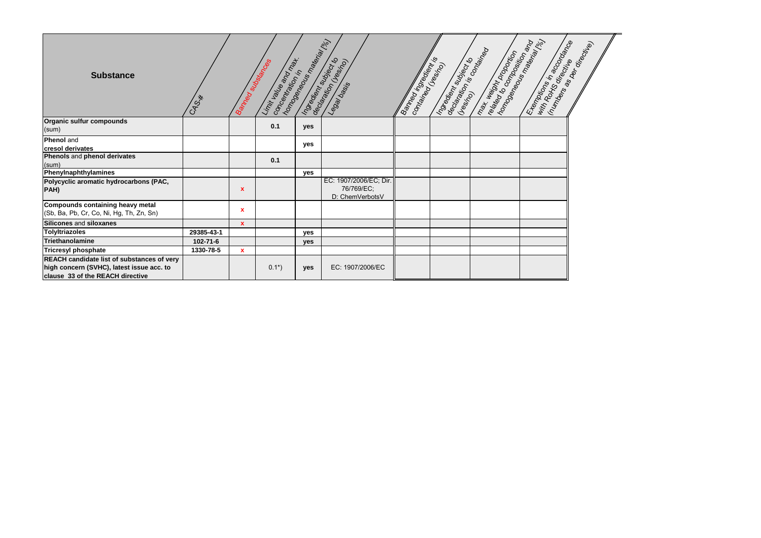| <b>Substance</b>                                                                                                            | CAS *          | Bamed substances | Limit value and value<br>Concentration in | homogeneous metallong<br>Ingelant subject to | degration (res. to<br>Legal dasis                       | Bamed its education is<br>contained (Essino) | Recastly record rating<br>Ingegraphy sugar | rested to control and the control of the control of the control of the control of the control of the control of the control of the control of the control of the control of the control of control of control of control of co<br>max. vesint popularity | Exemption of the Concept of Concept of the Concept of the Concept of the Concept of the Concept of the Concept of the Concept of the Concept of the Concept of the Concept of the Concept of the Concept of the Concept of the |  |
|-----------------------------------------------------------------------------------------------------------------------------|----------------|------------------|-------------------------------------------|----------------------------------------------|---------------------------------------------------------|----------------------------------------------|--------------------------------------------|----------------------------------------------------------------------------------------------------------------------------------------------------------------------------------------------------------------------------------------------------------|--------------------------------------------------------------------------------------------------------------------------------------------------------------------------------------------------------------------------------|--|
| Organic sulfur compounds<br>(sum)                                                                                           |                |                  | 0.1                                       | yes                                          |                                                         |                                              |                                            |                                                                                                                                                                                                                                                          |                                                                                                                                                                                                                                |  |
| <b>Phenol</b> and<br>cresol derivates                                                                                       |                |                  |                                           | yes                                          |                                                         |                                              |                                            |                                                                                                                                                                                                                                                          |                                                                                                                                                                                                                                |  |
| Phenols and phenol derivates<br>(sum)                                                                                       |                |                  | 0.1                                       |                                              |                                                         |                                              |                                            |                                                                                                                                                                                                                                                          |                                                                                                                                                                                                                                |  |
| Phenylnaphthylamines                                                                                                        |                |                  |                                           | <b>ves</b>                                   |                                                         |                                              |                                            |                                                                                                                                                                                                                                                          |                                                                                                                                                                                                                                |  |
| Polycyclic aromatic hydrocarbons (PAC,<br>PAH)                                                                              |                | $\mathbf{x}$     |                                           |                                              | EC: 1907/2006/EC; Dir.<br>76/769/EC;<br>D: ChemVerbotsV |                                              |                                            |                                                                                                                                                                                                                                                          |                                                                                                                                                                                                                                |  |
| Compounds containing heavy metal<br>(Sb, Ba, Pb, Cr, Co, Ni, Hg, Th, Zn, Sn)                                                |                | x                |                                           |                                              |                                                         |                                              |                                            |                                                                                                                                                                                                                                                          |                                                                                                                                                                                                                                |  |
| Silicones and siloxanes                                                                                                     |                | $\mathbf{x}$     |                                           |                                              |                                                         |                                              |                                            |                                                                                                                                                                                                                                                          |                                                                                                                                                                                                                                |  |
| <b>TolyItriazoles</b>                                                                                                       | 29385-43-1     |                  |                                           | yes                                          |                                                         |                                              |                                            |                                                                                                                                                                                                                                                          |                                                                                                                                                                                                                                |  |
| Triethanolamine                                                                                                             | $102 - 71 - 6$ |                  |                                           | yes                                          |                                                         |                                              |                                            |                                                                                                                                                                                                                                                          |                                                                                                                                                                                                                                |  |
| <b>Tricresyl phosphate</b>                                                                                                  | 1330-78-5      | $\mathbf{x}$     |                                           |                                              |                                                         |                                              |                                            |                                                                                                                                                                                                                                                          |                                                                                                                                                                                                                                |  |
| REACH candidate list of substances of very<br>high concern (SVHC), latest issue acc. to<br>clause 33 of the REACH directive |                |                  | $0.1^{*}$                                 | yes                                          | EC: 1907/2006/EC                                        |                                              |                                            |                                                                                                                                                                                                                                                          |                                                                                                                                                                                                                                |  |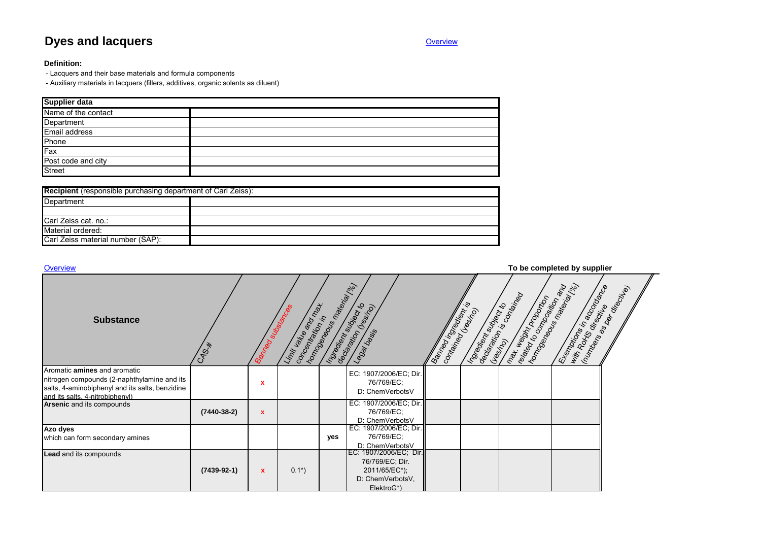# **Dyes and lacquers**

## Overview

## **Definition:**

- Lacquers and their base materials and formula components

- Auxiliary materials in lacquers (fillers, additives, organic solents as diluent)

| <b>Supplier data</b> |  |
|----------------------|--|
| Name of the contact  |  |
| Department           |  |
| Email address        |  |
| Phone                |  |
| Fax                  |  |
| Post code and city   |  |
| <b>Street</b>        |  |

| <b>Recipient</b> (responsible purchasing department of Carl Zeiss): |  |  |  |  |  |  |
|---------------------------------------------------------------------|--|--|--|--|--|--|
| Department                                                          |  |  |  |  |  |  |
|                                                                     |  |  |  |  |  |  |
| Carl Zeiss cat. no.:                                                |  |  |  |  |  |  |
| Material ordered:                                                   |  |  |  |  |  |  |
| Carl Zeiss material number (SAP):                                   |  |  |  |  |  |  |

| Overview                                                                                                                                                          |               |                   |                                         |                                                     |                                                                                              |                  |                                              |                                                                              | To be completed by supplier                              |  |
|-------------------------------------------------------------------------------------------------------------------------------------------------------------------|---------------|-------------------|-----------------------------------------|-----------------------------------------------------|----------------------------------------------------------------------------------------------|------------------|----------------------------------------------|------------------------------------------------------------------------------|----------------------------------------------------------|--|
| <b>Substance</b>                                                                                                                                                  | CAS-*         | Banned substances | Limit rates and man<br>Concentration in | 16 mages readers a reading<br>Ingegraphy subject to | declaration (resp.)<br>Legal basis                                                           | Banneoi foologin | Ingegraphy superior to<br>lantaineoi (Issin) | Rated to concrete the and<br>ecandronis Construction<br>max. Height property | l omogene de réalissier<br>Esmailorgi a de Conception de |  |
| Aromatic amines and aromatic<br>nitrogen compounds (2-naphthylamine and its<br>salts, 4-aminobiphenyl and its salts, benzidine<br>and its salts. 4-nitrobiphenyl) |               | x                 |                                         |                                                     | EC: 1907/2006/EC; Dir.<br>76/769/EC;<br>D: ChemVerbotsV                                      |                  |                                              |                                                                              |                                                          |  |
| Arsenic and its compounds                                                                                                                                         | $(7440-38-2)$ | $\mathbf{x}$      |                                         |                                                     | EC: 1907/2006/EC; Dir.<br>76/769/EC;<br>D: ChemVerbotsV                                      |                  |                                              |                                                                              |                                                          |  |
| Azo dyes<br>which can form secondary amines                                                                                                                       |               |                   |                                         | yes                                                 | EC: 1907/2006/EC; Dir.<br>76/769/EC;<br>D: ChemVerbotsV                                      |                  |                                              |                                                                              |                                                          |  |
| <b>Lead</b> and its compounds                                                                                                                                     | $(7439-92-1)$ | $\mathbf{x}$      | $0.1^*$                                 |                                                     | EC: 1907/2006/EC; Dir.<br>76/769/EC; Dir.<br>2011/65/EC*);<br>D: ChemVerbotsV,<br>ElektroG*) |                  |                                              |                                                                              |                                                          |  |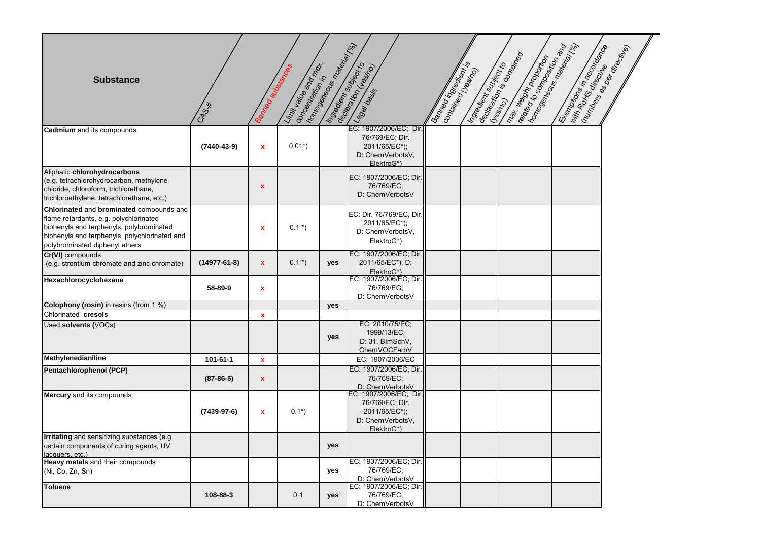| <b>Substance</b>                                                                                                                                                                                                  | CAS-*             | Bamed subsequences        | oncentration in the range of<br>Limit balle and China |     | Ingear Manager La<br>Legal desire                                                            | Baneo in Gregorian is | Ingegraphy superior of | Region in the Magnus of<br>Recisation is in this image<br>nax weight property | <b>I omgewering the film of the film of the film of the film of the film of the film of the film of the film of t</b><br>Exemptions in accordance International Registration |  |
|-------------------------------------------------------------------------------------------------------------------------------------------------------------------------------------------------------------------|-------------------|---------------------------|-------------------------------------------------------|-----|----------------------------------------------------------------------------------------------|-----------------------|------------------------|-------------------------------------------------------------------------------|------------------------------------------------------------------------------------------------------------------------------------------------------------------------------|--|
| <b>Cadmium</b> and its compounds                                                                                                                                                                                  | $(7440 - 43 - 9)$ | $\pmb{\mathsf{x}}$        | $0.01^{*}$                                            |     | EC: 1907/2006/EC; Dir.<br>76/769/EC; Dir.<br>2011/65/EC*);<br>D: ChemVerbotsV,<br>ElektroG*) |                       |                        |                                                                               |                                                                                                                                                                              |  |
| Aliphatic chlorohydrocarbons<br>(e.g. tetrachlorohydrocarbon, methylene<br>chloride, chloroform, trichlorethane,<br>trichloroethylene, tetrachlorethane, etc.)                                                    |                   | x                         |                                                       |     | EC: 1907/2006/EC; Dir.<br>76/769/EC;<br>D: ChemVerbotsV                                      |                       |                        |                                                                               |                                                                                                                                                                              |  |
| Chlorinated and brominated compounds and<br>flame retardants, e.g. polychlorinated<br>biphenyls and terphenyls, polybrominated<br>biphenyls and terphenyls, polychlorinated and<br>polybrominated diphenyl ethers |                   | x                         | $0.1*)$                                               |     | EC: Dir. 76/769/EC, Dir.<br>2011/65/EC*);<br>D: ChemVerbotsV,<br>ElektroG*)                  |                       |                        |                                                                               |                                                                                                                                                                              |  |
| Cr(VI) compounds<br>(e.g. strontium chromate and zinc chromate)                                                                                                                                                   | $(14977-61-8)$    | x                         | $0.1*)$                                               | yes | EC: 1907/2006/EC; Dir.<br>2011/65/EC*); D:<br>ElektroG*)                                     |                       |                        |                                                                               |                                                                                                                                                                              |  |
| Hexachlorocyclohexane                                                                                                                                                                                             | 58-89-9           | x                         |                                                       |     | EC: 1907/2006/EC; Dir.<br>76/769/EG;<br>D: ChemVerbotsV                                      |                       |                        |                                                                               |                                                                                                                                                                              |  |
| <b>Colophony (rosin)</b> in resins (from 1 %)                                                                                                                                                                     |                   |                           |                                                       | yes |                                                                                              |                       |                        |                                                                               |                                                                                                                                                                              |  |
| Chlorinated cresols                                                                                                                                                                                               |                   | $\boldsymbol{\mathsf{x}}$ |                                                       |     |                                                                                              |                       |                        |                                                                               |                                                                                                                                                                              |  |
| Used solvents (VOCs)                                                                                                                                                                                              |                   |                           |                                                       | yes | EC: 2010/75/EC;<br>1999/13/EC;<br>D: 31. BlmSchV,<br>ChemVOCFarbV                            |                       |                        |                                                                               |                                                                                                                                                                              |  |
| Methylenedianiline                                                                                                                                                                                                | 101-61-1          | x                         |                                                       |     | EC: 1907/2006/EC                                                                             |                       |                        |                                                                               |                                                                                                                                                                              |  |
| Pentachlorophenol (PCP)                                                                                                                                                                                           | $(87 - 86 - 5)$   | x                         |                                                       |     | EC: 1907/2006/EC; Dir.<br>76/769/EC;<br>D: ChemVerbotsV                                      |                       |                        |                                                                               |                                                                                                                                                                              |  |
| Mercury and its compounds                                                                                                                                                                                         | $(7439-97-6)$     | x                         | $0.1^*$                                               |     | EC: 1907/2006/EC; Dir.<br>76/769/EC; Dir.<br>2011/65/EC*);<br>D: ChemVerbotsV,<br>ElektroG*) |                       |                        |                                                                               |                                                                                                                                                                              |  |
| <b>Irritating</b> and sensitizing substances (e.g.<br>certain components of curing agents, UV<br>lacquers, etc.)                                                                                                  |                   |                           |                                                       | yes |                                                                                              |                       |                        |                                                                               |                                                                                                                                                                              |  |
| Heavy metals and their compounds<br>(Ni, Co, Zn, Sn)                                                                                                                                                              |                   |                           |                                                       | yes | EC: 1907/2006/EC; Dir.<br>76/769/EC;<br>D: ChemVerbotsV                                      |                       |                        |                                                                               |                                                                                                                                                                              |  |
| <b>Toluene</b>                                                                                                                                                                                                    | 108-88-3          |                           | 0.1                                                   | yes | EC: 1907/2006/EC; Dir.<br>76/769/EC;<br>D: ChemVerbotsV                                      |                       |                        |                                                                               |                                                                                                                                                                              |  |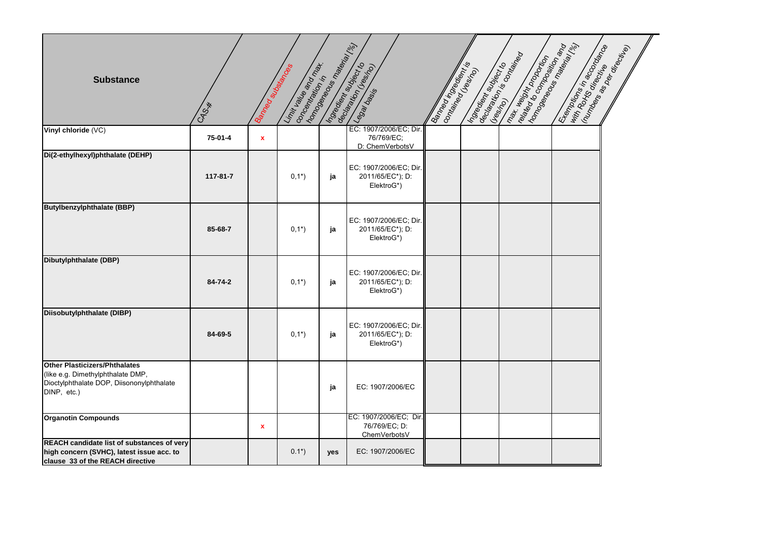| <b>Substance</b>                                                                                                                      | CAS-*    | Bamed subsequences | on centralian in Magical Registration<br>Limit Bile Brother |     | Ingean Mariento<br>Legal desire                          | Bames in Breadents | Ingegraphy superiors<br>lon <sub>taineo</sub> : (1 <sub>692)</sub> | Refer to Controlling Indian Allen<br>nat weight one of them | Exemptions in accordance of |  |
|---------------------------------------------------------------------------------------------------------------------------------------|----------|--------------------|-------------------------------------------------------------|-----|----------------------------------------------------------|--------------------|--------------------------------------------------------------------|-------------------------------------------------------------|-----------------------------|--|
| Vinyl chloride (VC)                                                                                                                   | 75-01-4  | $\pmb{\mathsf{x}}$ |                                                             |     | EC: 1907/2006/EC; Dir<br>76/769/EC;<br>D: ChemVerbotsV   |                    |                                                                    |                                                             |                             |  |
| Di(2-ethylhexyl)phthalate (DEHP)                                                                                                      | 117-81-7 |                    | $0,1^{*}$                                                   | ja  | EC: 1907/2006/EC; Dir.<br>2011/65/EC*); D:<br>ElektroG*) |                    |                                                                    |                                                             |                             |  |
| <b>Butylbenzylphthalate (BBP)</b>                                                                                                     | 85-68-7  |                    | $0,1^*$                                                     | ja  | EC: 1907/2006/EC; Dir.<br>2011/65/EC*); D:<br>ElektroG*) |                    |                                                                    |                                                             |                             |  |
| Dibutylphthalate (DBP)                                                                                                                | 84-74-2  |                    | $0,1^*$                                                     | ja  | EC: 1907/2006/EC; Dir.<br>2011/65/EC*); D:<br>ElektroG*) |                    |                                                                    |                                                             |                             |  |
| Diisobutylphthalate (DIBP)                                                                                                            | 84-69-5  |                    | $0,1^*$                                                     | ja  | EC: 1907/2006/EC; Dir.<br>2011/65/EC*); D:<br>ElektroG*) |                    |                                                                    |                                                             |                             |  |
| <b>Other Plasticizers/Phthalates</b><br>(like e.g. Dimethylphthalate DMP,<br>Dioctylphthalate DOP, Diisononylphthalate<br>DINP, etc.) |          |                    |                                                             | ja  | EC: 1907/2006/EC                                         |                    |                                                                    |                                                             |                             |  |
| <b>Organotin Compounds</b>                                                                                                            |          | $\mathbf x$        |                                                             |     | EC: 1907/2006/EC; Dir.<br>76/769/EC; D:<br>ChemVerbotsV  |                    |                                                                    |                                                             |                             |  |
| REACH candidate list of substances of very<br>high concern (SVHC), latest issue acc. to<br>clause 33 of the REACH directive           |          |                    | $0.1^*$                                                     | yes | EC: 1907/2006/EC                                         |                    |                                                                    |                                                             |                             |  |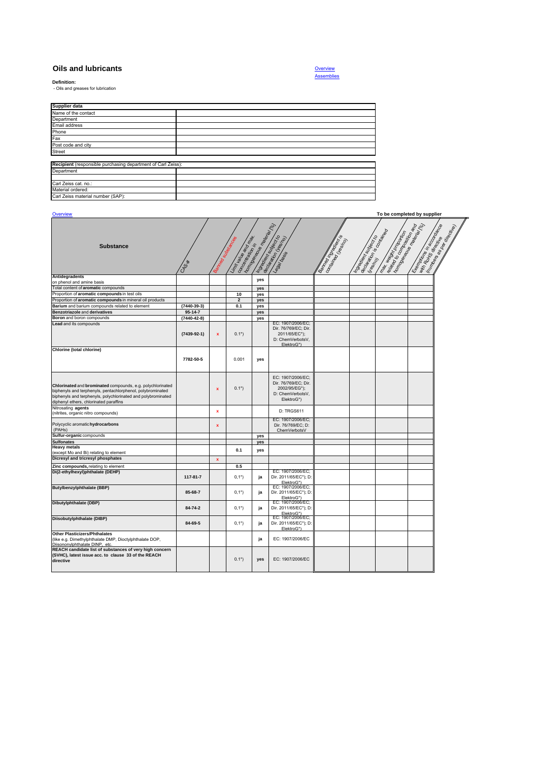## **Oils and lubricants**

**Definition:** - Oils and greases for lubrication



| Supplier data                                                |  |
|--------------------------------------------------------------|--|
| Name of the contact                                          |  |
| Department                                                   |  |
| Email address                                                |  |
| Phone                                                        |  |
| Fax                                                          |  |
| Post code and city                                           |  |
| <b>Street</b>                                                |  |
|                                                              |  |
| Recipient (responsible purchasing department of Carl Zeiss): |  |
| Department                                                   |  |
| Carl Zeiss cat. no.:                                         |  |
| Material ordered:                                            |  |
| Carl Zeiss material number (SAP):                            |  |

| Overview                                                                                                                                                                                                                           |                   |                    |                                         |                                                       |                                                                                              |                                                    |                                                          |                                                                                                                                                                                                                                | To be completed by supplier                                  |
|------------------------------------------------------------------------------------------------------------------------------------------------------------------------------------------------------------------------------------|-------------------|--------------------|-----------------------------------------|-------------------------------------------------------|----------------------------------------------------------------------------------------------|----------------------------------------------------|----------------------------------------------------------|--------------------------------------------------------------------------------------------------------------------------------------------------------------------------------------------------------------------------------|--------------------------------------------------------------|
| <b>Substance</b>                                                                                                                                                                                                                   | CAS-*             | Banned substances  | Limit side and rate<br>concentration in | Tomagement of the Real Procession<br>Ingeland Manager | decision (resign)<br>Legal basis                                                             | <b>Banned Hostings</b><br>considerable designation | <b>Ingreson</b><br>Geography Maper of Decimal Contractor | max. with production of the distribution of the distribution of the distribution of the contract of the contract of the contract of the contract of the contract of the contract of the contract of the contract of the contra | <b>Exemployment Residence</b><br>(Martiage Concerned Reader) |
| <b>Antidegradents</b><br>on phenol and amine basis                                                                                                                                                                                 |                   |                    |                                         | yes                                                   |                                                                                              |                                                    |                                                          |                                                                                                                                                                                                                                |                                                              |
| Total content of aromatic compounds                                                                                                                                                                                                |                   |                    |                                         | yes                                                   |                                                                                              |                                                    |                                                          |                                                                                                                                                                                                                                |                                                              |
| Proportion of aromatic compounds in test oils                                                                                                                                                                                      |                   |                    | 10                                      | yes                                                   |                                                                                              |                                                    |                                                          |                                                                                                                                                                                                                                |                                                              |
| Proportion of aromatic compounds in mineral oil products                                                                                                                                                                           |                   |                    | $\overline{\mathbf{c}}$                 | yes                                                   |                                                                                              |                                                    |                                                          |                                                                                                                                                                                                                                |                                                              |
| Barium and barium compounds related to element                                                                                                                                                                                     | $(7440 - 39 - 3)$ |                    | 0.1                                     | yes                                                   |                                                                                              |                                                    |                                                          |                                                                                                                                                                                                                                |                                                              |
| Benzotriazole and derivatives                                                                                                                                                                                                      | $95 - 14 - 7$     |                    |                                         | yes                                                   |                                                                                              |                                                    |                                                          |                                                                                                                                                                                                                                |                                                              |
| Boron and boron compounds                                                                                                                                                                                                          | $(7440 - 42 - 8)$ |                    |                                         | yes                                                   |                                                                                              |                                                    |                                                          |                                                                                                                                                                                                                                |                                                              |
| Lead and its compounds                                                                                                                                                                                                             | $(7439-92-1)$     | $\mathbf x$        | $0.1^{*}$                               |                                                       | EC: 1907/2006/EC;<br>Dir. 76/769/EC; Dir.<br>2011/65/EC*);<br>D: ChemVerbotsV,<br>ElektroG*) |                                                    |                                                          |                                                                                                                                                                                                                                |                                                              |
| Chlorine (total chlorine)                                                                                                                                                                                                          | 7782-50-5         |                    | 0.001                                   | yes                                                   |                                                                                              |                                                    |                                                          |                                                                                                                                                                                                                                |                                                              |
| Chlorinated and brominated compounds, e.g. polychlorinated<br>biphenyls and terphenyls, pentachlorphenol, polybrominated<br>biphenyls and terphenyls, polychlorinated and polybrominated<br>diphenyl ethers, chlorinated paraffins |                   | x                  | $0.1^{*}$                               |                                                       | EC: 1907/2006/EC;<br>Dir. 76/769/EC; Dir.<br>2002/95/EG*);<br>D: ChemVerbotsV,<br>ElektroG*) |                                                    |                                                          |                                                                                                                                                                                                                                |                                                              |
| Nitrosating agents<br>(nitrites, organic nitro compounds)                                                                                                                                                                          |                   | x                  |                                         |                                                       | D: TRGS611                                                                                   |                                                    |                                                          |                                                                                                                                                                                                                                |                                                              |
| Polycyclic aromatic hydrocarbons<br>(PAHs)                                                                                                                                                                                         |                   | x                  |                                         |                                                       | EC: 1907/2006/EC;<br>Dir. 76/769/EC; D:<br>ChemVerbotsV                                      |                                                    |                                                          |                                                                                                                                                                                                                                |                                                              |
| Sulfur-organic compounds                                                                                                                                                                                                           |                   |                    |                                         | yes                                                   |                                                                                              |                                                    |                                                          |                                                                                                                                                                                                                                |                                                              |
| <b>Sulfonates</b>                                                                                                                                                                                                                  |                   |                    |                                         | yes                                                   |                                                                                              |                                                    |                                                          |                                                                                                                                                                                                                                |                                                              |
| <b>Heavy metals</b><br>(except Mo and Bi) relating to element                                                                                                                                                                      |                   |                    | 0.1                                     | yes                                                   |                                                                                              |                                                    |                                                          |                                                                                                                                                                                                                                |                                                              |
| Dicresyl and tricresyl phosphates                                                                                                                                                                                                  |                   | $\pmb{\mathsf{x}}$ |                                         |                                                       |                                                                                              |                                                    |                                                          |                                                                                                                                                                                                                                |                                                              |
| Zinc compounds, relating to element                                                                                                                                                                                                |                   |                    | 0.5                                     |                                                       |                                                                                              |                                                    |                                                          |                                                                                                                                                                                                                                |                                                              |
| Di(2-ethylhexyl)phthalate (DEHP)                                                                                                                                                                                                   | 117-81-7          |                    | $0,1^{*}$                               | ja                                                    | EC: 1907/2006/EC;<br>Dir. 2011/65/EC*); D:<br>ElektroG*)                                     |                                                    |                                                          |                                                                                                                                                                                                                                |                                                              |
| <b>Butylbenzylphthalate (BBP)</b>                                                                                                                                                                                                  | 85-68-7           |                    | $0,1^{*}$                               | ja                                                    | EC: 1907/2006/EC;<br>Dir. 2011/65/EC*); D:<br>ElektroG*)                                     |                                                    |                                                          |                                                                                                                                                                                                                                |                                                              |
| Dibutylphthalate (DBP)                                                                                                                                                                                                             | 84-74-2           |                    | $0,1^{*}$                               | ja                                                    | EC: 1907/2006/EC;<br>Dir. 2011/65/EC*); D:                                                   |                                                    |                                                          |                                                                                                                                                                                                                                |                                                              |
| Diisobutylphthalate (DIBP)                                                                                                                                                                                                         | 84-69-5           |                    | $0,1^{*}$                               | ja                                                    | ElektroG*)<br>EC: 1907/2006/EC;<br>Dir. 2011/65/EC*); D:<br>ElektroG*)                       |                                                    |                                                          |                                                                                                                                                                                                                                |                                                              |
| <b>Other Plasticizers/Phthalates</b><br>(like e.g. Dimethylphthalate DMP, Dioctylphthalate DOP,<br>Diisononylphthalate DINP, etc.                                                                                                  |                   |                    |                                         | ja                                                    | EC: 1907/2006/EC                                                                             |                                                    |                                                          |                                                                                                                                                                                                                                |                                                              |
| REACH candidate list of substances of very high concern<br>(SVHC), latest issue acc. to clause 33 of the REACH<br>directive                                                                                                        |                   |                    | $0.1^{*}$                               | yes                                                   | EC: 1907/2006/EC                                                                             |                                                    |                                                          |                                                                                                                                                                                                                                |                                                              |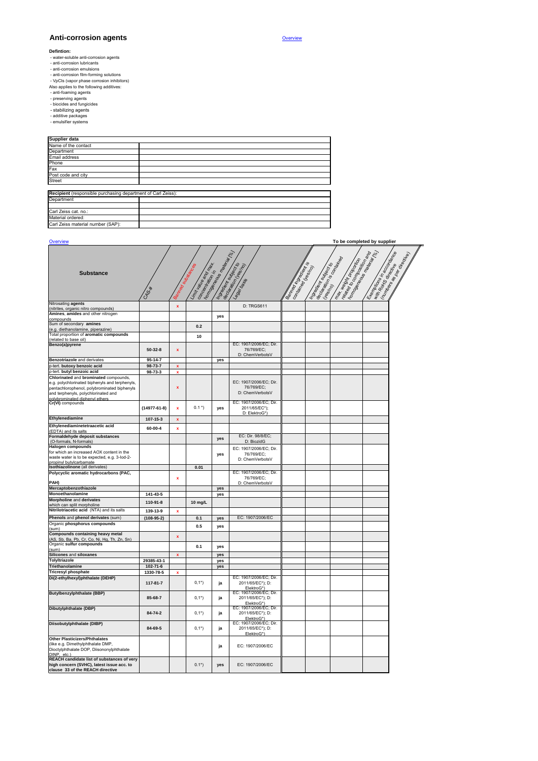## **Anti-corrosion agents**

- 
- 
- 
- **Definition:**<br>
 vater-soluble anti-corrosion agents<br>
 anti-corrosion lubricants<br>
 anti-corrosion emulsions<br>
 anti-corrosion film-forming solutions<br>
 VpCls (vapor phase corrosion inhibitors)<br>
Also applies to the follo
- 
- 
- 
- 
- 

| Supplier data                                                       |  |
|---------------------------------------------------------------------|--|
| Name of the contact                                                 |  |
| Department                                                          |  |
| Email address                                                       |  |
| Phone                                                               |  |
| Fax                                                                 |  |
| Post code and city                                                  |  |
| <b>Street</b>                                                       |  |
| <b>Recipient</b> (responsible purchasing department of Carl Zeiss): |  |
| Department                                                          |  |
| Carl Zeiss cat. no.:                                                |  |
| Material ordered:                                                   |  |
| Carl Zeiss material number (SAP):                                   |  |

| Overview                                                                                                                                                               |                             |                    |                                     |                                      |                                                                        |                                                 |                                        | To be completed by supplier                       |                                                                                                                                                |                                                                                                                          |
|------------------------------------------------------------------------------------------------------------------------------------------------------------------------|-----------------------------|--------------------|-------------------------------------|--------------------------------------|------------------------------------------------------------------------|-------------------------------------------------|----------------------------------------|---------------------------------------------------|------------------------------------------------------------------------------------------------------------------------------------------------|--------------------------------------------------------------------------------------------------------------------------|
| <b>Substance</b>                                                                                                                                                       | CAS **                      |                    | Limit also entrance<br>concepted on | I omegewere de mais de la procession | Ingreening and the Series                                              | <b>Samedia Magical Report</b><br>Condemondation | Ingeline my diamond of the contract of | Rando do Director<br>max. Meditorial participants | <b>Iomewith Boundary Report</b><br><b>Lemman River Recognition of the Price Price Price Price Price Price Price Price Price Price Price Pr</b> | <b>INTERFECTION AND RESIDENCE DESCRIPTION OF RESIDENCE DESCRIPTION OF RESIDENCE DESCRIPTION OF RESIDENCE DESCRIPTION</b> |
| Nitrosating agents<br>(nitrites, organic nitro compounds)                                                                                                              |                             | $\bar{\mathbf{x}}$ |                                     |                                      | D: TRGS611                                                             |                                                 |                                        |                                                   |                                                                                                                                                |                                                                                                                          |
| Amines, amides and other nitrogen                                                                                                                                      |                             |                    |                                     | yes                                  |                                                                        |                                                 |                                        |                                                   |                                                                                                                                                |                                                                                                                          |
| compounds<br>Sum of secondary amines                                                                                                                                   |                             |                    |                                     |                                      |                                                                        |                                                 |                                        |                                                   |                                                                                                                                                |                                                                                                                          |
| (e.g. diethanolamine, piperazine)                                                                                                                                      |                             |                    | 0.2                                 |                                      |                                                                        |                                                 |                                        |                                                   |                                                                                                                                                |                                                                                                                          |
| Total proportion of aromatic compounds<br>(related to base oil)                                                                                                        |                             |                    | 10                                  |                                      |                                                                        |                                                 |                                        |                                                   |                                                                                                                                                |                                                                                                                          |
| Benzo(a)pyrene                                                                                                                                                         | $50 - 32 - 8$               | $\bar{\mathbf{x}}$ |                                     |                                      | EC: 1907/2006/EC; Dir.<br>76/769/EC;<br>D: ChemVerbotsV                |                                                 |                                        |                                                   |                                                                                                                                                |                                                                                                                          |
| Benzotriazole and derivates                                                                                                                                            | 95-14-7                     |                    |                                     | yes                                  |                                                                        |                                                 |                                        |                                                   |                                                                                                                                                |                                                                                                                          |
| p-tert. butoxy benzoic acid                                                                                                                                            | $98 - 73 - 7$               | $\mathbf{x}$       |                                     |                                      |                                                                        |                                                 |                                        |                                                   |                                                                                                                                                |                                                                                                                          |
| p-tert. butyl benzoic acid<br>Chlorinated and brominated compounds,                                                                                                    | $98 - 73 - 3$               | $\mathbf{x}$       |                                     |                                      |                                                                        |                                                 |                                        |                                                   |                                                                                                                                                |                                                                                                                          |
| e.g. polychlorinated biphenyls and terphenyls,<br>pentachlorophenol, polybrominated biphenyls<br>and terphenyls, polychlorinated and<br>nolybrominated dinhenyl ethers |                             | $\mathbf{x}$       |                                     |                                      | EC: 1907/2006/EC; Dir.<br>76/769/EC;<br>D: ChemVerbotsV                |                                                 |                                        |                                                   |                                                                                                                                                |                                                                                                                          |
| Cr(VI) compounds                                                                                                                                                       | $(14977-61-8)$              | $\pmb{\mathsf{x}}$ | $0.1*$                              | yes                                  | EC: 1907/2006/EC; Dir.<br>2011/65/EC*);<br>D: ElektroG*)               |                                                 |                                        |                                                   |                                                                                                                                                |                                                                                                                          |
| Ethylenediamine                                                                                                                                                        | $107 - 15 - 3$              | $\pmb{\mathsf{x}}$ |                                     |                                      |                                                                        |                                                 |                                        |                                                   |                                                                                                                                                |                                                                                                                          |
| Ethylenediaminetetraacetic acid                                                                                                                                        | 60-00-4                     | $\mathbf x$        |                                     |                                      |                                                                        |                                                 |                                        |                                                   |                                                                                                                                                |                                                                                                                          |
| (EDTA) and its salts<br>Formaldehyde deposit substances                                                                                                                |                             |                    |                                     | yes                                  | EC: Dir. 98/8/EC;                                                      |                                                 |                                        |                                                   |                                                                                                                                                |                                                                                                                          |
| (O-formals, N-formals)<br><b>Halogen compounds</b>                                                                                                                     |                             |                    |                                     |                                      | D: BiozidG                                                             |                                                 |                                        |                                                   |                                                                                                                                                |                                                                                                                          |
| for which an increased AOX content in the<br>waste water is to be expected, e.g. 3-lod-2-                                                                              |                             |                    |                                     | yes                                  | EC: 1907/2006/EC; Dir.<br>76/769/EC;<br>D: ChemVerbotsV                |                                                 |                                        |                                                   |                                                                                                                                                |                                                                                                                          |
| propinyl butylcarbamate<br>Isothiazolinone (all derivates)                                                                                                             |                             |                    | 0.01                                |                                      |                                                                        |                                                 |                                        |                                                   |                                                                                                                                                |                                                                                                                          |
| Polycyclic aromatic hydrocarbons (PAC,<br>PAH)                                                                                                                         |                             | $\pmb{\mathsf{x}}$ |                                     |                                      | EC: 1907/2006/EC; Dir.<br>76/769/EC;                                   |                                                 |                                        |                                                   |                                                                                                                                                |                                                                                                                          |
| Mercaptobenzothiazole                                                                                                                                                  |                             |                    |                                     | yes                                  | D: ChemVerbotsV                                                        |                                                 |                                        |                                                   |                                                                                                                                                |                                                                                                                          |
| Monoethanolamine                                                                                                                                                       | 141-43-5                    |                    |                                     | yes                                  |                                                                        |                                                 |                                        |                                                   |                                                                                                                                                |                                                                                                                          |
| Morpholine and derivates<br>which can split morpholine                                                                                                                 | 110-91-8                    |                    | 10 mg/L                             |                                      |                                                                        |                                                 |                                        |                                                   |                                                                                                                                                |                                                                                                                          |
| Nitrilotriacetic acid (NTA) and its salts                                                                                                                              | 139-13-9                    | $\mathbf{x}$       |                                     |                                      |                                                                        |                                                 |                                        |                                                   |                                                                                                                                                |                                                                                                                          |
| Phenols and phenol derivates (sum)                                                                                                                                     | $(108-95-2)$                |                    | 0.1                                 | yes                                  | EC: 1907/2006/EC                                                       |                                                 |                                        |                                                   |                                                                                                                                                |                                                                                                                          |
| Organic phosphorus compounds<br>(sum)                                                                                                                                  |                             |                    | 0.5                                 | yes                                  |                                                                        |                                                 |                                        |                                                   |                                                                                                                                                |                                                                                                                          |
| Compounds containing heavy metal<br>(AS, Sb, Ba, Pb, Cr, Co, Ni, Hg, Th, Zn, Sn)                                                                                       |                             | $\pmb{\mathsf{x}}$ |                                     |                                      |                                                                        |                                                 |                                        |                                                   |                                                                                                                                                |                                                                                                                          |
| Organic sulfur compounds<br>(sum)                                                                                                                                      |                             |                    | 0.1                                 | yes                                  |                                                                        |                                                 |                                        |                                                   |                                                                                                                                                |                                                                                                                          |
| Silicones and siloxanes                                                                                                                                                |                             | $\mathbf x$        |                                     | ves                                  |                                                                        |                                                 |                                        |                                                   |                                                                                                                                                |                                                                                                                          |
| TolyItriazole                                                                                                                                                          | 29385-43-1                  |                    |                                     | ves                                  |                                                                        |                                                 |                                        |                                                   |                                                                                                                                                |                                                                                                                          |
| Triethanolamine<br><b>Tricresyl phosphate</b>                                                                                                                          | $102 - 71 - 6$<br>1330-78-5 | $\mathbf{x}$       |                                     | yes                                  |                                                                        |                                                 |                                        |                                                   |                                                                                                                                                |                                                                                                                          |
| Di(2-ethylhexyl)phthalate (DEHP)                                                                                                                                       | 117-81-7                    |                    | $0,1^{*}$                           | ja                                   | EC: 1907/2006/EC; Dir.<br>2011/65/EC*); D:                             |                                                 |                                        |                                                   |                                                                                                                                                |                                                                                                                          |
| <b>Butylbenzylphthalate (BBP)</b>                                                                                                                                      | 85-68-7                     |                    | $0,1^{*}$                           | ja                                   | ElektroG*)<br>EC: 1907/2006/EC; Dir.<br>2011/65/EC*); D:<br>ElektroG*) |                                                 |                                        |                                                   |                                                                                                                                                |                                                                                                                          |
| Dibutylphthalate (DBP)                                                                                                                                                 | 84-74-2                     |                    | $0,1^{*}$                           | ja                                   | EC: 1907/2006/EC; Dir.<br>2011/65/EC*); D:<br>ElektroG*)               |                                                 |                                        |                                                   |                                                                                                                                                |                                                                                                                          |
| Diisobutylphthalate (DIBP)                                                                                                                                             | 84-69-5                     |                    | $0,1^{*}$                           | ja                                   | EC: 1907/2006/EC; Dir.<br>2011/65/EC*); D:<br>ElektroG*)               |                                                 |                                        |                                                   |                                                                                                                                                |                                                                                                                          |
| <b>Other Plasticizers/Phthalates</b><br>(like e.g. Dimethylphthalate DMP,<br>Dioctylphthalate DOP, Diisononylphthalate<br>DINP. etc.                                   |                             |                    |                                     | ja                                   | EC: 1907/2006/EC                                                       |                                                 |                                        |                                                   |                                                                                                                                                |                                                                                                                          |
| REACH candidate list of substances of very<br>high concern (SVHC), latest issue acc. to<br>clause 33 of the REACH directive                                            |                             |                    | $0.1^{*}$                           | yes                                  | EC: 1907/2006/EC                                                       |                                                 |                                        |                                                   |                                                                                                                                                |                                                                                                                          |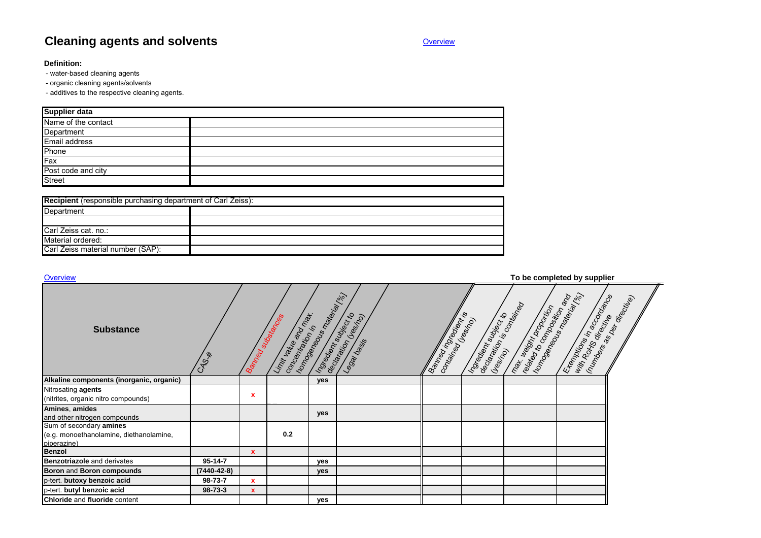# **Cleaning agents and solvents**

## Overview

## **Definition:**

- water-based cleaning agents

- organic cleaning agents/solvents

- additives to the respective cleaning agents.

| <b>Supplier data</b> |  |  |  |  |  |  |  |
|----------------------|--|--|--|--|--|--|--|
| Name of the contact  |  |  |  |  |  |  |  |
| Department           |  |  |  |  |  |  |  |
| Email address        |  |  |  |  |  |  |  |
| Phone                |  |  |  |  |  |  |  |
| Fax                  |  |  |  |  |  |  |  |
| Post code and city   |  |  |  |  |  |  |  |
| Street               |  |  |  |  |  |  |  |

| <b>Recipient</b> (responsible purchasing department of Carl Zeiss): |  |  |  |  |  |
|---------------------------------------------------------------------|--|--|--|--|--|
| Department                                                          |  |  |  |  |  |
|                                                                     |  |  |  |  |  |
| Carl Zeiss cat. no.:                                                |  |  |  |  |  |
| Material ordered:                                                   |  |  |  |  |  |
| Carl Zeiss material number (SAP):                                   |  |  |  |  |  |

| Overview                                                                          |               |                 |                                           |                      |                                      |                   |                                                         |                                                       | To be completed by supplier     |  |
|-----------------------------------------------------------------------------------|---------------|-----------------|-------------------------------------------|----------------------|--------------------------------------|-------------------|---------------------------------------------------------|-------------------------------------------------------|---------------------------------|--|
| <b>Substance</b>                                                                  | CASX          | Bamed sures and | Limit balle and China<br>Concentration in | 16 omgewere omgewere | International Cesingle<br>Legal dass | Bamed in Greening | ecamposition is a construction<br>Indeeping Maple Crypt | Rafed to community of the Mag<br>max. Height property | Esministrations (M. 26 Concess) |  |
| Alkaline components (inorganic, organic)                                          |               |                 |                                           | <b>ves</b>           |                                      |                   |                                                         |                                                       |                                 |  |
| Nitrosating agents<br>(nitrites, organic nitro compounds)                         |               | x               |                                           |                      |                                      |                   |                                                         |                                                       |                                 |  |
| Amines, amides<br>and other nitrogen compounds                                    |               |                 |                                           | yes                  |                                      |                   |                                                         |                                                       |                                 |  |
| Sum of secondary amines<br>(e.g. monoethanolamine, diethanolamine,<br>piperazine) |               |                 | 0.2                                       |                      |                                      |                   |                                                         |                                                       |                                 |  |
| <b>Benzol</b>                                                                     |               | $\mathbf{x}$    |                                           |                      |                                      |                   |                                                         |                                                       |                                 |  |
| <b>Benzotriazole</b> and derivates                                                | $95 - 14 - 7$ |                 |                                           | yes                  |                                      |                   |                                                         |                                                       |                                 |  |
| Boron and Boron compounds                                                         | (7440-42-8)   |                 |                                           | yes                  |                                      |                   |                                                         |                                                       |                                 |  |
| p-tert. butoxy benzoic acid                                                       | 98-73-7       | x               |                                           |                      |                                      |                   |                                                         |                                                       |                                 |  |
| p-tert. butyl benzoic acid                                                        | $98 - 73 - 3$ | $\mathbf{x}$    |                                           |                      |                                      |                   |                                                         |                                                       |                                 |  |
| Chloride and fluoride content                                                     |               |                 |                                           | yes                  |                                      |                   |                                                         |                                                       |                                 |  |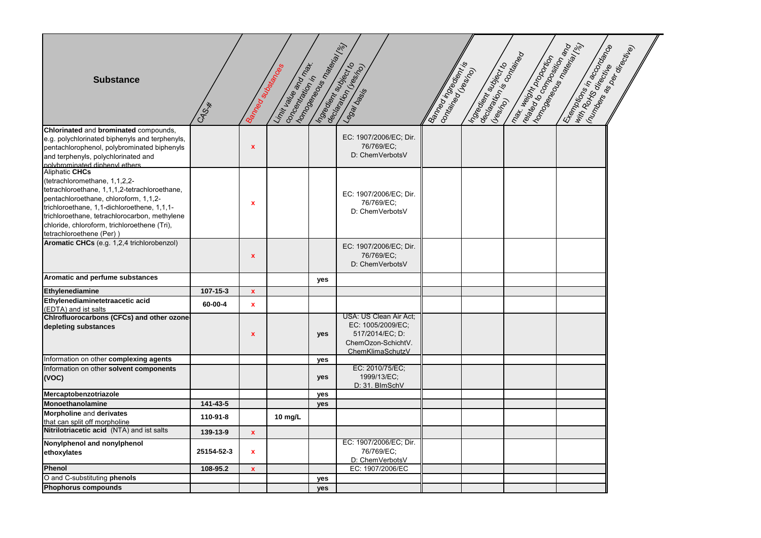| <b>Substance</b>                                                                                                                                                                                                                                                                                                      | CAS-*          | Bamed substances          | concentration in the right of the<br>Limit balle a not max | Ingegraphy superior of | decade dition (resimilation)<br>Legal basis                                                              | <b>Baned in Greening River</b><br>loma <sub>tived</sub> : (1697) | Recapation is considered<br>Ingegraphy superiors | Relation Control Manuscript<br>max. Weight proposed | Innovada Casarina<br>Es empirations in economics | Intrinsige Residences |
|-----------------------------------------------------------------------------------------------------------------------------------------------------------------------------------------------------------------------------------------------------------------------------------------------------------------------|----------------|---------------------------|------------------------------------------------------------|------------------------|----------------------------------------------------------------------------------------------------------|------------------------------------------------------------------|--------------------------------------------------|-----------------------------------------------------|--------------------------------------------------|-----------------------|
| Chlorinated and brominated compounds,                                                                                                                                                                                                                                                                                 |                |                           |                                                            |                        |                                                                                                          |                                                                  |                                                  |                                                     |                                                  |                       |
| e.g. polychlorinated biphenyls and terphenyls,<br>pentachlorophenol, polybrominated biphenyls<br>and terphenyls, polychlorinated and<br>nolybrominated diphenyl ethers                                                                                                                                                |                | $\mathbf{x}$              |                                                            |                        | EC: 1907/2006/EC; Dir.<br>76/769/EC;<br>D: ChemVerbotsV                                                  |                                                                  |                                                  |                                                     |                                                  |                       |
| Aliphatic CHCs<br>(tetrachloromethane, 1,1,2,2-<br>tetrachloroethane, 1,1,1,2-tetrachloroethane,<br>pentachloroethane, chloroform, 1,1,2-<br>trichloroethane, 1,1-dichloroethene, 1,1,1-<br>trichloroethane, tetrachlorocarbon, methylene<br>chloride, chloroform, trichloroethene (Tri),<br>tetrachloroethene (Per)) |                | $\mathbf x$               |                                                            |                        | EC: 1907/2006/EC; Dir.<br>76/769/EC;<br>D: ChemVerbotsV                                                  |                                                                  |                                                  |                                                     |                                                  |                       |
| Aromatic CHCs (e.g. 1,2,4 trichlorobenzol)                                                                                                                                                                                                                                                                            |                | $\boldsymbol{\mathsf{x}}$ |                                                            |                        | EC: 1907/2006/EC; Dir.<br>76/769/EC;<br>D: ChemVerbotsV                                                  |                                                                  |                                                  |                                                     |                                                  |                       |
| Aromatic and perfume substances                                                                                                                                                                                                                                                                                       |                |                           |                                                            | yes                    |                                                                                                          |                                                                  |                                                  |                                                     |                                                  |                       |
| Ethylenediamine                                                                                                                                                                                                                                                                                                       | $107 - 15 - 3$ | $\boldsymbol{\mathsf{x}}$ |                                                            |                        |                                                                                                          |                                                                  |                                                  |                                                     |                                                  |                       |
| Ethylenediaminetetraacetic acid<br>(EDTA) and ist salts                                                                                                                                                                                                                                                               | 60-00-4        | $\mathbf x$               |                                                            |                        |                                                                                                          |                                                                  |                                                  |                                                     |                                                  |                       |
| Chirofluorocarbons (CFCs) and other ozone-<br>depleting substances                                                                                                                                                                                                                                                    |                | $\mathbf x$               |                                                            | yes                    | USA: US Clean Air Act:<br>EC: 1005/2009/EC;<br>517/2014/EC; D:<br>ChemOzon-SchichtV.<br>ChemKlimaSchutzV |                                                                  |                                                  |                                                     |                                                  |                       |
| Information on other complexing agents                                                                                                                                                                                                                                                                                |                |                           |                                                            | yes                    |                                                                                                          |                                                                  |                                                  |                                                     |                                                  |                       |
| Information on other solvent components<br>(VOC)                                                                                                                                                                                                                                                                      |                |                           |                                                            | yes                    | EC: 2010/75/EC;<br>1999/13/EC;<br>D: 31. BlmSchV                                                         |                                                                  |                                                  |                                                     |                                                  |                       |
| Mercaptobenzotriazole                                                                                                                                                                                                                                                                                                 |                |                           |                                                            | yes                    |                                                                                                          |                                                                  |                                                  |                                                     |                                                  |                       |
| Monoethanolamine                                                                                                                                                                                                                                                                                                      | 141-43-5       |                           |                                                            | yes                    |                                                                                                          |                                                                  |                                                  |                                                     |                                                  |                       |
| Morpholine and derivates<br>that can split off morpholine                                                                                                                                                                                                                                                             | 110-91-8       |                           | 10 $mg/L$                                                  |                        |                                                                                                          |                                                                  |                                                  |                                                     |                                                  |                       |
| Nitrilotriacetic acid (NTA) and ist salts                                                                                                                                                                                                                                                                             | 139-13-9       | $\mathbf{x}$              |                                                            |                        |                                                                                                          |                                                                  |                                                  |                                                     |                                                  |                       |
| Nonylphenol and nonylphenol<br>ethoxylates                                                                                                                                                                                                                                                                            | 25154-52-3     | $\mathbf{x}$              |                                                            |                        | EC: 1907/2006/EC; Dir.<br>76/769/EC;<br>D: ChemVerbotsV                                                  |                                                                  |                                                  |                                                     |                                                  |                       |
| Phenol                                                                                                                                                                                                                                                                                                                | 108-95.2       | $\mathbf{x}$              |                                                            |                        | EC: 1907/2006/EC                                                                                         |                                                                  |                                                  |                                                     |                                                  |                       |
| O and C-substituting phenols                                                                                                                                                                                                                                                                                          |                |                           |                                                            | <b>ves</b>             |                                                                                                          |                                                                  |                                                  |                                                     |                                                  |                       |
| <b>Phophorus compounds</b>                                                                                                                                                                                                                                                                                            |                |                           |                                                            | yes                    |                                                                                                          |                                                                  |                                                  |                                                     |                                                  |                       |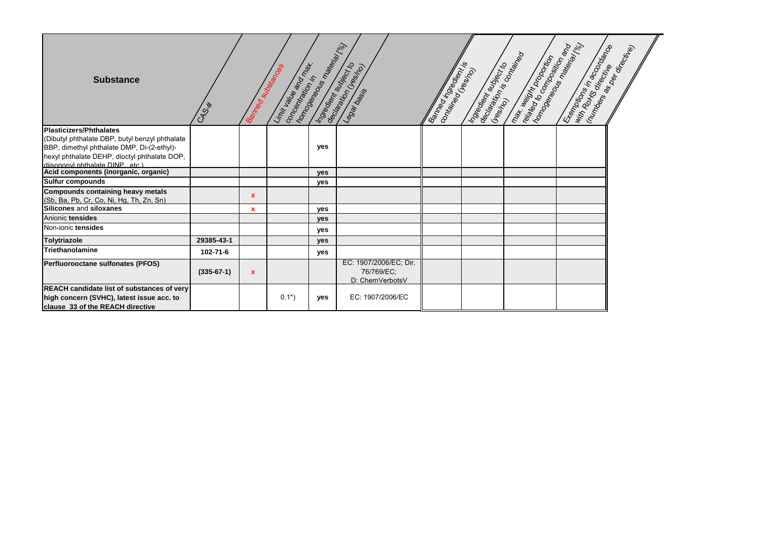| <b>Substance</b>                                                                              | CAS-*        | Bamed Subsequences | Limit balle a Morning<br>Concentration in | 16mg ee regtad<br>Ingegraphy superior to | deciation (reserved<br>Legal design                     | Banned in Greening<br>lamaries - Manco | ecamic and depth of the contract of<br>Ingegraphy support | readed to complementary and<br>max. Height property | 16mgeleer ook maritim (ng<br>Espringer Recorder des | Indiana Basic Cleaner |
|-----------------------------------------------------------------------------------------------|--------------|--------------------|-------------------------------------------|------------------------------------------|---------------------------------------------------------|----------------------------------------|-----------------------------------------------------------|-----------------------------------------------------|-----------------------------------------------------|-----------------------|
| <b>Plasticizers/Phthalates</b>                                                                |              |                    |                                           |                                          |                                                         |                                        |                                                           |                                                     |                                                     |                       |
| (Dibutyl phthalate DBP, butyl benzyl phthalate)<br>BBP, dimethyl phthalate DMP, Di-(2-ethyl)- |              |                    |                                           | yes                                      |                                                         |                                        |                                                           |                                                     |                                                     |                       |
| hexyl phthalate DEHP, dioctyl phthalate DOP,                                                  |              |                    |                                           |                                          |                                                         |                                        |                                                           |                                                     |                                                     |                       |
| diisononyl phthalate DINP etc.)                                                               |              |                    |                                           |                                          |                                                         |                                        |                                                           |                                                     |                                                     |                       |
| Acid components (inorganic, organic)                                                          |              |                    |                                           | yes                                      |                                                         |                                        |                                                           |                                                     |                                                     |                       |
| <b>Sulfur compounds</b>                                                                       |              |                    |                                           | yes                                      |                                                         |                                        |                                                           |                                                     |                                                     |                       |
| Compounds containing heavy metals<br>(Sb, Ba, Pb, Cr, Co, Ni, Hg, Th, Zn, Sn)                 |              | $\mathbf x$        |                                           |                                          |                                                         |                                        |                                                           |                                                     |                                                     |                       |
| Silicones and siloxanes                                                                       |              | x                  |                                           | yes                                      |                                                         |                                        |                                                           |                                                     |                                                     |                       |
| Anionic tensides                                                                              |              |                    |                                           | yes                                      |                                                         |                                        |                                                           |                                                     |                                                     |                       |
| Non-ionic tensides                                                                            |              |                    |                                           | yes                                      |                                                         |                                        |                                                           |                                                     |                                                     |                       |
| Tolytriazole                                                                                  | 29385-43-1   |                    |                                           | <b>ves</b>                               |                                                         |                                        |                                                           |                                                     |                                                     |                       |
| Triethanolamine                                                                               | 102-71-6     |                    |                                           | yes                                      |                                                         |                                        |                                                           |                                                     |                                                     |                       |
| Perfluorooctane sulfonates (PFOS)                                                             | $(335-67-1)$ | $\boldsymbol{x}$   |                                           |                                          | EC: 1907/2006/EC; Dir.<br>76/769/EC;<br>D: ChemVerbotsV |                                        |                                                           |                                                     |                                                     |                       |
| <b>REACH candidate list of substances of very</b>                                             |              |                    |                                           |                                          |                                                         |                                        |                                                           |                                                     |                                                     |                       |
| high concern (SVHC), latest issue acc. to                                                     |              |                    | $0.1^*$                                   | yes                                      | EC: 1907/2006/EC                                        |                                        |                                                           |                                                     |                                                     |                       |
| clause 33 of the REACH directive                                                              |              |                    |                                           |                                          |                                                         |                                        |                                                           |                                                     |                                                     |                       |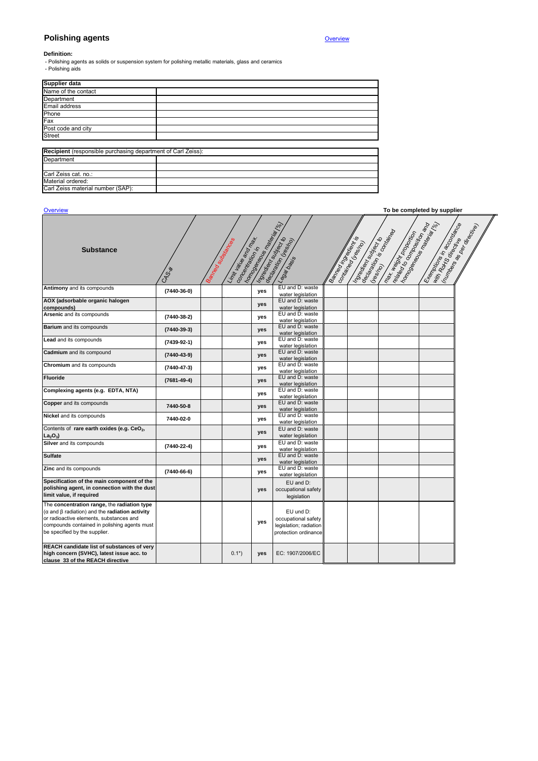## **Polishing agents**

**Overview** 

## **Definition:**

- Polishing agents as solids or suspension system for polishing metallic materials, glass and ceramics

- Polishing aids

| Supplier data                                                |  |
|--------------------------------------------------------------|--|
| Name of the contact                                          |  |
| Department                                                   |  |
| <b>Email address</b>                                         |  |
| Phone                                                        |  |
| Fax                                                          |  |
| Post code and city                                           |  |
| <b>Street</b>                                                |  |
|                                                              |  |
| Recipient (responsible purchasing department of Carl Zeiss): |  |
| Department                                                   |  |
|                                                              |  |
| Carl Zeiss cat. no.:                                         |  |
| Material ordered:                                            |  |
| Carl Zeiss material number (SAP):                            |  |

# **Overview To be completed by supplier**

| <b>Substance</b>                                                                                                                                                                                                                                      | CASX              | Bamedos Mostes | Limit alle and rack<br>concentration in | Innocenew orage in the<br>Ingegraphy | decision (residuo)<br>Legal bays                                                   | Banned in Greater is | aegaillants constants<br>Interestion and process<br>consideration (resident | relation for approximation of the contract of the contract of the contract of the contract of the contract of the contract of the contract of the contract of the contract of the contract of the contract of the contract of<br>max. Masing porontom | Exemption Recognization | With Royce of Recording Contractor |
|-------------------------------------------------------------------------------------------------------------------------------------------------------------------------------------------------------------------------------------------------------|-------------------|----------------|-----------------------------------------|--------------------------------------|------------------------------------------------------------------------------------|----------------------|-----------------------------------------------------------------------------|-------------------------------------------------------------------------------------------------------------------------------------------------------------------------------------------------------------------------------------------------------|-------------------------|------------------------------------|
| Antimony and its compounds                                                                                                                                                                                                                            | $(7440-36-0)$     |                |                                         | yes                                  | EU and D: waste<br>water legislation                                               |                      |                                                                             |                                                                                                                                                                                                                                                       |                         |                                    |
| AOX (adsorbable organic halogen<br>compounds)                                                                                                                                                                                                         |                   |                |                                         | yes                                  | EU and D: waste<br>water legislation                                               |                      |                                                                             |                                                                                                                                                                                                                                                       |                         |                                    |
| Arsenic and its compounds                                                                                                                                                                                                                             | $(7440-38-2)$     |                |                                         | yes                                  | EU and D: waste<br>water legislation                                               |                      |                                                                             |                                                                                                                                                                                                                                                       |                         |                                    |
| <b>Barium</b> and its compounds                                                                                                                                                                                                                       | $(7440-39-3)$     |                |                                         | yes                                  | EU and D: waste<br>water legislation                                               |                      |                                                                             |                                                                                                                                                                                                                                                       |                         |                                    |
| Lead and its compounds                                                                                                                                                                                                                                | $(7439-92-1)$     |                |                                         | yes                                  | EU and D: waste<br>water legislation                                               |                      |                                                                             |                                                                                                                                                                                                                                                       |                         |                                    |
| Cadmium and its compound                                                                                                                                                                                                                              | $(7440 - 43 - 9)$ |                |                                         | yes                                  | EU and D: waste<br>water legislation                                               |                      |                                                                             |                                                                                                                                                                                                                                                       |                         |                                    |
| Chromium and its compounds                                                                                                                                                                                                                            | $(7440 - 47 - 3)$ |                |                                         | yes                                  | EU and D: waste<br>water legislation                                               |                      |                                                                             |                                                                                                                                                                                                                                                       |                         |                                    |
| <b>Fluoride</b>                                                                                                                                                                                                                                       | $(7681 - 49 - 4)$ |                |                                         | yes                                  | EU and D: waste<br>water legislation                                               |                      |                                                                             |                                                                                                                                                                                                                                                       |                         |                                    |
| Complexing agents (e.g. EDTA, NTA)                                                                                                                                                                                                                    |                   |                |                                         | yes                                  | EU and D: waste<br>water legislation                                               |                      |                                                                             |                                                                                                                                                                                                                                                       |                         |                                    |
| <b>Copper</b> and its compounds                                                                                                                                                                                                                       | 7440-50-8         |                |                                         | yes                                  | EU and D: waste<br>water legislation                                               |                      |                                                                             |                                                                                                                                                                                                                                                       |                         |                                    |
| Nickel and its compounds                                                                                                                                                                                                                              | 7440-02-0         |                |                                         | yes                                  | EU and D: waste<br>water legislation                                               |                      |                                                                             |                                                                                                                                                                                                                                                       |                         |                                    |
| Contents of rare earth oxides (e.g. CeO <sub>2</sub> ,<br>$La2O3$ )                                                                                                                                                                                   |                   |                |                                         | yes                                  | EU and D: waste<br>water legislation                                               |                      |                                                                             |                                                                                                                                                                                                                                                       |                         |                                    |
| Silver and its compounds                                                                                                                                                                                                                              | $(7440 - 22 - 4)$ |                |                                         | yes                                  | EU and D: waste<br>water legislation                                               |                      |                                                                             |                                                                                                                                                                                                                                                       |                         |                                    |
| <b>Sulfate</b>                                                                                                                                                                                                                                        |                   |                |                                         | yes                                  | EU and D: waste<br>water legislation                                               |                      |                                                                             |                                                                                                                                                                                                                                                       |                         |                                    |
| Zinc and its compounds                                                                                                                                                                                                                                | $(7440-66-6)$     |                |                                         | yes                                  | EU and D: waste<br>water legislation                                               |                      |                                                                             |                                                                                                                                                                                                                                                       |                         |                                    |
| Specification of the main component of the<br>polishing agent, in connection with the dust<br>limit value, if required                                                                                                                                |                   |                |                                         | yes                                  | EU and D:<br>occupational safety<br>legislation                                    |                      |                                                                             |                                                                                                                                                                                                                                                       |                         |                                    |
| The concentration range, the radiation type<br>$(\alpha \text{ and } \beta \text{ radiation})$ and the radiation activity<br>or radioactive elements, substances and<br>compounds contained in polishing agents must<br>be specified by the supplier. |                   |                |                                         | yes                                  | EU und D:<br>occupational safety<br>legislation; radiation<br>protection ordinance |                      |                                                                             |                                                                                                                                                                                                                                                       |                         |                                    |
| REACH candidate list of substances of very<br>high concern (SVHC), latest issue acc. to<br>clause 33 of the REACH directive                                                                                                                           |                   |                | $0.1^*$                                 | yes                                  | EC: 1907/2006/EC                                                                   |                      |                                                                             |                                                                                                                                                                                                                                                       |                         |                                    |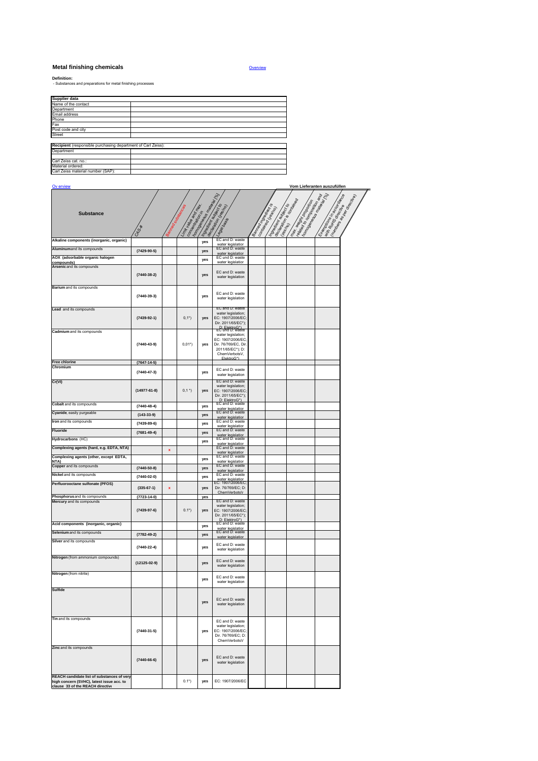## **Metal finishing chemicals**

**Overview** 

**Definition:**<br>- Substances and preparations for metal finishing processes

| Supplier data                                                |  |
|--------------------------------------------------------------|--|
|                                                              |  |
| Name of the contact                                          |  |
| Department                                                   |  |
| Email address                                                |  |
| Phone                                                        |  |
| Fax                                                          |  |
| Post code and city                                           |  |
| <b>Street</b>                                                |  |
|                                                              |  |
| Recipient (responsible purchasing department of Carl Zeiss): |  |
| Department                                                   |  |
|                                                              |  |
| Carl Zeiss cat. no.:                                         |  |
| Material ordered:                                            |  |
| Carl Zeiss material number (SAP):                            |  |

# Ov erview **Vom Lieferanten auszufüllen**

|                                                                                         |                   |             |                                        | Iomagement of the Capital Capital |                                                          |                    |                       | reservo de despito de la provincia de la    | Indiana Registration of the Cap II<br>Es engineering en de Castro de Castro | (ningage of degree of the pillar) |
|-----------------------------------------------------------------------------------------|-------------------|-------------|----------------------------------------|-----------------------------------|----------------------------------------------------------|--------------------|-----------------------|---------------------------------------------|-----------------------------------------------------------------------------|-----------------------------------|
|                                                                                         |                   |             |                                        |                                   | a francour en el de la partir de la                      |                    | Ingretial and Record  | accasion is considered<br>max. Hegy booking |                                                                             |                                   |
| <b>Substance</b>                                                                        |                   |             | Limit alle and day<br>Concepted Markin |                                   |                                                          | Banned in Breading | Condemand User (1991) |                                             |                                                                             |                                   |
|                                                                                         |                   |             |                                        |                                   |                                                          |                    |                       |                                             |                                                                             |                                   |
|                                                                                         | ICAS **           |             |                                        |                                   |                                                          |                    |                       |                                             |                                                                             |                                   |
| Alkaline components (inorganic, organic)                                                |                   |             |                                        |                                   | EC and D: waste                                          |                    |                       |                                             |                                                                             |                                   |
| Aluminumand its compounds                                                               |                   |             |                                        |                                   | water legislation<br>EC and D: waste                     |                    |                       |                                             |                                                                             |                                   |
| AOX (adsorbable organic halogen                                                         | $(7429 - 90 - 5)$ |             |                                        | yes                               | water legislation<br>EC und D: waste                     |                    |                       |                                             |                                                                             |                                   |
| compounds)<br>Arsenic and its compounds                                                 |                   |             |                                        | yes                               | water legislation                                        |                    |                       |                                             |                                                                             |                                   |
|                                                                                         | $(7440-38-2)$     |             |                                        | yes                               | EC and D: waste<br>water legislation                     |                    |                       |                                             |                                                                             |                                   |
|                                                                                         |                   |             |                                        |                                   |                                                          |                    |                       |                                             |                                                                             |                                   |
| Barium and its compounds                                                                |                   |             |                                        |                                   | EC and D: waste                                          |                    |                       |                                             |                                                                             |                                   |
|                                                                                         | $(7440-39-3)$     |             |                                        | yes                               | water legislation                                        |                    |                       |                                             |                                                                             |                                   |
| Lead and its compounds                                                                  |                   |             |                                        |                                   | EC and D: waste                                          |                    |                       |                                             |                                                                             |                                   |
|                                                                                         | $(7439-92-1)$     |             | $0,1^*$                                | yes                               | water legislation;<br>EC: 1907/2006/EC;                  |                    |                       |                                             |                                                                             |                                   |
|                                                                                         |                   |             |                                        |                                   | Dir. 2011/65/EC*);                                       |                    |                       |                                             |                                                                             |                                   |
| Cadmium and its compounds                                                               |                   |             |                                        |                                   | EC: ElektroG*)<br>EC: und D: waste<br>water legislation; |                    |                       |                                             |                                                                             |                                   |
|                                                                                         | (7440-43-9)       |             | $0,01^*$                               | yes                               | EC: 1907/2006/EC:<br>Dir. 76/769/EC, Dir                 |                    |                       |                                             |                                                                             |                                   |
|                                                                                         |                   |             |                                        |                                   | 2011/65/EC*); D:<br>ChemVerbotsV,                        |                    |                       |                                             |                                                                             |                                   |
| Free chlorine                                                                           | $(7647 - 14 - 5)$ |             |                                        |                                   | FlektroG*)                                               |                    |                       |                                             |                                                                             |                                   |
| Chromium                                                                                |                   |             |                                        |                                   | EC and D: waste                                          |                    |                       |                                             |                                                                             |                                   |
|                                                                                         | $(7440 - 47 - 3)$ |             |                                        | yes                               | water legislation                                        |                    |                       |                                             |                                                                             |                                   |
| Cr(VI)                                                                                  |                   |             |                                        |                                   | EC and D: waste<br>water legislation;                    |                    |                       |                                             |                                                                             |                                   |
|                                                                                         | $(14977-61-8)$    |             | $0,1$ <sup>*</sup> )                   | yes                               | EC: 1907/2006/EC;<br>Dir. 2011/65/EC*);                  |                    |                       |                                             |                                                                             |                                   |
| Cobalt and its compounds                                                                | $(7440 - 48 - 4)$ |             |                                        | yes                               | D: FlektroG*)<br>EC and D: waste                         |                    |                       |                                             |                                                                             |                                   |
| Cyanide, easily purgeable                                                               |                   |             |                                        |                                   | water legislation<br>EC and D: waste                     |                    |                       |                                             |                                                                             |                                   |
| Iron and its compounds                                                                  | $(143 - 33 - 9)$  |             |                                        | yes                               | water legislation<br>EC and D: waste                     |                    |                       |                                             |                                                                             |                                   |
| Fluoride                                                                                | $(7439 - 89 - 6)$ |             |                                        | yes                               | water legislation<br>EC and D: waste                     |                    |                       |                                             |                                                                             |                                   |
| Hydrocarbons (HC)                                                                       | $(7681 - 49 - 4)$ |             |                                        | yes                               | water legislation<br>EC and D: waste                     |                    |                       |                                             |                                                                             |                                   |
| Complexing agents (hard, e.g. EDTA, NTA)                                                |                   |             |                                        | yes                               | water legislation<br>EC and D: waste                     |                    |                       |                                             |                                                                             |                                   |
| Complexing agents (other, except EDTA,                                                  |                   | x           |                                        |                                   | water legislation<br>EC and D: waste                     |                    |                       |                                             |                                                                             |                                   |
| NTA)<br>Copper and its compounds                                                        |                   |             |                                        | yes                               | water legislation<br>EC and D: waste                     |                    |                       |                                             |                                                                             |                                   |
| Nickel and its compounds                                                                | $(7440 - 50 - 8)$ |             |                                        | yes                               | water legislation<br>EC and D: waste                     |                    |                       |                                             |                                                                             |                                   |
| Perfluorooctane sulfonate (PFOS)                                                        | $(7440 - 02 - 0)$ |             |                                        | yes                               | water legislation<br>EC: 1907/2006/EC                    |                    |                       |                                             |                                                                             |                                   |
|                                                                                         | $(335-67-1)$      | $\mathbf x$ |                                        | yes                               | Dir. 76/769/EC; D:                                       |                    |                       |                                             |                                                                             |                                   |
| Phosphorus and its compounds                                                            | $(7723 - 14 - 0)$ |             |                                        | yes                               | ChemVerbotsV<br>EC and D: waste                          |                    |                       |                                             |                                                                             |                                   |
| Mercury and its compounds                                                               |                   |             |                                        |                                   | water legislation;                                       |                    |                       |                                             |                                                                             |                                   |
|                                                                                         | $(7439-97-6)$     |             | $0.1^*$ )                              | yes                               | EC: 1907/2006/EC;<br>Dir. 2011/65/EC*);                  |                    |                       |                                             |                                                                             |                                   |
| Acid components (inorganic, organic)                                                    |                   |             |                                        | yes                               | D: ElektroG*)<br>EC and D: waste                         |                    |                       |                                             |                                                                             |                                   |
| Selenium and its compounds                                                              | $(7782 - 49 - 2)$ |             |                                        | yes                               | water legislation<br>EC and D: waste                     |                    |                       |                                             |                                                                             |                                   |
| Silver and its compounds                                                                |                   |             |                                        |                                   | water legislation                                        |                    |                       |                                             |                                                                             |                                   |
|                                                                                         | $(7440 - 22 - 4)$ |             |                                        | yes                               | EC and D: waste<br>water legislation                     |                    |                       |                                             |                                                                             |                                   |
| Nitrogen (from ammonium compounds)                                                      |                   |             |                                        |                                   | EC and D: waste                                          |                    |                       |                                             |                                                                             |                                   |
|                                                                                         | $(12125-02-9)$    |             |                                        | yes                               | water legislation                                        |                    |                       |                                             |                                                                             |                                   |
| Nitrogen (from nitrite)                                                                 |                   |             |                                        |                                   | EC and D: waste                                          |                    |                       |                                             |                                                                             |                                   |
|                                                                                         |                   |             |                                        | yes                               | water legislation                                        |                    |                       |                                             |                                                                             |                                   |
| Sulfide                                                                                 |                   |             |                                        |                                   |                                                          |                    |                       |                                             |                                                                             |                                   |
|                                                                                         |                   |             |                                        | yes                               | EC and D: waste<br>water legislation                     |                    |                       |                                             |                                                                             |                                   |
|                                                                                         |                   |             |                                        |                                   |                                                          |                    |                       |                                             |                                                                             |                                   |
| Tin and its compounds                                                                   |                   |             |                                        |                                   | EC and D: waste                                          |                    |                       |                                             |                                                                             |                                   |
|                                                                                         |                   |             |                                        |                                   | water legislation;                                       |                    |                       |                                             |                                                                             |                                   |
|                                                                                         | $(7440-31-5)$     |             |                                        | yes                               | EC: 1907/2006/EC;<br>Dir. 76/769/EC; D:                  |                    |                       |                                             |                                                                             |                                   |
| Zinc and its compounds                                                                  |                   |             |                                        |                                   | ChemVerbotsV                                             |                    |                       |                                             |                                                                             |                                   |
|                                                                                         |                   |             |                                        |                                   |                                                          |                    |                       |                                             |                                                                             |                                   |
|                                                                                         | $(7440 - 66 - 6)$ |             |                                        | yes                               | EC and D: waste<br>water legislation                     |                    |                       |                                             |                                                                             |                                   |
|                                                                                         |                   |             |                                        |                                   |                                                          |                    |                       |                                             |                                                                             |                                   |
| REACH candidate list of substances of very<br>high concern (SVHC), latest issue acc. to |                   |             | $0.1^*$                                | yes                               | EC: 1907/2006/EC                                         |                    |                       |                                             |                                                                             |                                   |
| clause 33 of the REACH directive                                                        |                   |             |                                        |                                   |                                                          |                    |                       |                                             |                                                                             |                                   |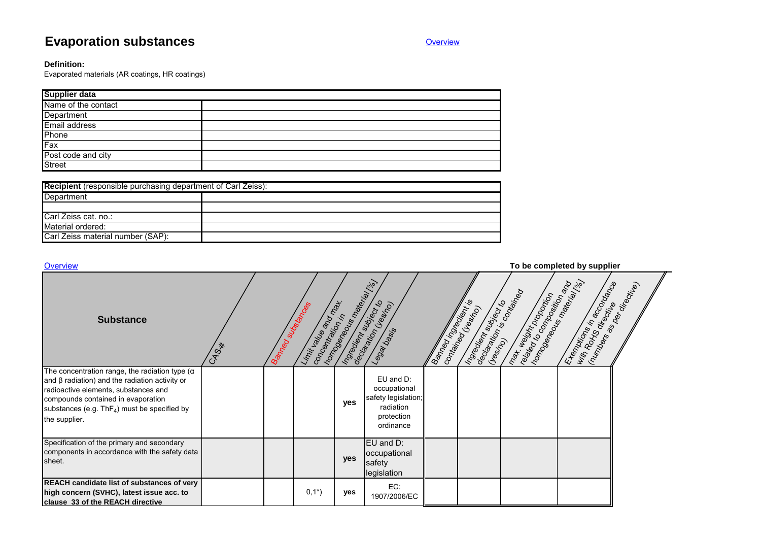# **Evaporation substances**

## **Definition:**

Evaporated materials (AR coatings, HR coatings)

| <b>Supplier data</b> |  |
|----------------------|--|
| Name of the contact  |  |
| Department           |  |
| Email address        |  |
| Phone                |  |
| Fax                  |  |
| Post code and city   |  |
| <b>Street</b>        |  |

| <b>Recipient</b> (responsible purchasing department of Carl Zeiss): |  |  |  |  |  |  |  |  |
|---------------------------------------------------------------------|--|--|--|--|--|--|--|--|
| Department                                                          |  |  |  |  |  |  |  |  |
|                                                                     |  |  |  |  |  |  |  |  |
| Carl Zeiss cat. no.:                                                |  |  |  |  |  |  |  |  |
| Material ordered:                                                   |  |  |  |  |  |  |  |  |
| Carl Zeiss material number (SAP):                                   |  |  |  |  |  |  |  |  |

| Overview                                                                                                                                                                                                                                                    |      |                  |                                          |                                                    |                                                                                          |                            |                                                  |                                                                                                                                                                                                                                                          | To be completed by supplier                             |  |
|-------------------------------------------------------------------------------------------------------------------------------------------------------------------------------------------------------------------------------------------------------------|------|------------------|------------------------------------------|----------------------------------------------------|------------------------------------------------------------------------------------------|----------------------------|--------------------------------------------------|----------------------------------------------------------------------------------------------------------------------------------------------------------------------------------------------------------------------------------------------------------|---------------------------------------------------------|--|
| <b>Substance</b>                                                                                                                                                                                                                                            | CASX | Bamed Substances | Limit ballea and day<br>Concentration in | homogeneous material res<br>Ingegraphy superior to | degrador (regime)<br>Legal design                                                        | Bamed right de de director | Improving Indian Region<br>lon <sub>taried</sub> | Rakey is comparison in the data of the data of the data of the data of the data of the data of the data of the data of the data of the data of the data of the data of the data of the data of the data of the data of the dat<br>max Height Proposition | Expression Recorder de<br>With Ports directive with the |  |
| The concentration range, the radiation type $(a)$<br>and $\beta$ radiation) and the radiation activity or<br>radioactive elements, substances and<br>compounds contained in evaporation<br>substances (e.g. $ThF_4$ ) must be specified by<br>the supplier. |      |                  |                                          | yes                                                | EU and D:<br>occupational<br>safety legislation;<br>radiation<br>protection<br>ordinance |                            |                                                  |                                                                                                                                                                                                                                                          |                                                         |  |
| Specification of the primary and secondary<br>components in accordance with the safety data<br>sheet.                                                                                                                                                       |      |                  |                                          | yes                                                | $EU$ and $D$ :<br>occupational<br>safety<br>legislation                                  |                            |                                                  |                                                                                                                                                                                                                                                          |                                                         |  |
| REACH candidate list of substances of very<br>high concern (SVHC), latest issue acc. to<br>clause 33 of the REACH directive                                                                                                                                 |      |                  | $0,1^*$                                  | yes                                                | EC:<br>1907/2006/EC                                                                      |                            |                                                  |                                                                                                                                                                                                                                                          |                                                         |  |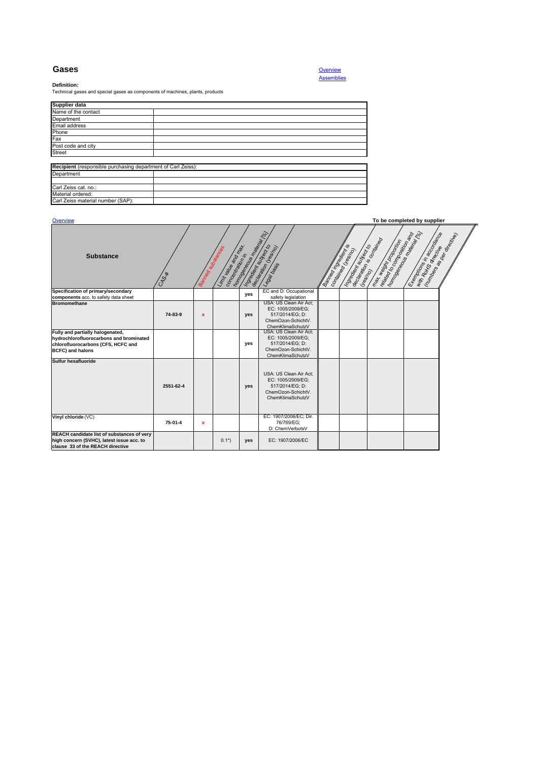# **Gases**

**Definition:** Technical gases and special gases as components of machines, plants, products

| Supplier data                                                |  |
|--------------------------------------------------------------|--|
| Name of the contact                                          |  |
| Department                                                   |  |
| Email address                                                |  |
| Phone                                                        |  |
| Fax                                                          |  |
| Post code and city                                           |  |
| <b>Street</b>                                                |  |
|                                                              |  |
| Recipient (responsible purchasing department of Carl Zeiss): |  |
| Department                                                   |  |
|                                                              |  |
| Carl Zeiss cat. no.:                                         |  |
| Material ordered:                                            |  |
| Carl Zeiss material number (SAP):                            |  |

| Overview                                                                                                                                     | To be completed by supplier |                  |                                         |                                               |                                                                                                                                |                   |                                         |                                                                                                                                                                                                                                                                                                    |                                                    |  |  |
|----------------------------------------------------------------------------------------------------------------------------------------------|-----------------------------|------------------|-----------------------------------------|-----------------------------------------------|--------------------------------------------------------------------------------------------------------------------------------|-------------------|-----------------------------------------|----------------------------------------------------------------------------------------------------------------------------------------------------------------------------------------------------------------------------------------------------------------------------------------------------|----------------------------------------------------|--|--|
| <b>Substance</b>                                                                                                                             | CASX                        | Bamed & Motorces | Limit site and rack<br>Concentration in | Iomaeneous materiales (h.<br>Insegal and Read | declaration (restriction)                                                                                                      | Bamed in Greening | Indeed en superior<br>Conderiged Magnus | Reserved Controller (See also de la Reserved de la Reserve de la Reserve de la Reserve de la Reserve de la Reserve de la Reserve de la Reserve de la Reserve de la Reserve de la Reserve de la Reserve de la Reserve de la Res<br>deca <sub>rtion is constructed</sub><br>max. Meditor proposition | Esemployer Recognition<br>Will Port of discharge - |  |  |
| Specification of primary/secondary                                                                                                           |                             |                  |                                         | yes                                           | EC and D: Occupational                                                                                                         |                   |                                         |                                                                                                                                                                                                                                                                                                    |                                                    |  |  |
| components acc. to safety data sheet<br><b>Bromomethane</b>                                                                                  | 74-83-9                     | $\mathbf{x}$     |                                         | yes                                           | safety legislation<br>USA: US Clean Air Act;<br>EC: 1005/2009/EG;<br>517/2014/EG; D:<br>ChemOzon-SchichtV.<br>ChemKlimaSchutzV |                   |                                         |                                                                                                                                                                                                                                                                                                    |                                                    |  |  |
| Fully and partially halogenated,<br>hydrochlorofluorocarbons and brominated<br>chlorofluorocarbons (CFS, HCFC and<br><b>BCFC)</b> and halons |                             |                  |                                         | yes                                           | USA: US Clean Air Act:<br>EC: 1005/2009/EG;<br>517/2014/EG; D:<br>ChemOzon-SchichtV.<br>ChemKlimaSchutzV                       |                   |                                         |                                                                                                                                                                                                                                                                                                    |                                                    |  |  |
| Sulfur hexafluoride                                                                                                                          | 2551-62-4                   |                  |                                         | yes                                           | USA: US Clean Air Act;<br>EC: 1005/2009/EG;<br>517/2014/EG; D:<br>ChemOzon-SchichtV.<br>ChemKlimaSchutzV                       |                   |                                         |                                                                                                                                                                                                                                                                                                    |                                                    |  |  |
| Vinyl chloride (VC)                                                                                                                          | $75-01-4$                   | $\mathbf{x}$     |                                         |                                               | EC: 1907/2006/EC; Dir.<br>76/769/EG;<br>D: ChemVerbotsV                                                                        |                   |                                         |                                                                                                                                                                                                                                                                                                    |                                                    |  |  |
| REACH candidate list of substances of very<br>high concern (SVHC), latest issue acc. to<br>clause 33 of the REACH directive                  |                             |                  | $0.1^{*}$                               | yes                                           | EC: 1907/2006/EC                                                                                                               |                   |                                         |                                                                                                                                                                                                                                                                                                    |                                                    |  |  |

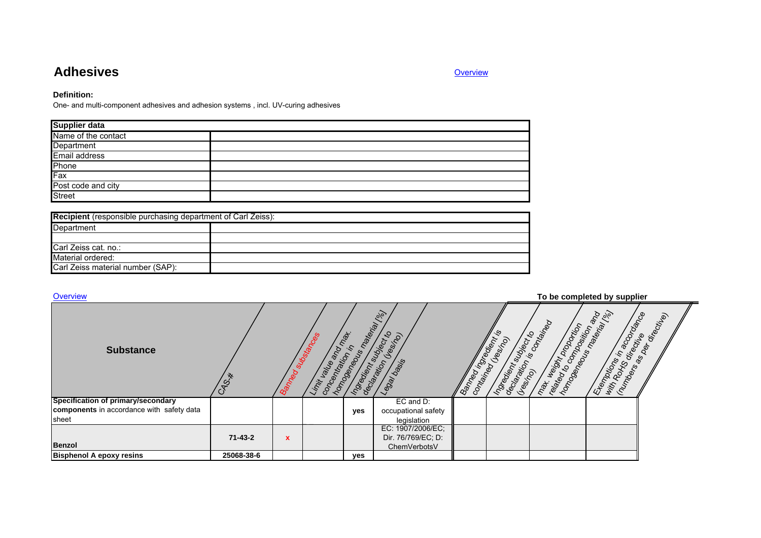# **Adhesives**

**Overview** 

## **Definition:**

One- and multi-component adhesives and adhesion systems , incl. UV-curing adhesives

| <b>Supplier data</b> |  |
|----------------------|--|
| Name of the contact  |  |
| Department           |  |
| Email address        |  |
| Phone                |  |
| Fax                  |  |
| Post code and city   |  |
| <b>Street</b>        |  |

| Recipient (responsible purchasing department of Carl Zeiss): |  |  |  |  |  |
|--------------------------------------------------------------|--|--|--|--|--|
| Department                                                   |  |  |  |  |  |
|                                                              |  |  |  |  |  |
| Carl Zeiss cat. no.:                                         |  |  |  |  |  |
| Material ordered:                                            |  |  |  |  |  |
| Carl Zeiss material number (SAP):                            |  |  |  |  |  |

**Overview** To be completed by supplier<br>
To be completed by supplier<br>
To be completed by supplier<br>
The state of the state of the state of the state of the state of the state of the state of the state of the state of the state of the s **Substance** $\frac{1}{3}$ **Specification of primary/secondary components** in accordance with safety data sheet**yes** EC and D: occupational safety legislation **Benzol 71-43-2 x** EC: 1907/2006/EC; Dir. 76/769/EC; D: ChemVerbotsV**Bisphenol A epoxy resins 25068-38-6 yes**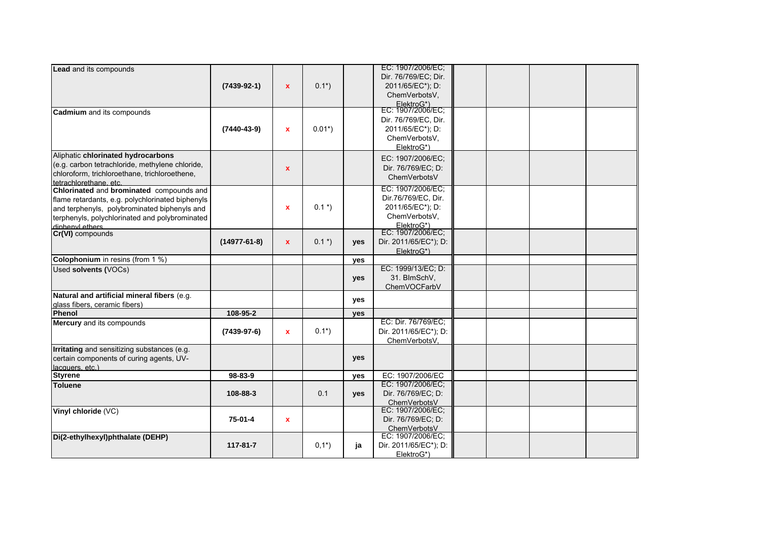| Lead and its compounds                           |                   |              |          |            | EC: 1907/2006/EC;     |  |  |
|--------------------------------------------------|-------------------|--------------|----------|------------|-----------------------|--|--|
|                                                  |                   |              |          |            | Dir. 76/769/EC: Dir.  |  |  |
|                                                  | $(7439 - 92 - 1)$ | $\mathbf{x}$ | $0.1^*$  |            | 2011/65/EC*); D:      |  |  |
|                                                  |                   |              |          |            | ChemVerbotsV,         |  |  |
|                                                  |                   |              |          |            | ElektroG*)            |  |  |
| <b>Cadmium</b> and its compounds                 |                   |              |          |            | EC: 1907/2006/EC;     |  |  |
|                                                  |                   |              |          |            | Dir. 76/769/EC, Dir.  |  |  |
|                                                  | $(7440 - 43 - 9)$ | $\mathbf{x}$ | $0.01*)$ |            | 2011/65/EC*); D:      |  |  |
|                                                  |                   |              |          |            | ChemVerbotsV,         |  |  |
|                                                  |                   |              |          |            | ElektroG*)            |  |  |
| Aliphatic chlorinated hydrocarbons               |                   |              |          |            | EC: 1907/2006/EC:     |  |  |
| (e.g. carbon tetrachloride, methylene chloride,  |                   |              |          |            |                       |  |  |
| chloroform, trichloroethane, trichloroethene,    |                   | $\mathbf{x}$ |          |            | Dir. 76/769/EC; D:    |  |  |
| tetrachlorethane etc.                            |                   |              |          |            | ChemVerbotsV          |  |  |
| Chlorinated and brominated compounds and         |                   |              |          |            | EC: 1907/2006/EC;     |  |  |
| flame retardants, e.g. polychlorinated biphenyls |                   |              |          |            | Dir.76/769/EC, Dir.   |  |  |
| and terphenyls, polybrominated biphenyls and     |                   | x            | $0.1*$   |            | 2011/65/EC*); D:      |  |  |
| terphenyls, polychlorinated and polybrominated   |                   |              |          |            | ChemVerbotsV,         |  |  |
| dinhenyl ethers                                  |                   |              |          |            | ElektroG*)            |  |  |
| Cr(VI) compounds                                 |                   |              |          |            | EC: 1907/2006/EC;     |  |  |
|                                                  | $(14977-61-8)$    | $\mathbf{x}$ | $0.1^*$  | <b>ves</b> | Dir. 2011/65/EC*); D: |  |  |
|                                                  |                   |              |          |            | ElektroG*)            |  |  |
| <b>Colophonium</b> in resins (from 1 %)          |                   |              |          | yes        |                       |  |  |
| Used solvents (VOCs)                             |                   |              |          |            | EC: 1999/13/EC: D:    |  |  |
|                                                  |                   |              |          | <b>ves</b> | 31. BlmSchV,          |  |  |
|                                                  |                   |              |          |            | ChemVOCFarbV          |  |  |
| Natural and artificial mineral fibers (e.g.      |                   |              |          | <b>ves</b> |                       |  |  |
| glass fibers, ceramic fibers)                    |                   |              |          |            |                       |  |  |
| Phenol                                           | 108-95-2          |              |          | <b>ves</b> |                       |  |  |
| Mercury and its compounds                        |                   |              |          |            | EC: Dir. 76/769/EC;   |  |  |
|                                                  | $(7439-97-6)$     | $\mathbf{x}$ | $0.1^*$  |            | Dir. 2011/65/EC*); D: |  |  |
|                                                  |                   |              |          |            | ChemVerbotsV,         |  |  |
| Irritating and sensitizing substances (e.g.      |                   |              |          |            |                       |  |  |
| certain components of curing agents, UV-         |                   |              |          | yes        |                       |  |  |
| lacquers. etc.)                                  |                   |              |          |            |                       |  |  |
| <b>Styrene</b>                                   | 98-83-9           |              |          | yes        | EC: 1907/2006/EC      |  |  |
| <b>Toluene</b>                                   |                   |              |          |            | EC: 1907/2006/EC;     |  |  |
|                                                  | 108-88-3          |              | 0.1      | <b>ves</b> | Dir. 76/769/EC; D:    |  |  |
|                                                  |                   |              |          |            | ChemVerbotsV          |  |  |
| Vinyl chloride (VC)                              |                   |              |          |            | EC: 1907/2006/EC;     |  |  |
|                                                  | 75-01-4           | x            |          |            | Dir. 76/769/EC; D:    |  |  |
|                                                  |                   |              |          |            | ChemVerbotsV          |  |  |
| Di(2-ethylhexyl)phthalate (DEHP)                 |                   |              |          |            | EC: 1907/2006/EC;     |  |  |
|                                                  | 117-81-7          |              | $0,1^*$  | ja         | Dir. 2011/65/EC*); D: |  |  |
|                                                  |                   |              |          |            | ElektroG*)            |  |  |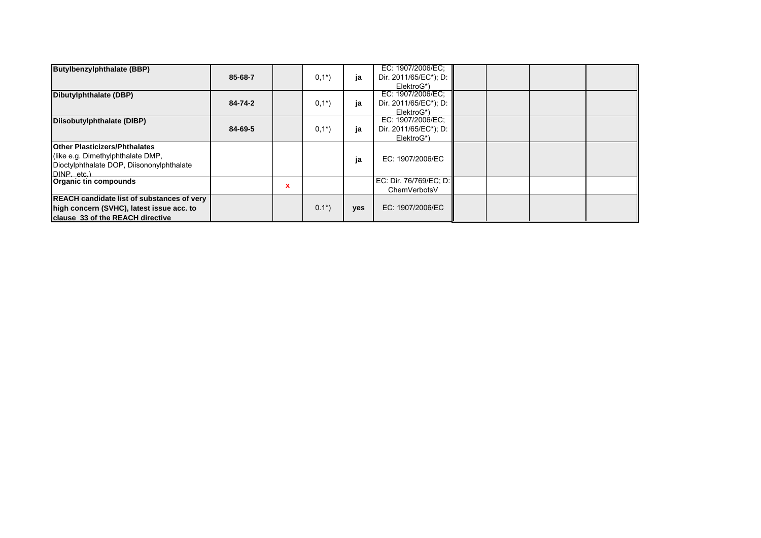| <b>Butylbenzylphthalate (BBP)</b>                 |         |   |         |     | EC: 1907/2006/EC;      |  |  |
|---------------------------------------------------|---------|---|---------|-----|------------------------|--|--|
|                                                   | 85-68-7 |   | $0,1^*$ | ja  | Dir. 2011/65/EC*); D:  |  |  |
|                                                   |         |   |         |     | ElektroG*)             |  |  |
| Dibutylphthalate (DBP)                            |         |   |         |     | EC: 1907/2006/EC;      |  |  |
|                                                   | 84-74-2 |   | $0,1^*$ | ja  | Dir. 2011/65/EC*); D:  |  |  |
|                                                   |         |   |         |     | ElektroG*)             |  |  |
| Diisobutylphthalate (DIBP)                        |         |   |         |     | EC: 1907/2006/EC:      |  |  |
|                                                   | 84-69-5 |   | $0,1^*$ | ia  | Dir. 2011/65/EC*); D:  |  |  |
|                                                   |         |   |         |     | ElektroG*)             |  |  |
| <b>IOther Plasticizers/Phthalates</b>             |         |   |         |     |                        |  |  |
| (like e.g. Dimethylphthalate DMP,                 |         |   |         |     | EC: 1907/2006/EC       |  |  |
| Dioctylphthalate DOP, Diisononylphthalate         |         |   |         | ja  |                        |  |  |
| DINP etc.)                                        |         |   |         |     |                        |  |  |
| Organic tin compounds                             |         |   |         |     | EC: Dir. 76/769/EC: D: |  |  |
|                                                   |         | x |         |     | ChemVerbotsV           |  |  |
| <b>REACH candidate list of substances of very</b> |         |   |         |     |                        |  |  |
| high concern (SVHC), latest issue acc. to         |         |   | $0.1^*$ | yes | EC: 1907/2006/EC       |  |  |
| <b>Iclause 33 of the REACH directive</b>          |         |   |         |     |                        |  |  |